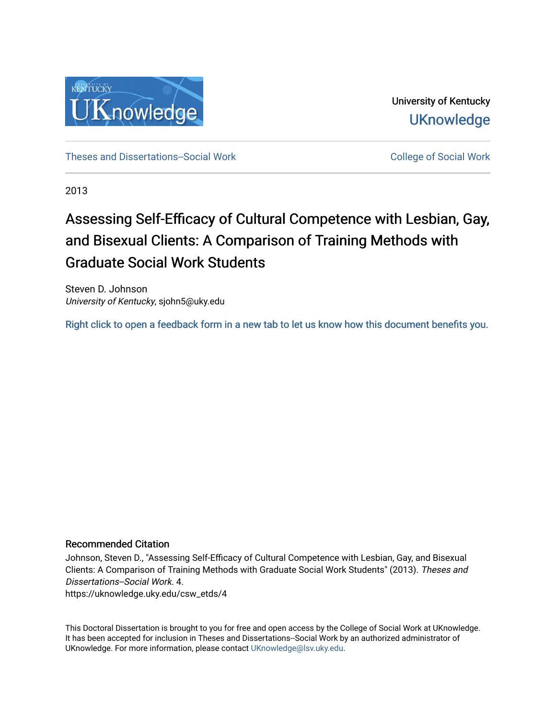

University of Kentucky **UKnowledge** 

[Theses and Dissertations--Social Work](https://uknowledge.uky.edu/csw_etds) [College of Social Work](https://uknowledge.uky.edu/csw) College of Social Work

2013

# Assessing Self-Efficacy of Cultural Competence with Lesbian, Gay, and Bisexual Clients: A Comparison of Training Methods with Graduate Social Work Students

Steven D. Johnson University of Kentucky, sjohn5@uky.edu

[Right click to open a feedback form in a new tab to let us know how this document benefits you.](https://uky.az1.qualtrics.com/jfe/form/SV_9mq8fx2GnONRfz7)

#### Recommended Citation

Johnson, Steven D., "Assessing Self-Efficacy of Cultural Competence with Lesbian, Gay, and Bisexual Clients: A Comparison of Training Methods with Graduate Social Work Students" (2013). Theses and Dissertations--Social Work. 4. https://uknowledge.uky.edu/csw\_etds/4

This Doctoral Dissertation is brought to you for free and open access by the College of Social Work at UKnowledge. It has been accepted for inclusion in Theses and Dissertations--Social Work by an authorized administrator of UKnowledge. For more information, please contact [UKnowledge@lsv.uky.edu](mailto:UKnowledge@lsv.uky.edu).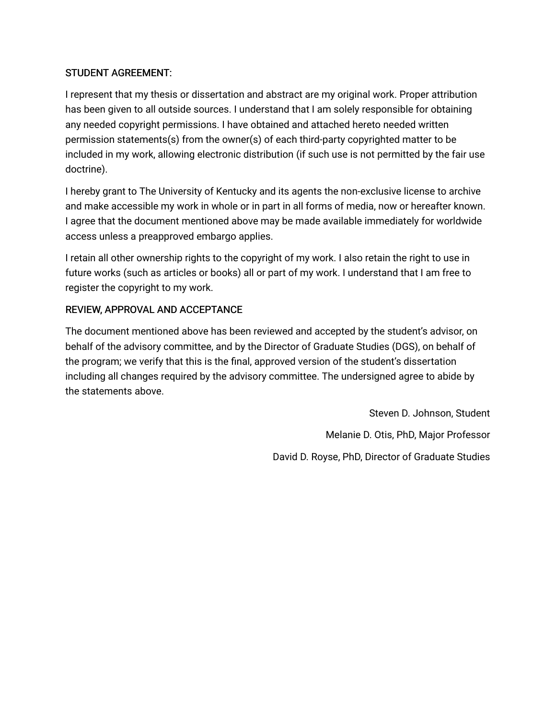# STUDENT AGREEMENT:

I represent that my thesis or dissertation and abstract are my original work. Proper attribution has been given to all outside sources. I understand that I am solely responsible for obtaining any needed copyright permissions. I have obtained and attached hereto needed written permission statements(s) from the owner(s) of each third-party copyrighted matter to be included in my work, allowing electronic distribution (if such use is not permitted by the fair use doctrine).

I hereby grant to The University of Kentucky and its agents the non-exclusive license to archive and make accessible my work in whole or in part in all forms of media, now or hereafter known. I agree that the document mentioned above may be made available immediately for worldwide access unless a preapproved embargo applies.

I retain all other ownership rights to the copyright of my work. I also retain the right to use in future works (such as articles or books) all or part of my work. I understand that I am free to register the copyright to my work.

# REVIEW, APPROVAL AND ACCEPTANCE

The document mentioned above has been reviewed and accepted by the student's advisor, on behalf of the advisory committee, and by the Director of Graduate Studies (DGS), on behalf of the program; we verify that this is the final, approved version of the student's dissertation including all changes required by the advisory committee. The undersigned agree to abide by the statements above.

> Steven D. Johnson, Student Melanie D. Otis, PhD, Major Professor David D. Royse, PhD, Director of Graduate Studies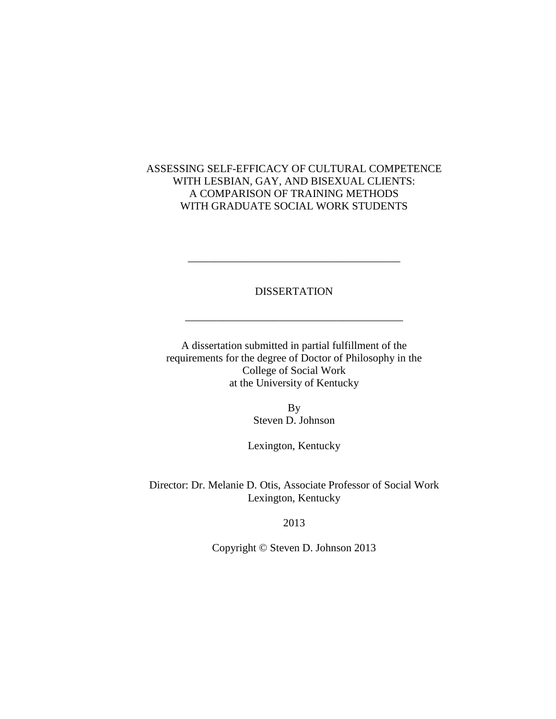## ASSESSING SELF-EFFICACY OF CULTURAL COMPETENCE WITH LESBIAN, GAY, AND BISEXUAL CLIENTS: A COMPARISON OF TRAINING METHODS WITH GRADUATE SOCIAL WORK STUDENTS

### DISSERTATION

\_\_\_\_\_\_\_\_\_\_\_\_\_\_\_\_\_\_\_\_\_\_\_\_\_\_\_\_\_\_\_\_\_\_\_\_\_\_\_\_

\_\_\_\_\_\_\_\_\_\_\_\_\_\_\_\_\_\_\_\_\_\_\_\_\_\_\_\_\_\_\_\_\_\_\_\_\_\_\_

A dissertation submitted in partial fulfillment of the requirements for the degree of Doctor of Philosophy in the College of Social Work at the University of Kentucky

> By Steven D. Johnson

Lexington, Kentucky

Director: Dr. Melanie D. Otis, Associate Professor of Social Work Lexington, Kentucky

2013

Copyright © Steven D. Johnson 2013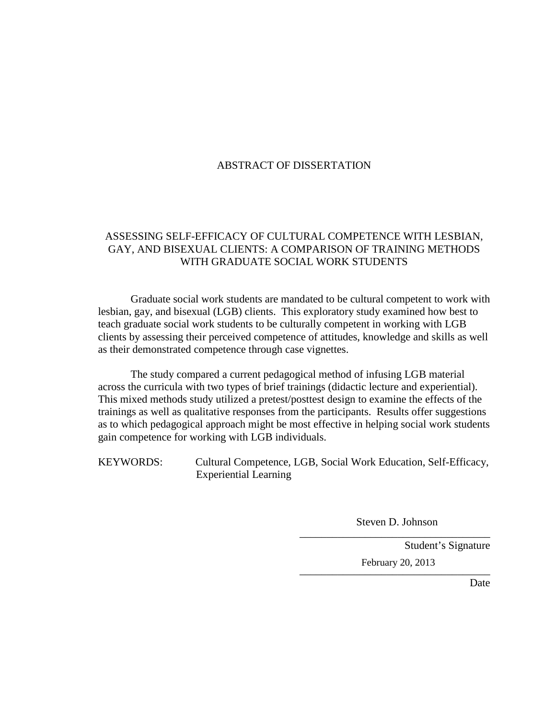## ABSTRACT OF DISSERTATION

## ASSESSING SELF-EFFICACY OF CULTURAL COMPETENCE WITH LESBIAN, GAY, AND BISEXUAL CLIENTS: A COMPARISON OF TRAINING METHODS WITH GRADUATE SOCIAL WORK STUDENTS

Graduate social work students are mandated to be cultural competent to work with lesbian, gay, and bisexual (LGB) clients. This exploratory study examined how best to teach graduate social work students to be culturally competent in working with LGB clients by assessing their perceived competence of attitudes, knowledge and skills as well as their demonstrated competence through case vignettes.

The study compared a current pedagogical method of infusing LGB material across the curricula with two types of brief trainings (didactic lecture and experiential). This mixed methods study utilized a pretest/posttest design to examine the effects of the trainings as well as qualitative responses from the participants. Results offer suggestions as to which pedagogical approach might be most effective in helping social work students gain competence for working with LGB individuals.

KEYWORDS: Cultural Competence, LGB, Social Work Education, Self-Efficacy, Experiential Learning

> \_\_\_\_\_\_\_\_\_\_\_\_\_\_\_\_\_\_\_\_\_\_\_\_\_\_\_\_\_\_\_\_\_\_\_ Steven D. Johnson

> \_\_\_\_\_\_\_\_\_\_\_\_\_\_\_\_\_\_\_\_\_\_\_\_\_\_\_\_\_\_\_\_\_\_\_

Student's Signature February 20, 2013

Date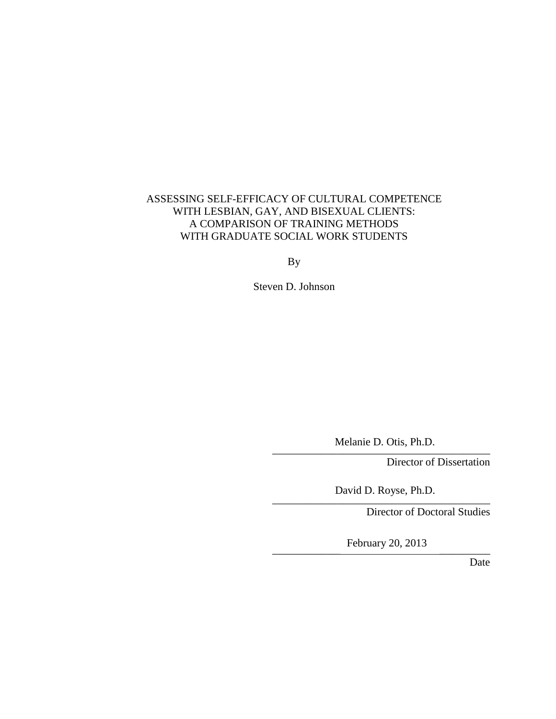# ASSESSING SELF-EFFICACY OF CULTURAL COMPETENCE WITH LESBIAN, GAY, AND BISEXUAL CLIENTS: A COMPARISON OF TRAINING METHODS WITH GRADUATE SOCIAL WORK STUDENTS

By

Steven D. Johnson

 $\ldots$ Melanie D. Otis, Ph.D.

Director of Dissertation

\_\_\_\_\_\_\_\_\_\_\_\_\_\_\_\_\_\_\_\_\_\_\_\_\_\_\_\_\_\_\_\_\_\_\_\_\_\_\_\_ David D. Royse, Ph.D.

Director of Doctoral Studies

February 20, 2013

Date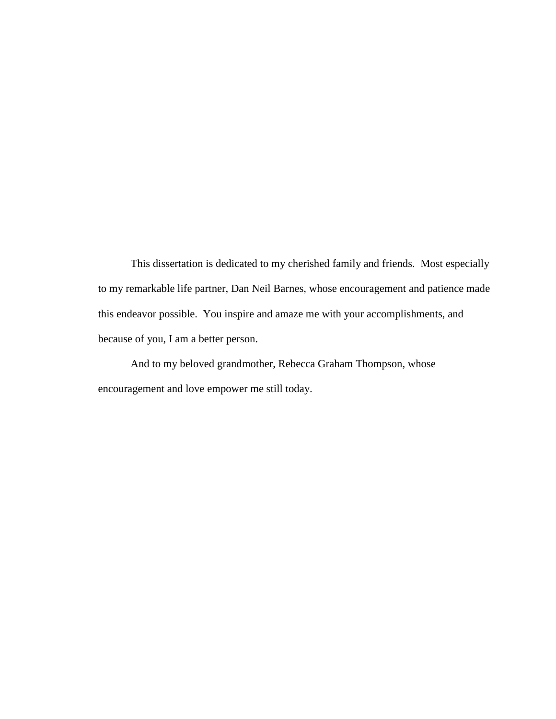This dissertation is dedicated to my cherished family and friends. Most especially to my remarkable life partner, Dan Neil Barnes, whose encouragement and patience made this endeavor possible. You inspire and amaze me with your accomplishments, and because of you, I am a better person.

And to my beloved grandmother, Rebecca Graham Thompson, whose encouragement and love empower me still today.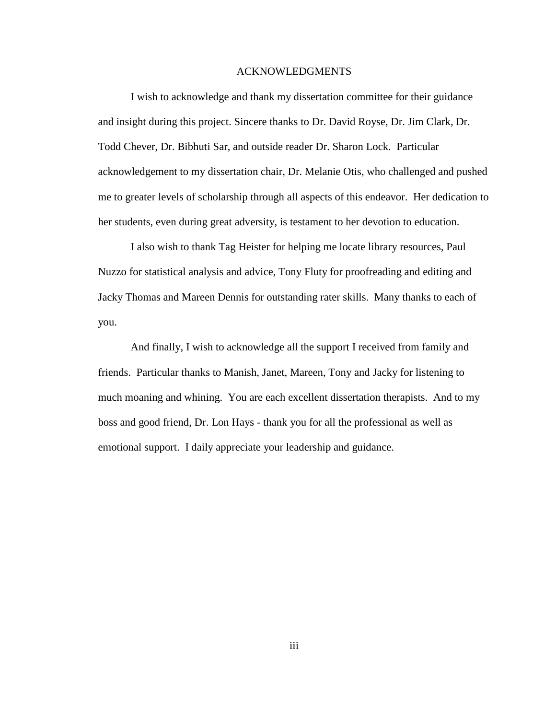#### ACKNOWLEDGMENTS

I wish to acknowledge and thank my dissertation committee for their guidance and insight during this project. Sincere thanks to Dr. David Royse, Dr. Jim Clark, Dr. Todd Chever, Dr. Bibhuti Sar, and outside reader Dr. Sharon Lock. Particular acknowledgement to my dissertation chair, Dr. Melanie Otis, who challenged and pushed me to greater levels of scholarship through all aspects of this endeavor. Her dedication to her students, even during great adversity, is testament to her devotion to education.

I also wish to thank Tag Heister for helping me locate library resources, Paul Nuzzo for statistical analysis and advice, Tony Fluty for proofreading and editing and Jacky Thomas and Mareen Dennis for outstanding rater skills. Many thanks to each of you.

And finally, I wish to acknowledge all the support I received from family and friends. Particular thanks to Manish, Janet, Mareen, Tony and Jacky for listening to much moaning and whining. You are each excellent dissertation therapists. And to my boss and good friend, Dr. Lon Hays - thank you for all the professional as well as emotional support. I daily appreciate your leadership and guidance.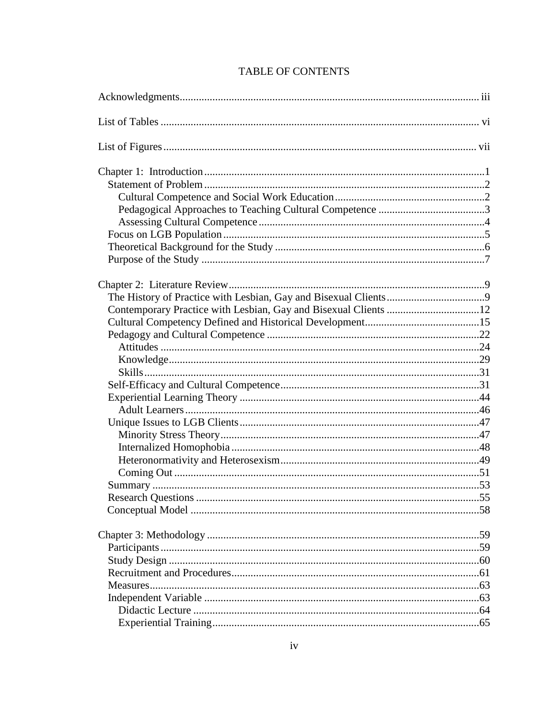| Contemporary Practice with Lesbian, Gay and Bisexual Clients 12 |  |
|-----------------------------------------------------------------|--|
|                                                                 |  |
|                                                                 |  |
|                                                                 |  |
|                                                                 |  |
|                                                                 |  |
|                                                                 |  |
|                                                                 |  |
|                                                                 |  |
|                                                                 |  |
|                                                                 |  |
|                                                                 |  |
|                                                                 |  |
|                                                                 |  |
|                                                                 |  |
|                                                                 |  |
|                                                                 |  |
|                                                                 |  |
|                                                                 |  |
|                                                                 |  |
|                                                                 |  |
|                                                                 |  |
|                                                                 |  |
|                                                                 |  |
|                                                                 |  |
|                                                                 |  |

# **TABLE OF CONTENTS**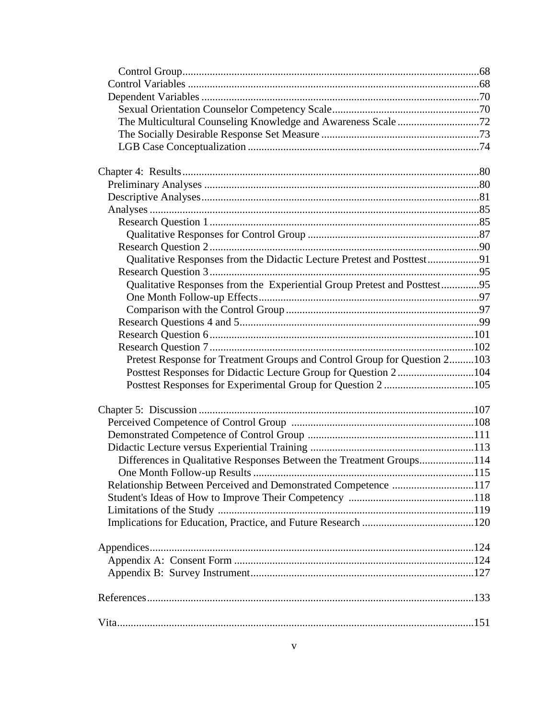| The Multicultural Counseling Knowledge and Awareness Scale 72             |  |
|---------------------------------------------------------------------------|--|
|                                                                           |  |
|                                                                           |  |
|                                                                           |  |
|                                                                           |  |
|                                                                           |  |
|                                                                           |  |
|                                                                           |  |
|                                                                           |  |
|                                                                           |  |
|                                                                           |  |
| Qualitative Responses from the Didactic Lecture Pretest and Posttest91    |  |
|                                                                           |  |
| Qualitative Responses from the Experiential Group Pretest and Posttest95  |  |
|                                                                           |  |
|                                                                           |  |
|                                                                           |  |
|                                                                           |  |
|                                                                           |  |
| Pretest Response for Treatment Groups and Control Group for Question 2103 |  |
| Posttest Responses for Didactic Lecture Group for Question 2104           |  |
|                                                                           |  |
|                                                                           |  |
|                                                                           |  |
|                                                                           |  |
|                                                                           |  |
|                                                                           |  |
| Differences in Qualitative Responses Between the Treatment Groups114      |  |
|                                                                           |  |
| Relationship Between Perceived and Demonstrated Competence 117            |  |
|                                                                           |  |
|                                                                           |  |
|                                                                           |  |
|                                                                           |  |
|                                                                           |  |
|                                                                           |  |
|                                                                           |  |
|                                                                           |  |
|                                                                           |  |
|                                                                           |  |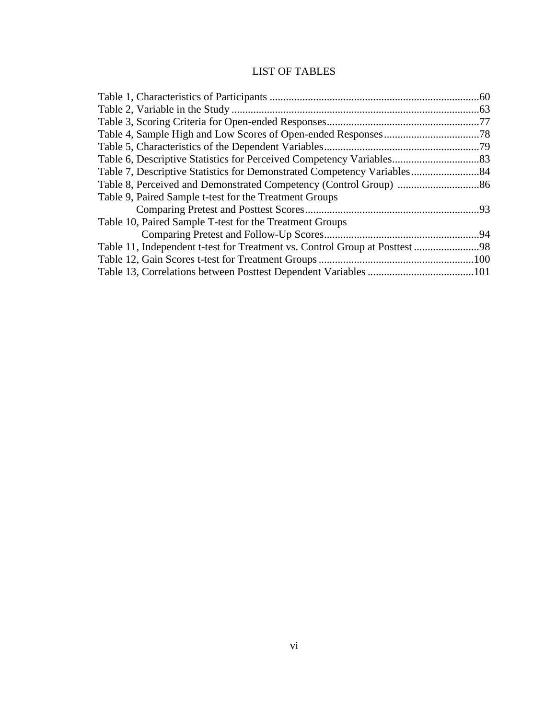# LIST OF TABLES

| Table 9, Paired Sample t-test for the Treatment Groups  |  |
|---------------------------------------------------------|--|
|                                                         |  |
| Table 10, Paired Sample T-test for the Treatment Groups |  |
|                                                         |  |
|                                                         |  |
|                                                         |  |
|                                                         |  |
|                                                         |  |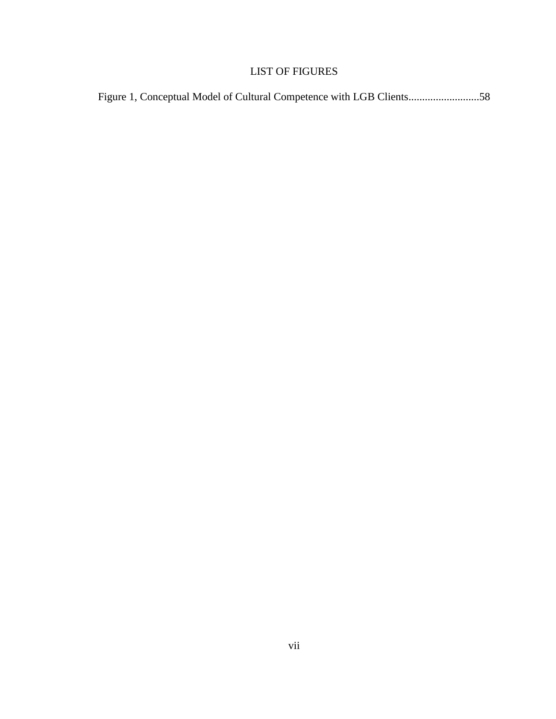# LIST OF FIGURES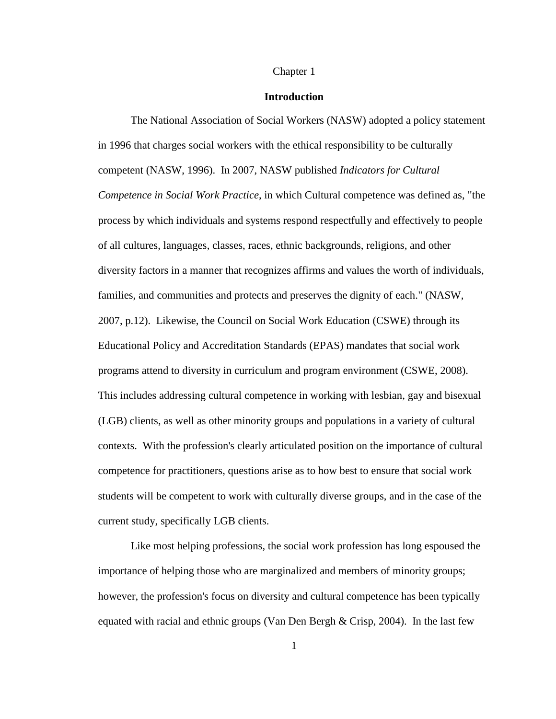#### Chapter 1

#### **Introduction**

The National Association of Social Workers (NASW) adopted a policy statement in 1996 that charges social workers with the ethical responsibility to be culturally competent (NASW, 1996). In 2007, NASW published *Indicators for Cultural Competence in Social Work Practice*, in which Cultural competence was defined as, "the process by which individuals and systems respond respectfully and effectively to people of all cultures, languages, classes, races, ethnic backgrounds, religions, and other diversity factors in a manner that recognizes affirms and values the worth of individuals, families, and communities and protects and preserves the dignity of each." (NASW, 2007, p.12). Likewise, the Council on Social Work Education (CSWE) through its Educational Policy and Accreditation Standards (EPAS) mandates that social work programs attend to diversity in curriculum and program environment (CSWE, 2008). This includes addressing cultural competence in working with lesbian, gay and bisexual (LGB) clients, as well as other minority groups and populations in a variety of cultural contexts. With the profession's clearly articulated position on the importance of cultural competence for practitioners, questions arise as to how best to ensure that social work students will be competent to work with culturally diverse groups, and in the case of the current study, specifically LGB clients.

Like most helping professions, the social work profession has long espoused the importance of helping those who are marginalized and members of minority groups; however, the profession's focus on diversity and cultural competence has been typically equated with racial and ethnic groups (Van Den Bergh  $\&$  Crisp, 2004). In the last few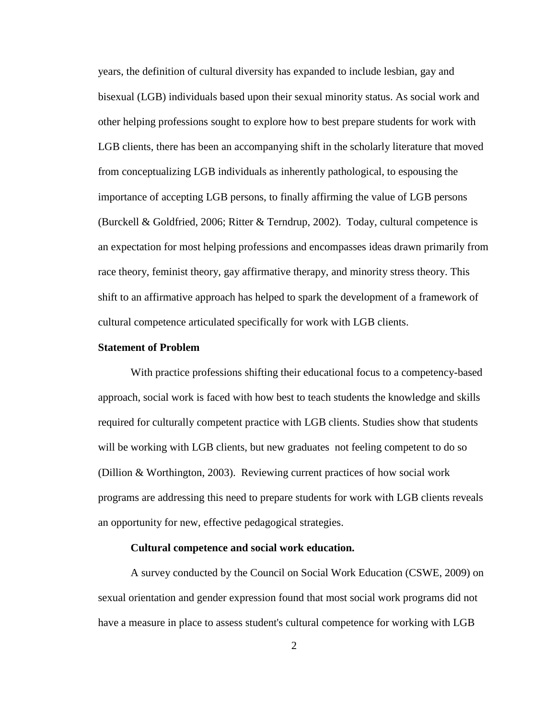years, the definition of cultural diversity has expanded to include lesbian, gay and bisexual (LGB) individuals based upon their sexual minority status. As social work and other helping professions sought to explore how to best prepare students for work with LGB clients, there has been an accompanying shift in the scholarly literature that moved from conceptualizing LGB individuals as inherently pathological, to espousing the importance of accepting LGB persons, to finally affirming the value of LGB persons (Burckell & Goldfried, 2006; Ritter & Terndrup, 2002). Today, cultural competence is an expectation for most helping professions and encompasses ideas drawn primarily from race theory, feminist theory, gay affirmative therapy, and minority stress theory. This shift to an affirmative approach has helped to spark the development of a framework of cultural competence articulated specifically for work with LGB clients.

#### **Statement of Problem**

With practice professions shifting their educational focus to a competency-based approach, social work is faced with how best to teach students the knowledge and skills required for culturally competent practice with LGB clients. Studies show that students will be working with LGB clients, but new graduates not feeling competent to do so (Dillion & Worthington, 2003). Reviewing current practices of how social work programs are addressing this need to prepare students for work with LGB clients reveals an opportunity for new, effective pedagogical strategies.

#### **Cultural competence and social work education.**

A survey conducted by the Council on Social Work Education (CSWE, 2009) on sexual orientation and gender expression found that most social work programs did not have a measure in place to assess student's cultural competence for working with LGB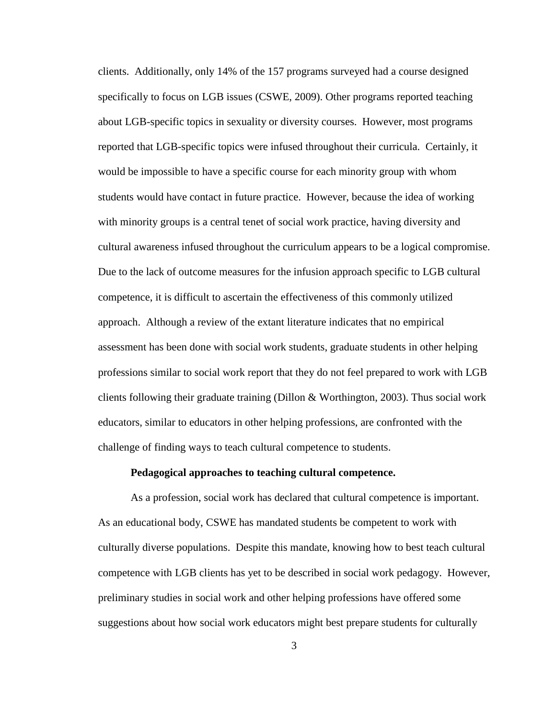clients. Additionally, only 14% of the 157 programs surveyed had a course designed specifically to focus on LGB issues (CSWE, 2009). Other programs reported teaching about LGB-specific topics in sexuality or diversity courses. However, most programs reported that LGB-specific topics were infused throughout their curricula. Certainly, it would be impossible to have a specific course for each minority group with whom students would have contact in future practice. However, because the idea of working with minority groups is a central tenet of social work practice, having diversity and cultural awareness infused throughout the curriculum appears to be a logical compromise. Due to the lack of outcome measures for the infusion approach specific to LGB cultural competence, it is difficult to ascertain the effectiveness of this commonly utilized approach. Although a review of the extant literature indicates that no empirical assessment has been done with social work students, graduate students in other helping professions similar to social work report that they do not feel prepared to work with LGB clients following their graduate training (Dillon & Worthington, 2003). Thus social work educators, similar to educators in other helping professions, are confronted with the challenge of finding ways to teach cultural competence to students.

#### **Pedagogical approaches to teaching cultural competence.**

As a profession, social work has declared that cultural competence is important. As an educational body, CSWE has mandated students be competent to work with culturally diverse populations. Despite this mandate, knowing how to best teach cultural competence with LGB clients has yet to be described in social work pedagogy. However, preliminary studies in social work and other helping professions have offered some suggestions about how social work educators might best prepare students for culturally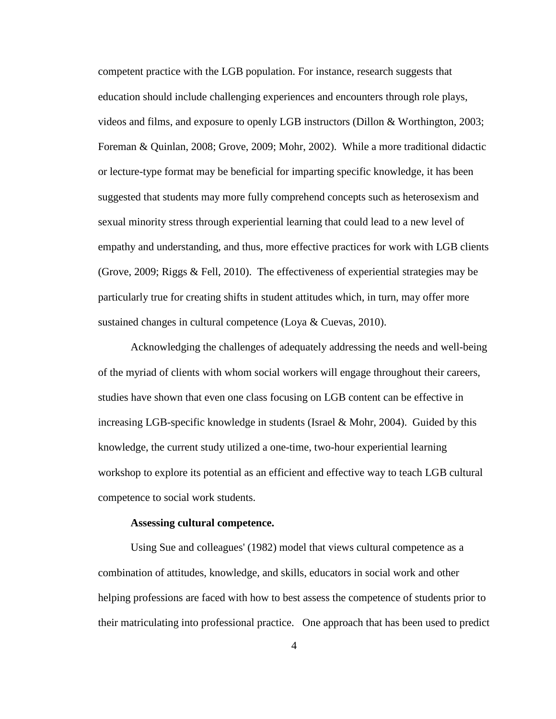competent practice with the LGB population. For instance, research suggests that education should include challenging experiences and encounters through role plays, videos and films, and exposure to openly LGB instructors (Dillon & Worthington, 2003; Foreman & Quinlan, 2008; Grove, 2009; Mohr, 2002). While a more traditional didactic or lecture-type format may be beneficial for imparting specific knowledge, it has been suggested that students may more fully comprehend concepts such as heterosexism and sexual minority stress through experiential learning that could lead to a new level of empathy and understanding, and thus, more effective practices for work with LGB clients (Grove, 2009; Riggs & Fell, 2010). The effectiveness of experiential strategies may be particularly true for creating shifts in student attitudes which, in turn, may offer more sustained changes in cultural competence (Loya & Cuevas, 2010).

Acknowledging the challenges of adequately addressing the needs and well-being of the myriad of clients with whom social workers will engage throughout their careers, studies have shown that even one class focusing on LGB content can be effective in increasing LGB-specific knowledge in students (Israel & Mohr, 2004). Guided by this knowledge, the current study utilized a one-time, two-hour experiential learning workshop to explore its potential as an efficient and effective way to teach LGB cultural competence to social work students.

#### **Assessing cultural competence.**

Using Sue and colleagues' (1982) model that views cultural competence as a combination of attitudes, knowledge, and skills, educators in social work and other helping professions are faced with how to best assess the competence of students prior to their matriculating into professional practice. One approach that has been used to predict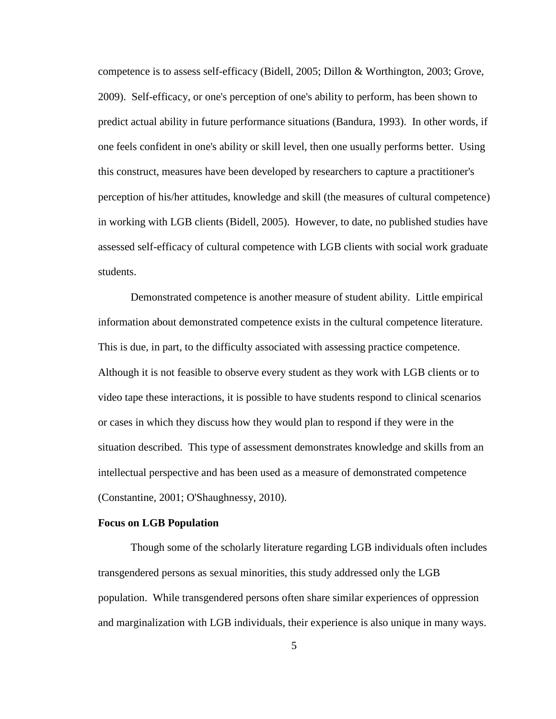competence is to assess self-efficacy (Bidell, 2005; Dillon & Worthington, 2003; Grove, 2009). Self-efficacy, or one's perception of one's ability to perform, has been shown to predict actual ability in future performance situations (Bandura, 1993). In other words, if one feels confident in one's ability or skill level, then one usually performs better. Using this construct, measures have been developed by researchers to capture a practitioner's perception of his/her attitudes, knowledge and skill (the measures of cultural competence) in working with LGB clients (Bidell, 2005). However, to date, no published studies have assessed self-efficacy of cultural competence with LGB clients with social work graduate students.

Demonstrated competence is another measure of student ability. Little empirical information about demonstrated competence exists in the cultural competence literature. This is due, in part, to the difficulty associated with assessing practice competence. Although it is not feasible to observe every student as they work with LGB clients or to video tape these interactions, it is possible to have students respond to clinical scenarios or cases in which they discuss how they would plan to respond if they were in the situation described. This type of assessment demonstrates knowledge and skills from an intellectual perspective and has been used as a measure of demonstrated competence (Constantine, 2001; O'Shaughnessy, 2010).

#### **Focus on LGB Population**

Though some of the scholarly literature regarding LGB individuals often includes transgendered persons as sexual minorities, this study addressed only the LGB population. While transgendered persons often share similar experiences of oppression and marginalization with LGB individuals, their experience is also unique in many ways.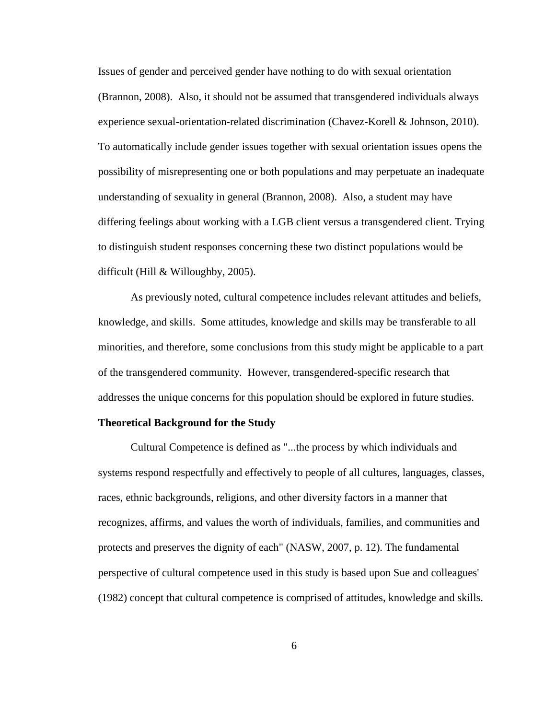Issues of gender and perceived gender have nothing to do with sexual orientation (Brannon, 2008). Also, it should not be assumed that transgendered individuals always experience sexual-orientation-related discrimination (Chavez-Korell & Johnson, 2010). To automatically include gender issues together with sexual orientation issues opens the possibility of misrepresenting one or both populations and may perpetuate an inadequate understanding of sexuality in general (Brannon, 2008). Also, a student may have differing feelings about working with a LGB client versus a transgendered client. Trying to distinguish student responses concerning these two distinct populations would be difficult (Hill & Willoughby, 2005).

As previously noted, cultural competence includes relevant attitudes and beliefs, knowledge, and skills. Some attitudes, knowledge and skills may be transferable to all minorities, and therefore, some conclusions from this study might be applicable to a part of the transgendered community. However, transgendered-specific research that addresses the unique concerns for this population should be explored in future studies.

#### **Theoretical Background for the Study**

Cultural Competence is defined as "...the process by which individuals and systems respond respectfully and effectively to people of all cultures, languages, classes, races, ethnic backgrounds, religions, and other diversity factors in a manner that recognizes, affirms, and values the worth of individuals, families, and communities and protects and preserves the dignity of each" (NASW, 2007, p. 12). The fundamental perspective of cultural competence used in this study is based upon Sue and colleagues' (1982) concept that cultural competence is comprised of attitudes, knowledge and skills.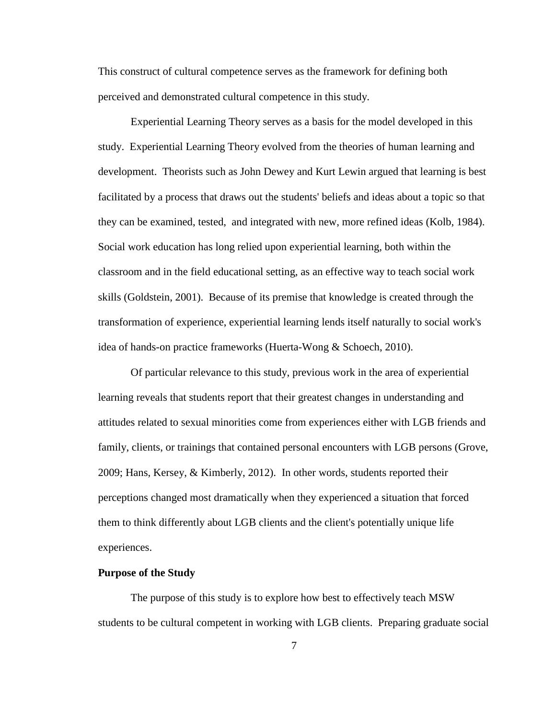This construct of cultural competence serves as the framework for defining both perceived and demonstrated cultural competence in this study.

Experiential Learning Theory serves as a basis for the model developed in this study. Experiential Learning Theory evolved from the theories of human learning and development. Theorists such as John Dewey and Kurt Lewin argued that learning is best facilitated by a process that draws out the students' beliefs and ideas about a topic so that they can be examined, tested, and integrated with new, more refined ideas (Kolb, 1984). Social work education has long relied upon experiential learning, both within the classroom and in the field educational setting, as an effective way to teach social work skills (Goldstein, 2001). Because of its premise that knowledge is created through the transformation of experience, experiential learning lends itself naturally to social work's idea of hands-on practice frameworks (Huerta-Wong & Schoech, 2010).

Of particular relevance to this study, previous work in the area of experiential learning reveals that students report that their greatest changes in understanding and attitudes related to sexual minorities come from experiences either with LGB friends and family, clients, or trainings that contained personal encounters with LGB persons (Grove, 2009; Hans, Kersey, & Kimberly, 2012). In other words, students reported their perceptions changed most dramatically when they experienced a situation that forced them to think differently about LGB clients and the client's potentially unique life experiences.

#### **Purpose of the Study**

The purpose of this study is to explore how best to effectively teach MSW students to be cultural competent in working with LGB clients. Preparing graduate social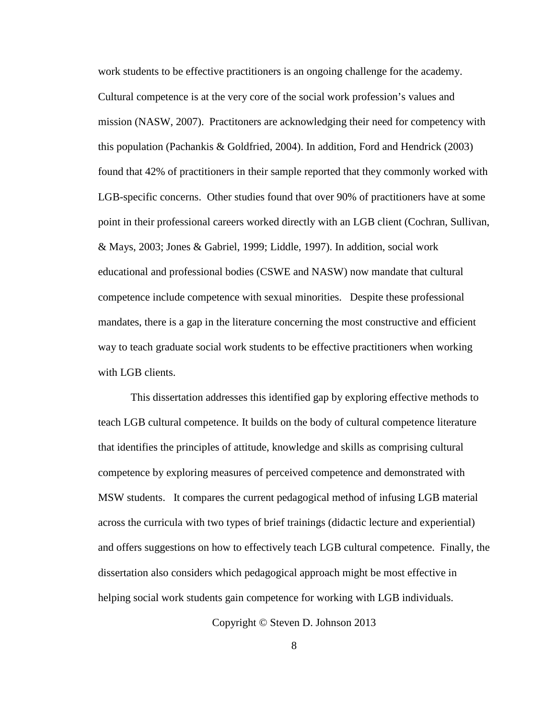work students to be effective practitioners is an ongoing challenge for the academy. Cultural competence is at the very core of the social work profession's values and mission (NASW, 2007). Practitoners are acknowledging their need for competency with this population (Pachankis & Goldfried, 2004). In addition, Ford and Hendrick (2003) found that 42% of practitioners in their sample reported that they commonly worked with LGB-specific concerns. Other studies found that over 90% of practitioners have at some point in their professional careers worked directly with an LGB client (Cochran, Sullivan, & Mays, 2003; Jones & Gabriel, 1999; Liddle, 1997). In addition, social work educational and professional bodies (CSWE and NASW) now mandate that cultural competence include competence with sexual minorities. Despite these professional mandates, there is a gap in the literature concerning the most constructive and efficient way to teach graduate social work students to be effective practitioners when working with LGB clients.

This dissertation addresses this identified gap by exploring effective methods to teach LGB cultural competence. It builds on the body of cultural competence literature that identifies the principles of attitude, knowledge and skills as comprising cultural competence by exploring measures of perceived competence and demonstrated with MSW students. It compares the current pedagogical method of infusing LGB material across the curricula with two types of brief trainings (didactic lecture and experiential) and offers suggestions on how to effectively teach LGB cultural competence. Finally, the dissertation also considers which pedagogical approach might be most effective in helping social work students gain competence for working with LGB individuals.

Copyright © Steven D. Johnson 2013

8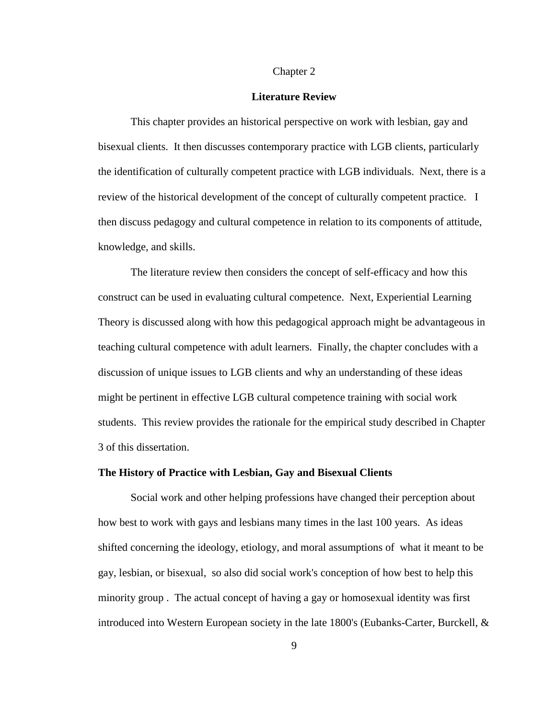#### Chapter 2

#### **Literature Review**

This chapter provides an historical perspective on work with lesbian, gay and bisexual clients. It then discusses contemporary practice with LGB clients, particularly the identification of culturally competent practice with LGB individuals. Next, there is a review of the historical development of the concept of culturally competent practice. I then discuss pedagogy and cultural competence in relation to its components of attitude, knowledge, and skills.

The literature review then considers the concept of self-efficacy and how this construct can be used in evaluating cultural competence. Next, Experiential Learning Theory is discussed along with how this pedagogical approach might be advantageous in teaching cultural competence with adult learners. Finally, the chapter concludes with a discussion of unique issues to LGB clients and why an understanding of these ideas might be pertinent in effective LGB cultural competence training with social work students. This review provides the rationale for the empirical study described in Chapter 3 of this dissertation.

#### **The History of Practice with Lesbian, Gay and Bisexual Clients**

Social work and other helping professions have changed their perception about how best to work with gays and lesbians many times in the last 100 years. As ideas shifted concerning the ideology, etiology, and moral assumptions of what it meant to be gay, lesbian, or bisexual, so also did social work's conception of how best to help this minority group . The actual concept of having a gay or homosexual identity was first introduced into Western European society in the late 1800's (Eubanks-Carter, Burckell, &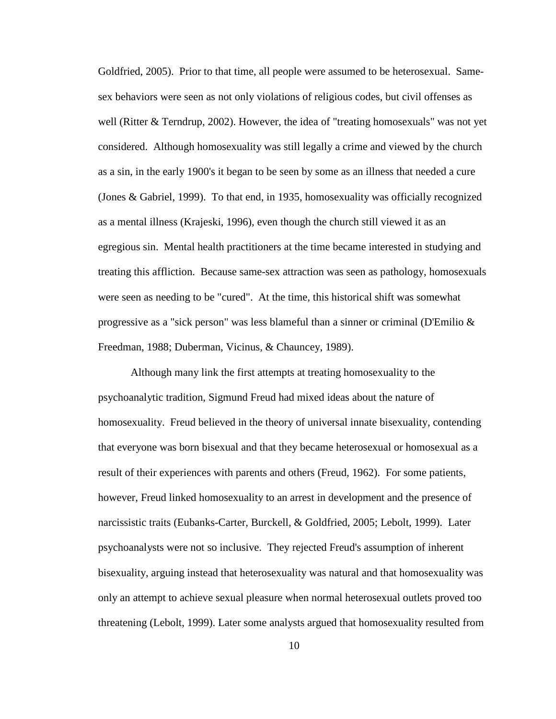Goldfried, 2005). Prior to that time, all people were assumed to be heterosexual. Samesex behaviors were seen as not only violations of religious codes, but civil offenses as well (Ritter & Terndrup, 2002). However, the idea of "treating homosexuals" was not yet considered. Although homosexuality was still legally a crime and viewed by the church as a sin, in the early 1900's it began to be seen by some as an illness that needed a cure (Jones & Gabriel, 1999). To that end, in 1935, homosexuality was officially recognized as a mental illness (Krajeski, 1996), even though the church still viewed it as an egregious sin. Mental health practitioners at the time became interested in studying and treating this affliction. Because same-sex attraction was seen as pathology, homosexuals were seen as needing to be "cured". At the time, this historical shift was somewhat progressive as a "sick person" was less blameful than a sinner or criminal (D'Emilio & Freedman, 1988; Duberman, Vicinus, & Chauncey, 1989).

Although many link the first attempts at treating homosexuality to the psychoanalytic tradition, Sigmund Freud had mixed ideas about the nature of homosexuality. Freud believed in the theory of universal innate bisexuality, contending that everyone was born bisexual and that they became heterosexual or homosexual as a result of their experiences with parents and others (Freud, 1962). For some patients, however, Freud linked homosexuality to an arrest in development and the presence of narcissistic traits (Eubanks-Carter, Burckell, & Goldfried, 2005; Lebolt, 1999). Later psychoanalysts were not so inclusive. They rejected Freud's assumption of inherent bisexuality, arguing instead that heterosexuality was natural and that homosexuality was only an attempt to achieve sexual pleasure when normal heterosexual outlets proved too threatening (Lebolt, 1999). Later some analysts argued that homosexuality resulted from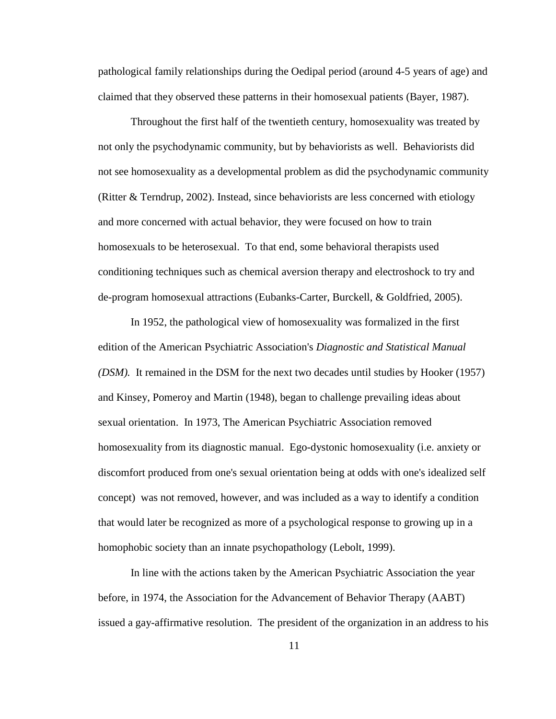pathological family relationships during the Oedipal period (around 4-5 years of age) and claimed that they observed these patterns in their homosexual patients (Bayer, 1987).

Throughout the first half of the twentieth century, homosexuality was treated by not only the psychodynamic community, but by behaviorists as well. Behaviorists did not see homosexuality as a developmental problem as did the psychodynamic community (Ritter & Terndrup, 2002). Instead, since behaviorists are less concerned with etiology and more concerned with actual behavior, they were focused on how to train homosexuals to be heterosexual. To that end, some behavioral therapists used conditioning techniques such as chemical aversion therapy and electroshock to try and de-program homosexual attractions (Eubanks-Carter, Burckell, & Goldfried, 2005).

In 1952, the pathological view of homosexuality was formalized in the first edition of the American Psychiatric Association's *Diagnostic and Statistical Manual (DSM).* It remained in the DSM for the next two decades until studies by Hooker (1957) and Kinsey, Pomeroy and Martin (1948), began to challenge prevailing ideas about sexual orientation. In 1973, The American Psychiatric Association removed homosexuality from its diagnostic manual. Ego-dystonic homosexuality (i.e. anxiety or discomfort produced from one's sexual orientation being at odds with one's idealized self concept) was not removed, however, and was included as a way to identify a condition that would later be recognized as more of a psychological response to growing up in a homophobic society than an innate psychopathology (Lebolt, 1999).

In line with the actions taken by the American Psychiatric Association the year before, in 1974, the Association for the Advancement of Behavior Therapy (AABT) issued a gay-affirmative resolution. The president of the organization in an address to his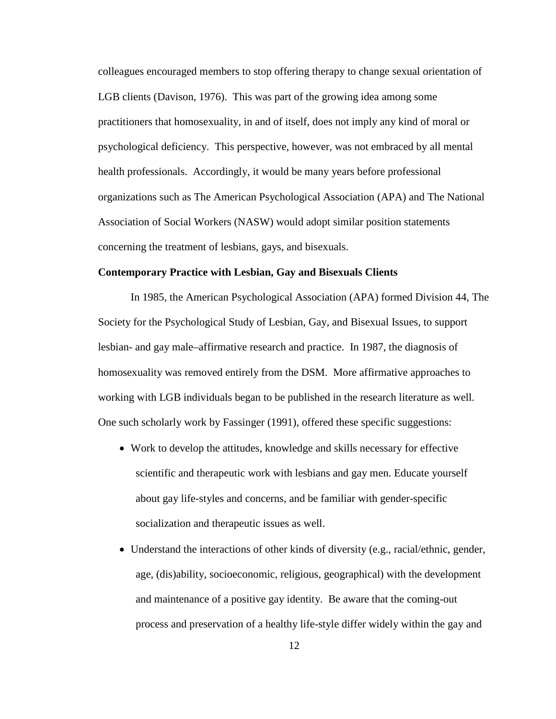colleagues encouraged members to stop offering therapy to change sexual orientation of LGB clients (Davison, 1976). This was part of the growing idea among some practitioners that homosexuality, in and of itself, does not imply any kind of moral or psychological deficiency. This perspective, however, was not embraced by all mental health professionals. Accordingly, it would be many years before professional organizations such as The American Psychological Association (APA) and The National Association of Social Workers (NASW) would adopt similar position statements concerning the treatment of lesbians, gays, and bisexuals.

#### **Contemporary Practice with Lesbian, Gay and Bisexuals Clients**

In 1985, the American Psychological Association (APA) formed Division 44, The Society for the Psychological Study of Lesbian, Gay, and Bisexual Issues, to support lesbian- and gay male–affirmative research and practice. In 1987, the diagnosis of homosexuality was removed entirely from the DSM. More affirmative approaches to working with LGB individuals began to be published in the research literature as well. One such scholarly work by Fassinger (1991), offered these specific suggestions:

- Work to develop the attitudes, knowledge and skills necessary for effective scientific and therapeutic work with lesbians and gay men. Educate yourself about gay life-styles and concerns, and be familiar with gender-specific socialization and therapeutic issues as well.
- Understand the interactions of other kinds of diversity (e.g., racial/ethnic, gender, age, (dis)ability, socioeconomic, religious, geographical) with the development and maintenance of a positive gay identity. Be aware that the coming-out process and preservation of a healthy life-style differ widely within the gay and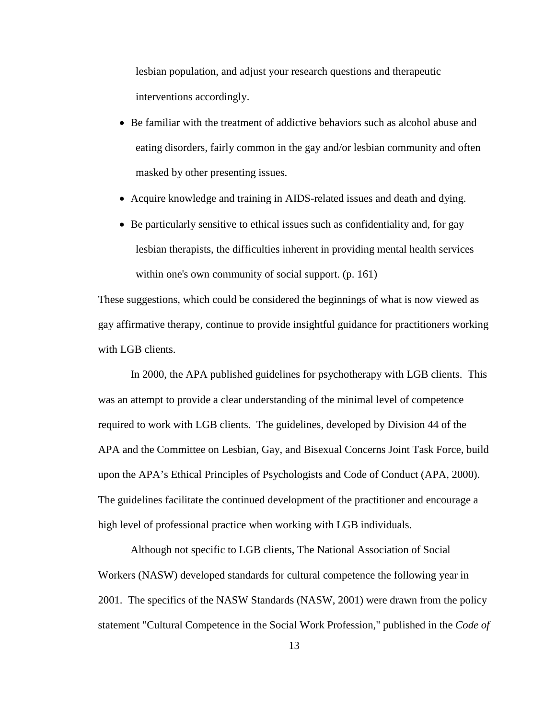lesbian population, and adjust your research questions and therapeutic interventions accordingly.

- Be familiar with the treatment of addictive behaviors such as alcohol abuse and eating disorders, fairly common in the gay and/or lesbian community and often masked by other presenting issues.
- Acquire knowledge and training in AIDS-related issues and death and dying.
- Be particularly sensitive to ethical issues such as confidentiality and, for gay lesbian therapists, the difficulties inherent in providing mental health services within one's own community of social support. (p. 161)

These suggestions, which could be considered the beginnings of what is now viewed as gay affirmative therapy, continue to provide insightful guidance for practitioners working with LGB clients.

In 2000, the APA published guidelines for psychotherapy with LGB clients. This was an attempt to provide a clear understanding of the minimal level of competence required to work with LGB clients. The guidelines, developed by Division 44 of the APA and the Committee on Lesbian, Gay, and Bisexual Concerns Joint Task Force, build upon the APA's Ethical Principles of Psychologists and Code of Conduct (APA, 2000). The guidelines facilitate the continued development of the practitioner and encourage a high level of professional practice when working with LGB individuals.

Although not specific to LGB clients, The National Association of Social Workers (NASW) developed standards for cultural competence the following year in 2001. The specifics of the NASW Standards (NASW, 2001) were drawn from the policy statement "Cultural Competence in the Social Work Profession," published in the *Code of*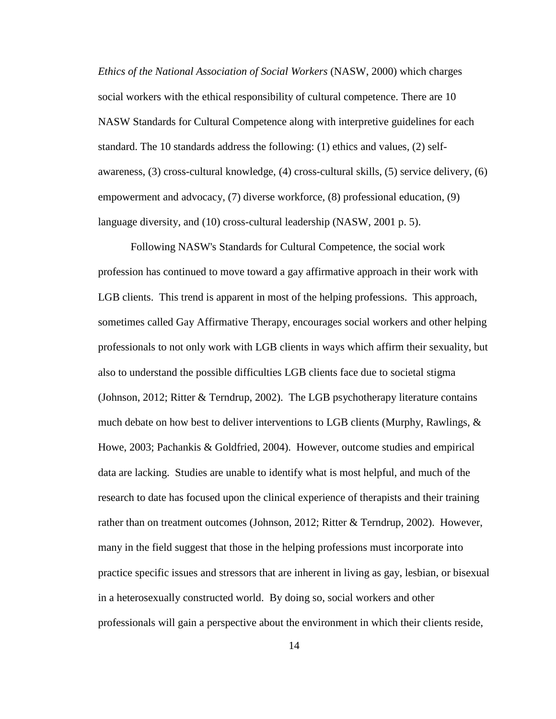*Ethics of the National Association of Social Workers* (NASW, 2000) which charges social workers with the ethical responsibility of cultural competence. There are 10 NASW Standards for Cultural Competence along with interpretive guidelines for each standard. The 10 standards address the following: (1) ethics and values, (2) selfawareness, (3) cross-cultural knowledge, (4) cross-cultural skills, (5) service delivery, (6) empowerment and advocacy, (7) diverse workforce, (8) professional education, (9) language diversity, and (10) cross-cultural leadership (NASW, 2001 p. 5).

Following NASW's Standards for Cultural Competence, the social work profession has continued to move toward a gay affirmative approach in their work with LGB clients. This trend is apparent in most of the helping professions. This approach, sometimes called Gay Affirmative Therapy, encourages social workers and other helping professionals to not only work with LGB clients in ways which affirm their sexuality, but also to understand the possible difficulties LGB clients face due to societal stigma (Johnson, 2012; Ritter & Terndrup, 2002). The LGB psychotherapy literature contains much debate on how best to deliver interventions to LGB clients (Murphy, Rawlings, & Howe, 2003; Pachankis & Goldfried, 2004). However, outcome studies and empirical data are lacking. Studies are unable to identify what is most helpful, and much of the research to date has focused upon the clinical experience of therapists and their training rather than on treatment outcomes (Johnson, 2012; Ritter & Terndrup, 2002). However, many in the field suggest that those in the helping professions must incorporate into practice specific issues and stressors that are inherent in living as gay, lesbian, or bisexual in a heterosexually constructed world. By doing so, social workers and other professionals will gain a perspective about the environment in which their clients reside,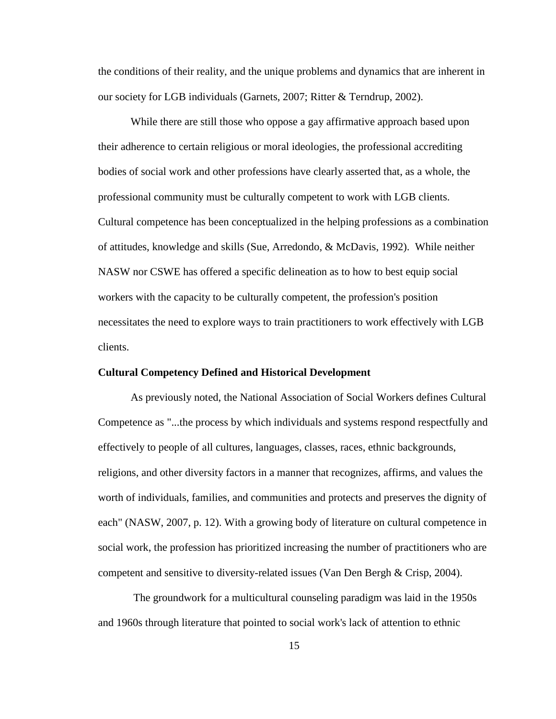the conditions of their reality, and the unique problems and dynamics that are inherent in our society for LGB individuals (Garnets, 2007; Ritter & Terndrup, 2002).

While there are still those who oppose a gay affirmative approach based upon their adherence to certain religious or moral ideologies, the professional accrediting bodies of social work and other professions have clearly asserted that, as a whole, the professional community must be culturally competent to work with LGB clients. Cultural competence has been conceptualized in the helping professions as a combination of attitudes, knowledge and skills (Sue, Arredondo, & McDavis, 1992). While neither NASW nor CSWE has offered a specific delineation as to how to best equip social workers with the capacity to be culturally competent, the profession's position necessitates the need to explore ways to train practitioners to work effectively with LGB clients.

#### **Cultural Competency Defined and Historical Development**

As previously noted, the National Association of Social Workers defines Cultural Competence as "...the process by which individuals and systems respond respectfully and effectively to people of all cultures, languages, classes, races, ethnic backgrounds, religions, and other diversity factors in a manner that recognizes, affirms, and values the worth of individuals, families, and communities and protects and preserves the dignity of each" (NASW, 2007, p. 12). With a growing body of literature on cultural competence in social work, the profession has prioritized increasing the number of practitioners who are competent and sensitive to diversity-related issues (Van Den Bergh & Crisp, 2004).

The groundwork for a multicultural counseling paradigm was laid in the 1950s and 1960s through literature that pointed to social work's lack of attention to ethnic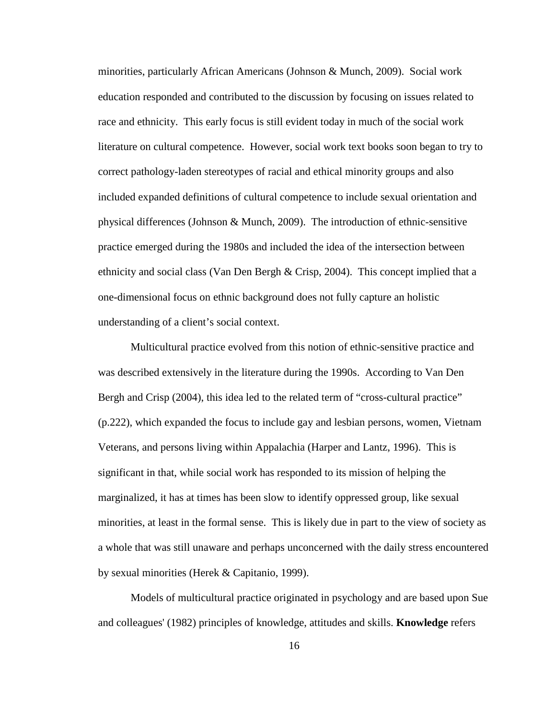minorities, particularly African Americans (Johnson & Munch, 2009). Social work education responded and contributed to the discussion by focusing on issues related to race and ethnicity. This early focus is still evident today in much of the social work literature on cultural competence. However, social work text books soon began to try to correct pathology-laden stereotypes of racial and ethical minority groups and also included expanded definitions of cultural competence to include sexual orientation and physical differences (Johnson & Munch, 2009). The introduction of ethnic-sensitive practice emerged during the 1980s and included the idea of the intersection between ethnicity and social class (Van Den Bergh & Crisp, 2004). This concept implied that a one-dimensional focus on ethnic background does not fully capture an holistic understanding of a client's social context.

Multicultural practice evolved from this notion of ethnic-sensitive practice and was described extensively in the literature during the 1990s. According to Van Den Bergh and Crisp (2004), this idea led to the related term of "cross-cultural practice" (p.222), which expanded the focus to include gay and lesbian persons, women, Vietnam Veterans, and persons living within Appalachia (Harper and Lantz, 1996). This is significant in that, while social work has responded to its mission of helping the marginalized, it has at times has been slow to identify oppressed group, like sexual minorities, at least in the formal sense. This is likely due in part to the view of society as a whole that was still unaware and perhaps unconcerned with the daily stress encountered by sexual minorities (Herek & Capitanio, 1999).

Models of multicultural practice originated in psychology and are based upon Sue and colleagues' (1982) principles of knowledge, attitudes and skills. **Knowledge** refers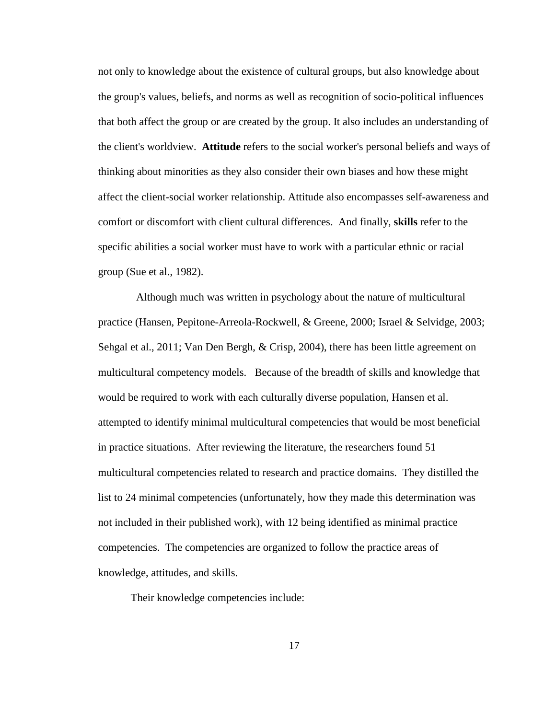not only to knowledge about the existence of cultural groups, but also knowledge about the group's values, beliefs, and norms as well as recognition of socio-political influences that both affect the group or are created by the group. It also includes an understanding of the client's worldview. **Attitude** refers to the social worker's personal beliefs and ways of thinking about minorities as they also consider their own biases and how these might affect the client-social worker relationship. Attitude also encompasses self-awareness and comfort or discomfort with client cultural differences. And finally, **skills** refer to the specific abilities a social worker must have to work with a particular ethnic or racial group (Sue et al., 1982).

 Although much was written in psychology about the nature of multicultural practice (Hansen, Pepitone-Arreola-Rockwell, & Greene, 2000; Israel & Selvidge, 2003; Sehgal et al., 2011; Van Den Bergh, & Crisp, 2004), there has been little agreement on multicultural competency models. Because of the breadth of skills and knowledge that would be required to work with each culturally diverse population, Hansen et al. attempted to identify minimal multicultural competencies that would be most beneficial in practice situations. After reviewing the literature, the researchers found 51 multicultural competencies related to research and practice domains. They distilled the list to 24 minimal competencies (unfortunately, how they made this determination was not included in their published work), with 12 being identified as minimal practice competencies. The competencies are organized to follow the practice areas of knowledge, attitudes, and skills.

Their knowledge competencies include: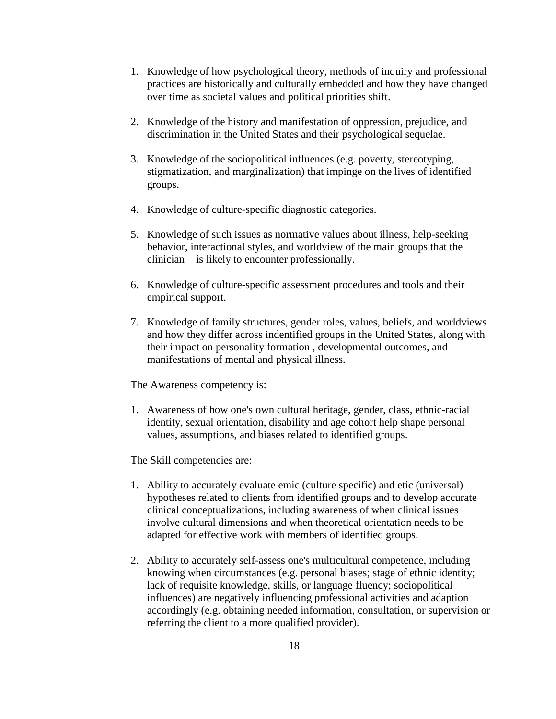- 1. Knowledge of how psychological theory, methods of inquiry and professional practices are historically and culturally embedded and how they have changed over time as societal values and political priorities shift.
- 2. Knowledge of the history and manifestation of oppression, prejudice, and discrimination in the United States and their psychological sequelae.
- 3. Knowledge of the sociopolitical influences (e.g. poverty, stereotyping, stigmatization, and marginalization) that impinge on the lives of identified groups.
- 4. Knowledge of culture-specific diagnostic categories.
- 5. Knowledge of such issues as normative values about illness, help-seeking behavior, interactional styles, and worldview of the main groups that the clinician is likely to encounter professionally.
- 6. Knowledge of culture-specific assessment procedures and tools and their empirical support.
- 7. Knowledge of family structures, gender roles, values, beliefs, and worldviews and how they differ across indentified groups in the United States, along with their impact on personality formation , developmental outcomes, and manifestations of mental and physical illness.

The Awareness competency is:

1. Awareness of how one's own cultural heritage, gender, class, ethnic-racial identity, sexual orientation, disability and age cohort help shape personal values, assumptions, and biases related to identified groups.

The Skill competencies are:

- 1. Ability to accurately evaluate emic (culture specific) and etic (universal) hypotheses related to clients from identified groups and to develop accurate clinical conceptualizations, including awareness of when clinical issues involve cultural dimensions and when theoretical orientation needs to be adapted for effective work with members of identified groups.
- 2. Ability to accurately self-assess one's multicultural competence, including knowing when circumstances (e.g. personal biases; stage of ethnic identity; lack of requisite knowledge, skills, or language fluency; sociopolitical influences) are negatively influencing professional activities and adaption accordingly (e.g. obtaining needed information, consultation, or supervision or referring the client to a more qualified provider).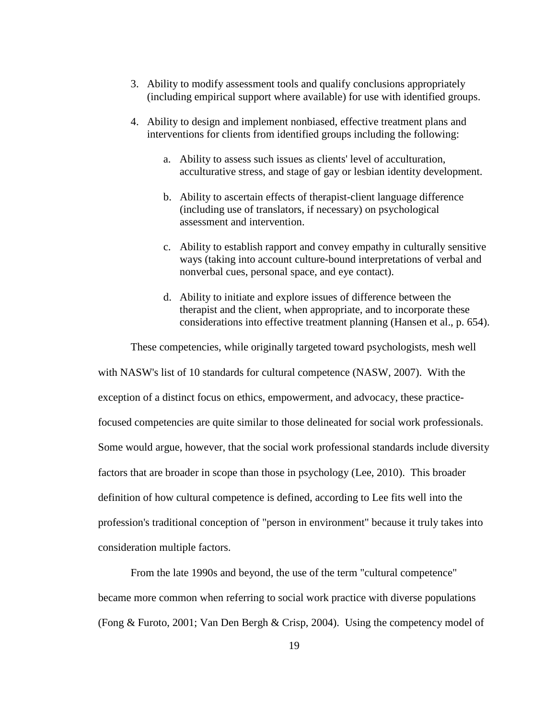- 3. Ability to modify assessment tools and qualify conclusions appropriately (including empirical support where available) for use with identified groups.
- 4. Ability to design and implement nonbiased, effective treatment plans and interventions for clients from identified groups including the following:
	- a. Ability to assess such issues as clients' level of acculturation, acculturative stress, and stage of gay or lesbian identity development.
	- b. Ability to ascertain effects of therapist-client language difference (including use of translators, if necessary) on psychological assessment and intervention.
	- c. Ability to establish rapport and convey empathy in culturally sensitive ways (taking into account culture-bound interpretations of verbal and nonverbal cues, personal space, and eye contact).
	- d. Ability to initiate and explore issues of difference between the therapist and the client, when appropriate, and to incorporate these considerations into effective treatment planning (Hansen et al., p. 654).

These competencies, while originally targeted toward psychologists, mesh well with NASW's list of 10 standards for cultural competence (NASW, 2007). With the exception of a distinct focus on ethics, empowerment, and advocacy, these practicefocused competencies are quite similar to those delineated for social work professionals. Some would argue, however, that the social work professional standards include diversity factors that are broader in scope than those in psychology (Lee, 2010). This broader definition of how cultural competence is defined, according to Lee fits well into the profession's traditional conception of "person in environment" because it truly takes into consideration multiple factors.

From the late 1990s and beyond, the use of the term "cultural competence" became more common when referring to social work practice with diverse populations (Fong & Furoto, 2001; Van Den Bergh & Crisp, 2004). Using the competency model of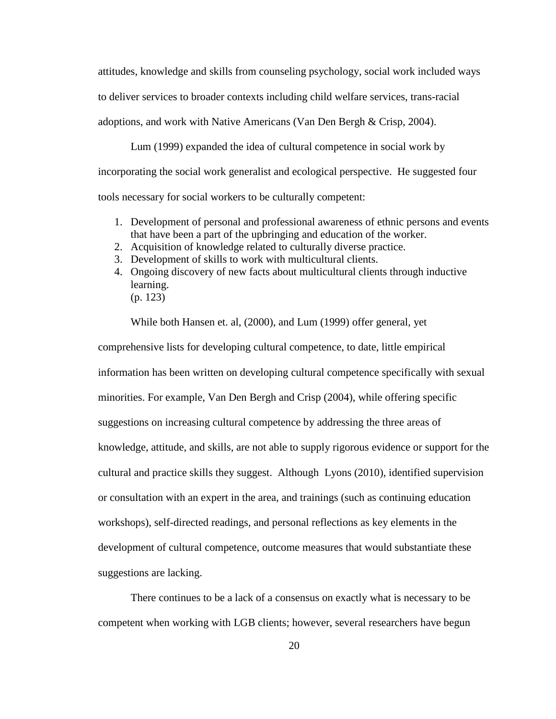attitudes, knowledge and skills from counseling psychology, social work included ways to deliver services to broader contexts including child welfare services, trans-racial adoptions, and work with Native Americans (Van Den Bergh & Crisp, 2004).

Lum (1999) expanded the idea of cultural competence in social work by incorporating the social work generalist and ecological perspective. He suggested four tools necessary for social workers to be culturally competent:

- 1. Development of personal and professional awareness of ethnic persons and events that have been a part of the upbringing and education of the worker.
- 2. Acquisition of knowledge related to culturally diverse practice.
- 3. Development of skills to work with multicultural clients.
- 4. Ongoing discovery of new facts about multicultural clients through inductive learning. (p. 123)

While both Hansen et. al, (2000), and Lum (1999) offer general, yet

comprehensive lists for developing cultural competence, to date, little empirical information has been written on developing cultural competence specifically with sexual minorities. For example, Van Den Bergh and Crisp (2004), while offering specific suggestions on increasing cultural competence by addressing the three areas of knowledge, attitude, and skills, are not able to supply rigorous evidence or support for the cultural and practice skills they suggest. Although Lyons (2010), identified supervision or consultation with an expert in the area, and trainings (such as continuing education workshops), self-directed readings, and personal reflections as key elements in the development of cultural competence, outcome measures that would substantiate these suggestions are lacking.

There continues to be a lack of a consensus on exactly what is necessary to be competent when working with LGB clients; however, several researchers have begun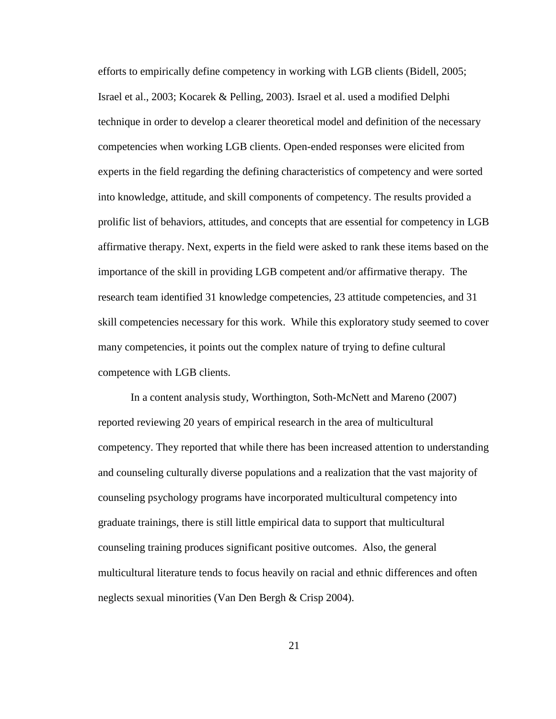efforts to empirically define competency in working with LGB clients (Bidell, 2005; Israel et al., 2003; Kocarek & Pelling, 2003). Israel et al. used a modified Delphi technique in order to develop a clearer theoretical model and definition of the necessary competencies when working LGB clients. Open-ended responses were elicited from experts in the field regarding the defining characteristics of competency and were sorted into knowledge, attitude, and skill components of competency. The results provided a prolific list of behaviors, attitudes, and concepts that are essential for competency in LGB affirmative therapy. Next, experts in the field were asked to rank these items based on the importance of the skill in providing LGB competent and/or affirmative therapy. The research team identified 31 knowledge competencies, 23 attitude competencies, and 31 skill competencies necessary for this work. While this exploratory study seemed to cover many competencies, it points out the complex nature of trying to define cultural competence with LGB clients.

In a content analysis study, Worthington, Soth-McNett and Mareno (2007) reported reviewing 20 years of empirical research in the area of multicultural competency. They reported that while there has been increased attention to understanding and counseling culturally diverse populations and a realization that the vast majority of counseling psychology programs have incorporated multicultural competency into graduate trainings, there is still little empirical data to support that multicultural counseling training produces significant positive outcomes. Also, the general multicultural literature tends to focus heavily on racial and ethnic differences and often neglects sexual minorities (Van Den Bergh & Crisp 2004).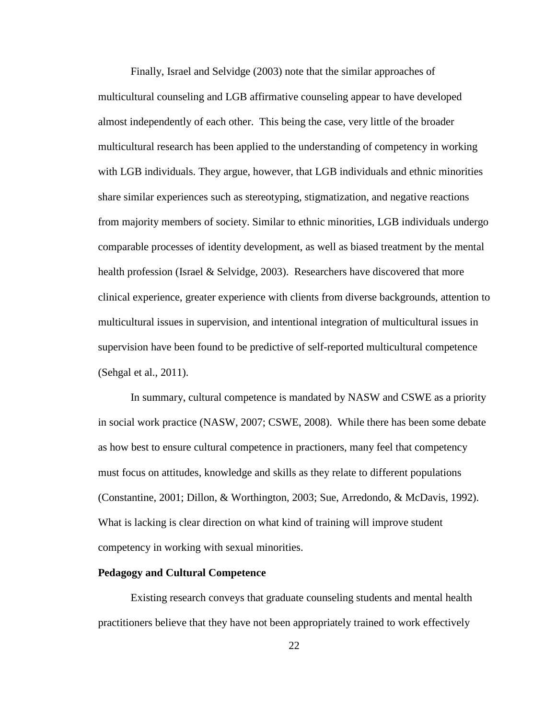Finally, Israel and Selvidge (2003) note that the similar approaches of multicultural counseling and LGB affirmative counseling appear to have developed almost independently of each other. This being the case, very little of the broader multicultural research has been applied to the understanding of competency in working with LGB individuals. They argue, however, that LGB individuals and ethnic minorities share similar experiences such as stereotyping, stigmatization, and negative reactions from majority members of society. Similar to ethnic minorities, LGB individuals undergo comparable processes of identity development, as well as biased treatment by the mental health profession (Israel & Selvidge, 2003). Researchers have discovered that more clinical experience, greater experience with clients from diverse backgrounds, attention to multicultural issues in supervision, and intentional integration of multicultural issues in supervision have been found to be predictive of self-reported multicultural competence (Sehgal et al., 2011).

In summary, cultural competence is mandated by NASW and CSWE as a priority in social work practice (NASW, 2007; CSWE, 2008). While there has been some debate as how best to ensure cultural competence in practioners, many feel that competency must focus on attitudes, knowledge and skills as they relate to different populations (Constantine, 2001; Dillon, & Worthington, 2003; Sue, Arredondo, & McDavis, 1992). What is lacking is clear direction on what kind of training will improve student competency in working with sexual minorities.

#### **Pedagogy and Cultural Competence**

Existing research conveys that graduate counseling students and mental health practitioners believe that they have not been appropriately trained to work effectively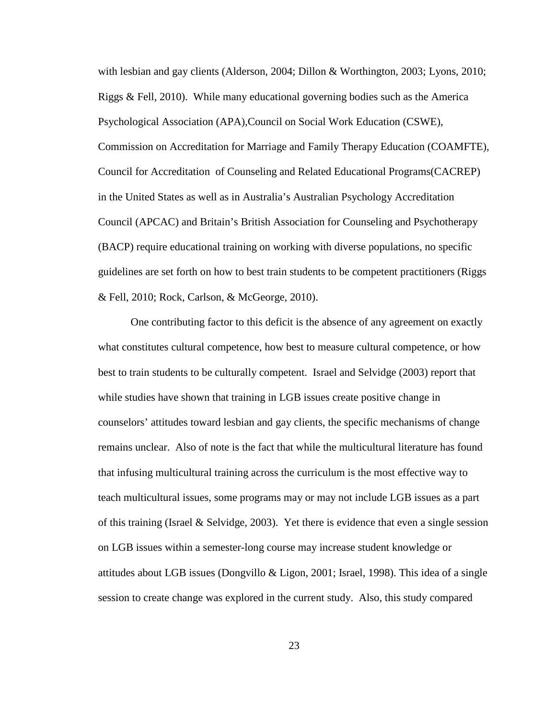with lesbian and gay clients (Alderson, 2004; Dillon & Worthington, 2003; Lyons, 2010; Riggs & Fell, 2010). While many educational governing bodies such as the America Psychological Association (APA),Council on Social Work Education (CSWE), Commission on Accreditation for Marriage and Family Therapy Education (COAMFTE), Council for Accreditation of Counseling and Related Educational Programs(CACREP) in the United States as well as in Australia's Australian Psychology Accreditation Council (APCAC) and Britain's British Association for Counseling and Psychotherapy (BACP) require educational training on working with diverse populations, no specific guidelines are set forth on how to best train students to be competent practitioners (Riggs & Fell, 2010; Rock, Carlson, & McGeorge, 2010).

One contributing factor to this deficit is the absence of any agreement on exactly what constitutes cultural competence, how best to measure cultural competence, or how best to train students to be culturally competent. Israel and Selvidge (2003) report that while studies have shown that training in LGB issues create positive change in counselors' attitudes toward lesbian and gay clients, the specific mechanisms of change remains unclear. Also of note is the fact that while the multicultural literature has found that infusing multicultural training across the curriculum is the most effective way to teach multicultural issues, some programs may or may not include LGB issues as a part of this training (Israel & Selvidge, 2003). Yet there is evidence that even a single session on LGB issues within a semester-long course may increase student knowledge or attitudes about LGB issues (Dongvillo & Ligon, 2001; Israel, 1998). This idea of a single session to create change was explored in the current study. Also, this study compared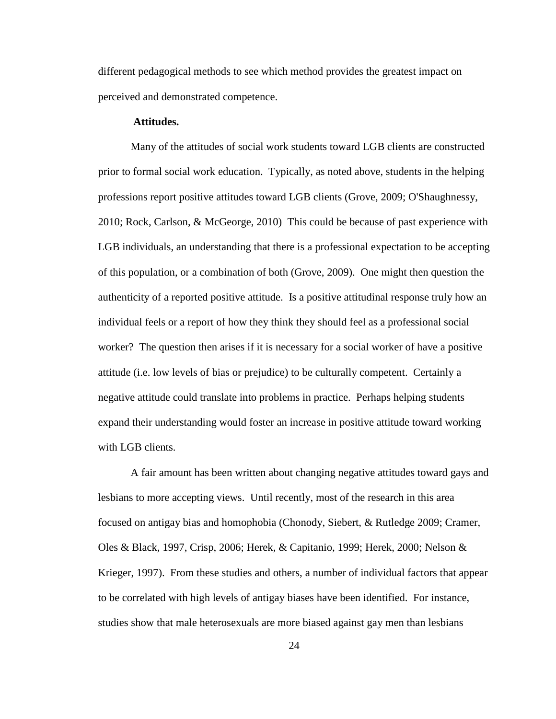different pedagogical methods to see which method provides the greatest impact on perceived and demonstrated competence.

#### **Attitudes.**

Many of the attitudes of social work students toward LGB clients are constructed prior to formal social work education. Typically, as noted above, students in the helping professions report positive attitudes toward LGB clients (Grove, 2009; O'Shaughnessy, 2010; Rock, Carlson, & McGeorge, 2010) This could be because of past experience with LGB individuals, an understanding that there is a professional expectation to be accepting of this population, or a combination of both (Grove, 2009). One might then question the authenticity of a reported positive attitude. Is a positive attitudinal response truly how an individual feels or a report of how they think they should feel as a professional social worker? The question then arises if it is necessary for a social worker of have a positive attitude (i.e. low levels of bias or prejudice) to be culturally competent. Certainly a negative attitude could translate into problems in practice. Perhaps helping students expand their understanding would foster an increase in positive attitude toward working with LGB clients.

A fair amount has been written about changing negative attitudes toward gays and lesbians to more accepting views. Until recently, most of the research in this area focused on antigay bias and homophobia (Chonody, Siebert, & Rutledge 2009; Cramer, Oles & Black, 1997, Crisp, 2006; Herek, & Capitanio, 1999; Herek, 2000; Nelson & Krieger, 1997). From these studies and others, a number of individual factors that appear to be correlated with high levels of antigay biases have been identified. For instance, studies show that male heterosexuals are more biased against gay men than lesbians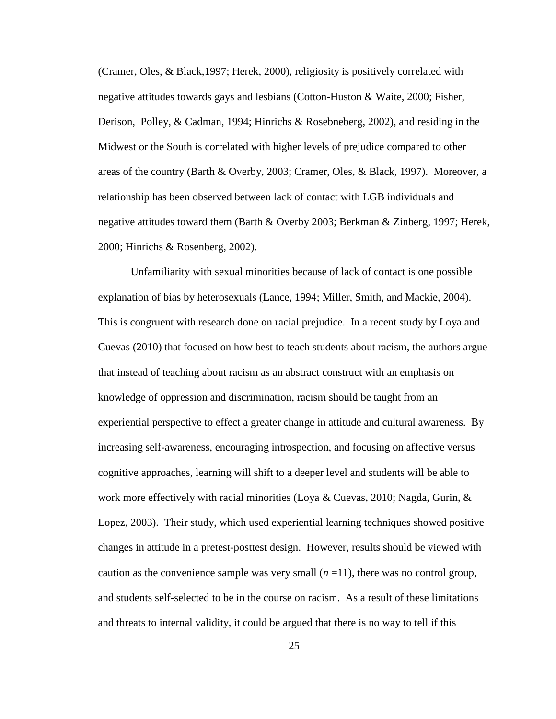(Cramer, Oles, & Black,1997; Herek, 2000), religiosity is positively correlated with negative attitudes towards gays and lesbians (Cotton-Huston & Waite, 2000; Fisher, Derison, Polley, & Cadman, 1994; Hinrichs & Rosebneberg, 2002), and residing in the Midwest or the South is correlated with higher levels of prejudice compared to other areas of the country (Barth & Overby, 2003; Cramer, Oles, & Black, 1997). Moreover, a relationship has been observed between lack of contact with LGB individuals and negative attitudes toward them (Barth & Overby 2003; Berkman & Zinberg, 1997; Herek, 2000; Hinrichs & Rosenberg, 2002).

Unfamiliarity with sexual minorities because of lack of contact is one possible explanation of bias by heterosexuals (Lance, 1994; Miller, Smith, and Mackie, 2004). This is congruent with research done on racial prejudice. In a recent study by Loya and Cuevas (2010) that focused on how best to teach students about racism, the authors argue that instead of teaching about racism as an abstract construct with an emphasis on knowledge of oppression and discrimination, racism should be taught from an experiential perspective to effect a greater change in attitude and cultural awareness. By increasing self-awareness, encouraging introspection, and focusing on affective versus cognitive approaches, learning will shift to a deeper level and students will be able to work more effectively with racial minorities (Loya & Cuevas, 2010; Nagda, Gurin,  $\&$ Lopez, 2003). Their study, which used experiential learning techniques showed positive changes in attitude in a pretest-posttest design. However, results should be viewed with caution as the convenience sample was very small  $(n=11)$ , there was no control group, and students self-selected to be in the course on racism. As a result of these limitations and threats to internal validity, it could be argued that there is no way to tell if this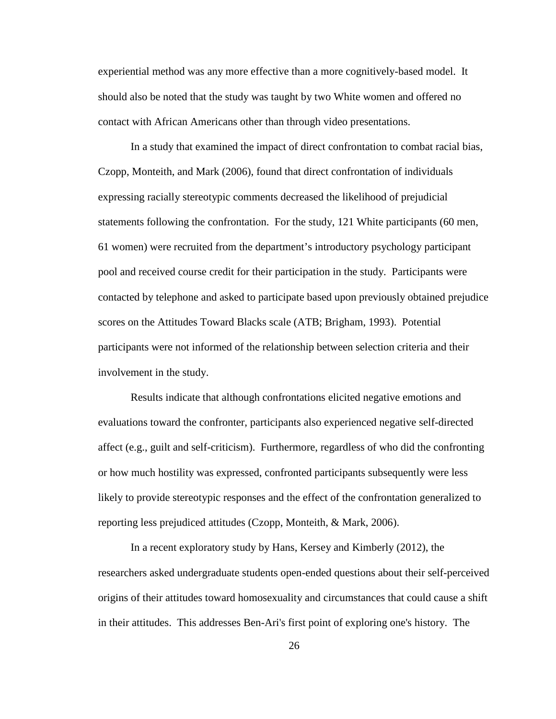experiential method was any more effective than a more cognitively-based model. It should also be noted that the study was taught by two White women and offered no contact with African Americans other than through video presentations.

In a study that examined the impact of direct confrontation to combat racial bias, Czopp, Monteith, and Mark (2006), found that direct confrontation of individuals expressing racially stereotypic comments decreased the likelihood of prejudicial statements following the confrontation. For the study, 121 White participants (60 men, 61 women) were recruited from the department's introductory psychology participant pool and received course credit for their participation in the study. Participants were contacted by telephone and asked to participate based upon previously obtained prejudice scores on the Attitudes Toward Blacks scale (ATB; Brigham, 1993). Potential participants were not informed of the relationship between selection criteria and their involvement in the study.

Results indicate that although confrontations elicited negative emotions and evaluations toward the confronter, participants also experienced negative self-directed affect (e.g., guilt and self-criticism). Furthermore, regardless of who did the confronting or how much hostility was expressed, confronted participants subsequently were less likely to provide stereotypic responses and the effect of the confrontation generalized to reporting less prejudiced attitudes (Czopp, Monteith, & Mark, 2006).

In a recent exploratory study by Hans, Kersey and Kimberly (2012), the researchers asked undergraduate students open-ended questions about their self-perceived origins of their attitudes toward homosexuality and circumstances that could cause a shift in their attitudes. This addresses Ben-Ari's first point of exploring one's history. The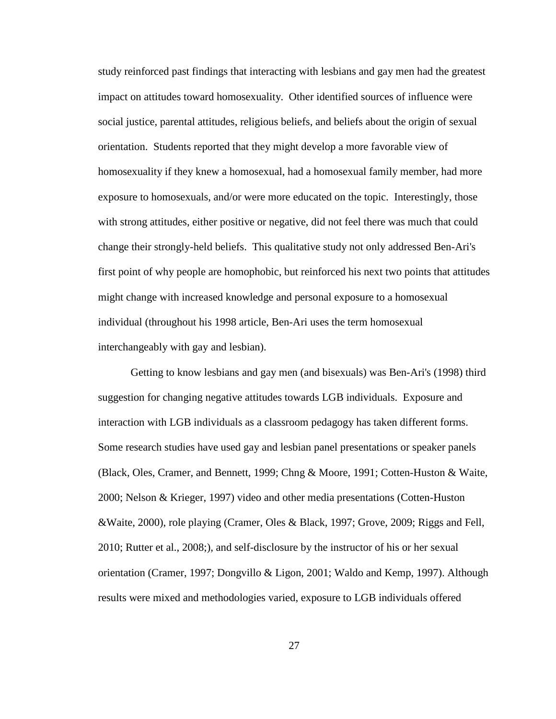study reinforced past findings that interacting with lesbians and gay men had the greatest impact on attitudes toward homosexuality. Other identified sources of influence were social justice, parental attitudes, religious beliefs, and beliefs about the origin of sexual orientation. Students reported that they might develop a more favorable view of homosexuality if they knew a homosexual, had a homosexual family member, had more exposure to homosexuals, and/or were more educated on the topic. Interestingly, those with strong attitudes, either positive or negative, did not feel there was much that could change their strongly-held beliefs. This qualitative study not only addressed Ben-Ari's first point of why people are homophobic, but reinforced his next two points that attitudes might change with increased knowledge and personal exposure to a homosexual individual (throughout his 1998 article, Ben-Ari uses the term homosexual interchangeably with gay and lesbian).

Getting to know lesbians and gay men (and bisexuals) was Ben-Ari's (1998) third suggestion for changing negative attitudes towards LGB individuals. Exposure and interaction with LGB individuals as a classroom pedagogy has taken different forms. Some research studies have used gay and lesbian panel presentations or speaker panels (Black, Oles, Cramer, and Bennett, 1999; Chng & Moore, 1991; Cotten-Huston & Waite, 2000; Nelson & Krieger, 1997) video and other media presentations (Cotten-Huston &Waite, 2000), role playing (Cramer, Oles & Black, 1997; Grove, 2009; Riggs and Fell, 2010; Rutter et al., 2008;), and self-disclosure by the instructor of his or her sexual orientation (Cramer, 1997; Dongvillo & Ligon, 2001; Waldo and Kemp, 1997). Although results were mixed and methodologies varied, exposure to LGB individuals offered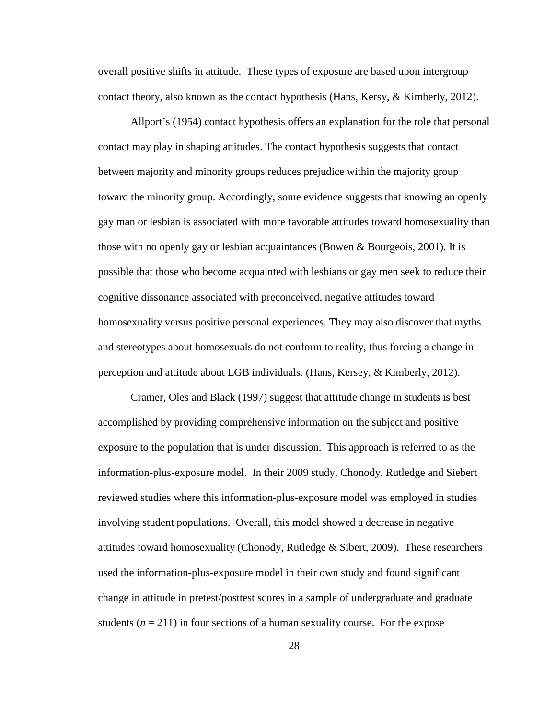overall positive shifts in attitude. These types of exposure are based upon intergroup contact theory, also known as the contact hypothesis (Hans, Kersy, & Kimberly, 2012).

Allport's (1954) contact hypothesis offers an explanation for the role that personal contact may play in shaping attitudes. The contact hypothesis suggests that contact between majority and minority groups reduces prejudice within the majority group toward the minority group. Accordingly, some evidence suggests that knowing an openly gay man or lesbian is associated with more favorable attitudes toward homosexuality than those with no openly gay or lesbian acquaintances (Bowen  $\&$  Bourgeois, 2001). It is possible that those who become acquainted with lesbians or gay men seek to reduce their cognitive dissonance associated with preconceived, negative attitudes toward homosexuality versus positive personal experiences. They may also discover that myths and stereotypes about homosexuals do not conform to reality, thus forcing a change in perception and attitude about LGB individuals. (Hans, Kersey, & Kimberly, 2012).

Cramer, Oles and Black (1997) suggest that attitude change in students is best accomplished by providing comprehensive information on the subject and positive exposure to the population that is under discussion. This approach is referred to as the information-plus-exposure model. In their 2009 study, Chonody, Rutledge and Siebert reviewed studies where this information-plus-exposure model was employed in studies involving student populations. Overall, this model showed a decrease in negative attitudes toward homosexuality (Chonody, Rutledge  $\&$  Sibert, 2009). These researchers used the information-plus-exposure model in their own study and found significant change in attitude in pretest/posttest scores in a sample of undergraduate and graduate students  $(n = 211)$  in four sections of a human sexuality course. For the expose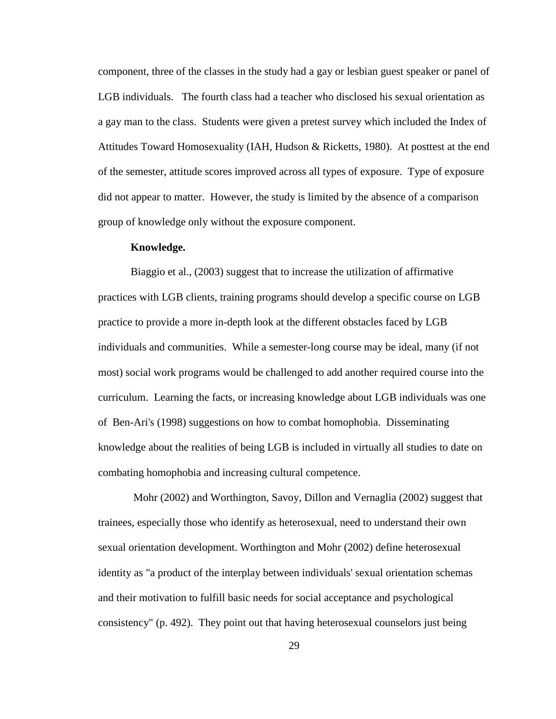component, three of the classes in the study had a gay or lesbian guest speaker or panel of LGB individuals. The fourth class had a teacher who disclosed his sexual orientation as a gay man to the class. Students were given a pretest survey which included the Index of Attitudes Toward Homosexuality (IAH, Hudson & Ricketts, 1980). At posttest at the end of the semester, attitude scores improved across all types of exposure. Type of exposure did not appear to matter. However, the study is limited by the absence of a comparison group of knowledge only without the exposure component.

#### **Knowledge.**

Biaggio et al., (2003) suggest that to increase the utilization of affirmative practices with LGB clients, training programs should develop a specific course on LGB practice to provide a more in-depth look at the different obstacles faced by LGB individuals and communities. While a semester-long course may be ideal, many (if not most) social work programs would be challenged to add another required course into the curriculum. Learning the facts, or increasing knowledge about LGB individuals was one of Ben-Ari's (1998) suggestions on how to combat homophobia. Disseminating knowledge about the realities of being LGB is included in virtually all studies to date on combating homophobia and increasing cultural competence.

Mohr (2002) and Worthington, Savoy, Dillon and Vernaglia (2002) suggest that trainees, especially those who identify as heterosexual, need to understand their own sexual orientation development. Worthington and Mohr (2002) define heterosexual identity as "a product of the interplay between individuals' sexual orientation schemas and their motivation to fulfill basic needs for social acceptance and psychological consistency" (p. 492). They point out that having heterosexual counselors just being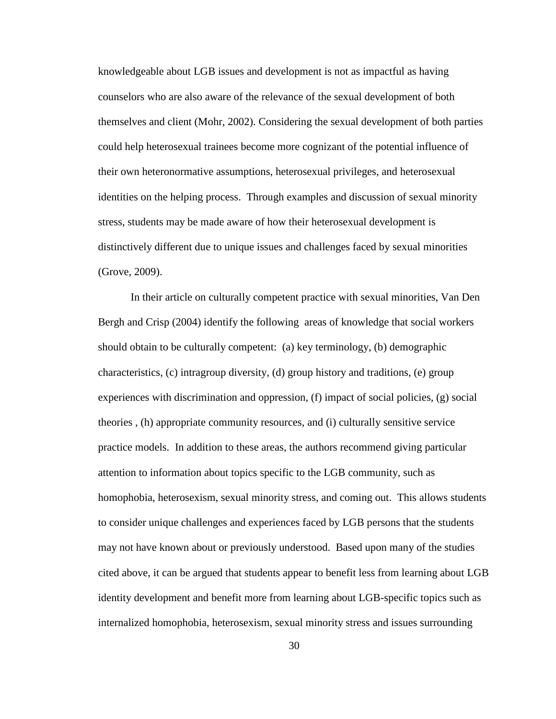knowledgeable about LGB issues and development is not as impactful as having counselors who are also aware of the relevance of the sexual development of both themselves and client (Mohr, 2002). Considering the sexual development of both parties could help heterosexual trainees become more cognizant of the potential influence of their own heteronormative assumptions, heterosexual privileges, and heterosexual identities on the helping process. Through examples and discussion of sexual minority stress, students may be made aware of how their heterosexual development is distinctively different due to unique issues and challenges faced by sexual minorities (Grove, 2009).

In their article on culturally competent practice with sexual minorities, Van Den Bergh and Crisp (2004) identify the following areas of knowledge that social workers should obtain to be culturally competent: (a) key terminology, (b) demographic characteristics, (c) intragroup diversity, (d) group history and traditions, (e) group experiences with discrimination and oppression, (f) impact of social policies, (g) social theories , (h) appropriate community resources, and (i) culturally sensitive service practice models. In addition to these areas, the authors recommend giving particular attention to information about topics specific to the LGB community, such as homophobia, heterosexism, sexual minority stress, and coming out. This allows students to consider unique challenges and experiences faced by LGB persons that the students may not have known about or previously understood. Based upon many of the studies cited above, it can be argued that students appear to benefit less from learning about LGB identity development and benefit more from learning about LGB-specific topics such as internalized homophobia, heterosexism, sexual minority stress and issues surrounding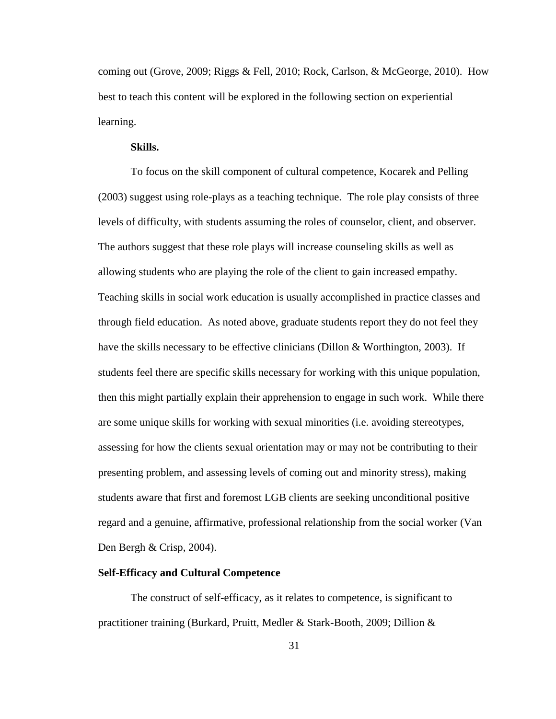coming out (Grove, 2009; Riggs & Fell, 2010; Rock, Carlson, & McGeorge, 2010). How best to teach this content will be explored in the following section on experiential learning.

### **Skills.**

To focus on the skill component of cultural competence, Kocarek and Pelling (2003) suggest using role-plays as a teaching technique. The role play consists of three levels of difficulty, with students assuming the roles of counselor, client, and observer. The authors suggest that these role plays will increase counseling skills as well as allowing students who are playing the role of the client to gain increased empathy. Teaching skills in social work education is usually accomplished in practice classes and through field education. As noted above, graduate students report they do not feel they have the skills necessary to be effective clinicians (Dillon & Worthington, 2003). If students feel there are specific skills necessary for working with this unique population, then this might partially explain their apprehension to engage in such work. While there are some unique skills for working with sexual minorities (i.e. avoiding stereotypes, assessing for how the clients sexual orientation may or may not be contributing to their presenting problem, and assessing levels of coming out and minority stress), making students aware that first and foremost LGB clients are seeking unconditional positive regard and a genuine, affirmative, professional relationship from the social worker (Van Den Bergh & Crisp, 2004).

#### **Self-Efficacy and Cultural Competence**

The construct of self-efficacy, as it relates to competence, is significant to practitioner training (Burkard, Pruitt, Medler & Stark-Booth, 2009; Dillion &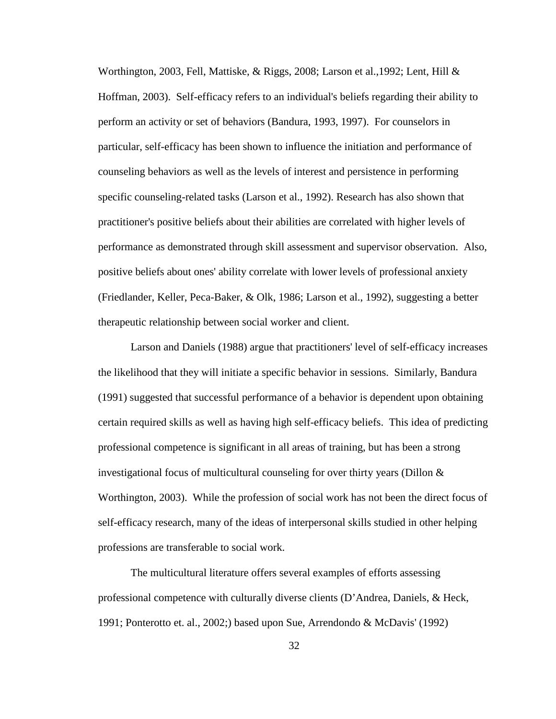Worthington, 2003, Fell, Mattiske,  $\&$  Riggs, 2008; Larson et al., 1992; Lent, Hill  $\&$ Hoffman, 2003). Self-efficacy refers to an individual's beliefs regarding their ability to perform an activity or set of behaviors (Bandura, 1993, 1997). For counselors in particular, self-efficacy has been shown to influence the initiation and performance of counseling behaviors as well as the levels of interest and persistence in performing specific counseling-related tasks (Larson et al., 1992). Research has also shown that practitioner's positive beliefs about their abilities are correlated with higher levels of performance as demonstrated through skill assessment and supervisor observation. Also, positive beliefs about ones' ability correlate with lower levels of professional anxiety (Friedlander, Keller, Peca-Baker, & Olk, 1986; Larson et al., 1992), suggesting a better therapeutic relationship between social worker and client.

Larson and Daniels (1988) argue that practitioners' level of self-efficacy increases the likelihood that they will initiate a specific behavior in sessions. Similarly, Bandura (1991) suggested that successful performance of a behavior is dependent upon obtaining certain required skills as well as having high self-efficacy beliefs. This idea of predicting professional competence is significant in all areas of training, but has been a strong investigational focus of multicultural counseling for over thirty years (Dillon  $\&$ Worthington, 2003). While the profession of social work has not been the direct focus of self-efficacy research, many of the ideas of interpersonal skills studied in other helping professions are transferable to social work.

The multicultural literature offers several examples of efforts assessing professional competence with culturally diverse clients (D'Andrea, Daniels, & Heck, 1991; Ponterotto et. al., 2002;) based upon Sue, Arrendondo & McDavis' (1992)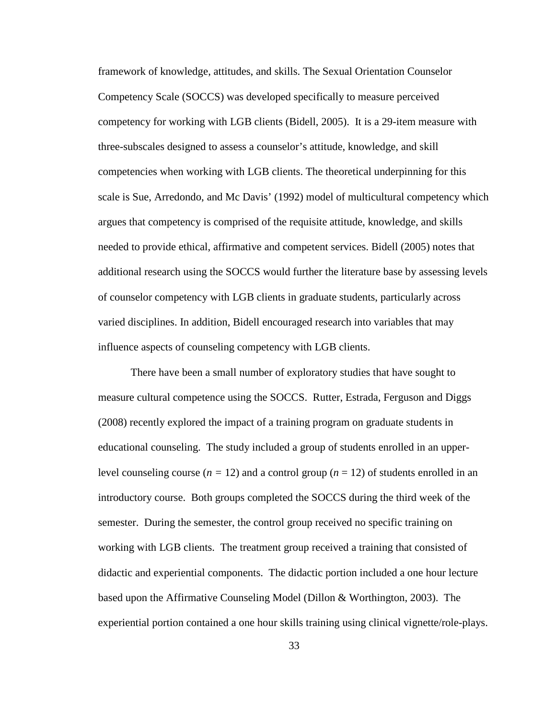framework of knowledge, attitudes, and skills. The Sexual Orientation Counselor Competency Scale (SOCCS) was developed specifically to measure perceived competency for working with LGB clients (Bidell, 2005). It is a 29-item measure with three-subscales designed to assess a counselor's attitude, knowledge, and skill competencies when working with LGB clients. The theoretical underpinning for this scale is Sue, Arredondo, and Mc Davis' (1992) model of multicultural competency which argues that competency is comprised of the requisite attitude, knowledge, and skills needed to provide ethical, affirmative and competent services. Bidell (2005) notes that additional research using the SOCCS would further the literature base by assessing levels of counselor competency with LGB clients in graduate students, particularly across varied disciplines. In addition, Bidell encouraged research into variables that may influence aspects of counseling competency with LGB clients.

There have been a small number of exploratory studies that have sought to measure cultural competence using the SOCCS. Rutter, Estrada, Ferguson and Diggs (2008) recently explored the impact of a training program on graduate students in educational counseling. The study included a group of students enrolled in an upperlevel counseling course  $(n = 12)$  and a control group  $(n = 12)$  of students enrolled in an introductory course. Both groups completed the SOCCS during the third week of the semester. During the semester, the control group received no specific training on working with LGB clients. The treatment group received a training that consisted of didactic and experiential components. The didactic portion included a one hour lecture based upon the Affirmative Counseling Model (Dillon & Worthington, 2003). The experiential portion contained a one hour skills training using clinical vignette/role-plays.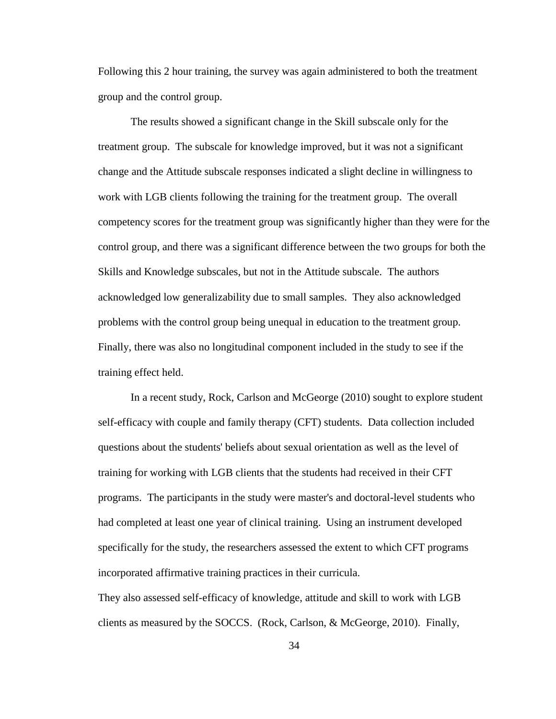Following this 2 hour training, the survey was again administered to both the treatment group and the control group.

The results showed a significant change in the Skill subscale only for the treatment group. The subscale for knowledge improved, but it was not a significant change and the Attitude subscale responses indicated a slight decline in willingness to work with LGB clients following the training for the treatment group. The overall competency scores for the treatment group was significantly higher than they were for the control group, and there was a significant difference between the two groups for both the Skills and Knowledge subscales, but not in the Attitude subscale. The authors acknowledged low generalizability due to small samples. They also acknowledged problems with the control group being unequal in education to the treatment group. Finally, there was also no longitudinal component included in the study to see if the training effect held.

In a recent study, Rock, Carlson and McGeorge (2010) sought to explore student self-efficacy with couple and family therapy (CFT) students. Data collection included questions about the students' beliefs about sexual orientation as well as the level of training for working with LGB clients that the students had received in their CFT programs. The participants in the study were master's and doctoral-level students who had completed at least one year of clinical training. Using an instrument developed specifically for the study, the researchers assessed the extent to which CFT programs incorporated affirmative training practices in their curricula.

They also assessed self-efficacy of knowledge, attitude and skill to work with LGB clients as measured by the SOCCS. (Rock, Carlson, & McGeorge, 2010). Finally,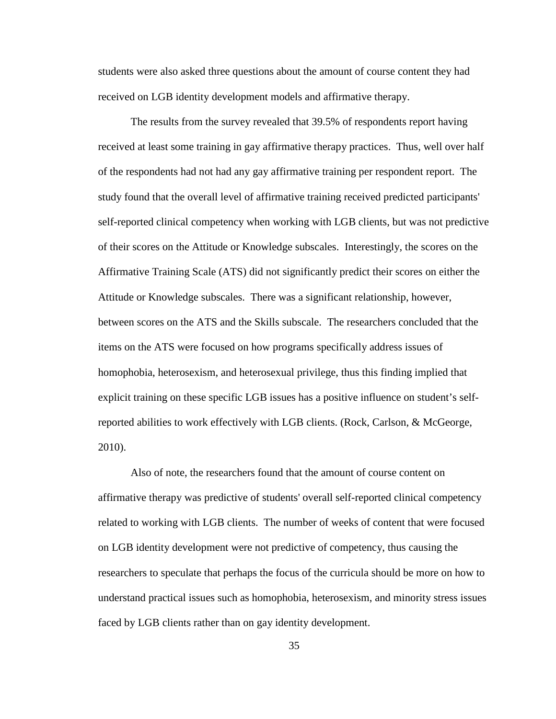students were also asked three questions about the amount of course content they had received on LGB identity development models and affirmative therapy.

The results from the survey revealed that 39.5% of respondents report having received at least some training in gay affirmative therapy practices. Thus, well over half of the respondents had not had any gay affirmative training per respondent report. The study found that the overall level of affirmative training received predicted participants' self-reported clinical competency when working with LGB clients, but was not predictive of their scores on the Attitude or Knowledge subscales. Interestingly, the scores on the Affirmative Training Scale (ATS) did not significantly predict their scores on either the Attitude or Knowledge subscales. There was a significant relationship, however, between scores on the ATS and the Skills subscale. The researchers concluded that the items on the ATS were focused on how programs specifically address issues of homophobia, heterosexism, and heterosexual privilege, thus this finding implied that explicit training on these specific LGB issues has a positive influence on student's selfreported abilities to work effectively with LGB clients. (Rock, Carlson, & McGeorge, 2010).

Also of note, the researchers found that the amount of course content on affirmative therapy was predictive of students' overall self-reported clinical competency related to working with LGB clients. The number of weeks of content that were focused on LGB identity development were not predictive of competency, thus causing the researchers to speculate that perhaps the focus of the curricula should be more on how to understand practical issues such as homophobia, heterosexism, and minority stress issues faced by LGB clients rather than on gay identity development.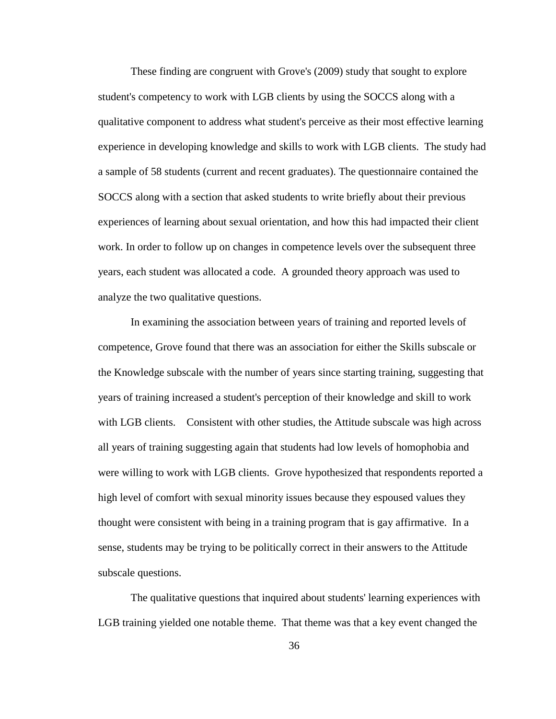These finding are congruent with Grove's (2009) study that sought to explore student's competency to work with LGB clients by using the SOCCS along with a qualitative component to address what student's perceive as their most effective learning experience in developing knowledge and skills to work with LGB clients. The study had a sample of 58 students (current and recent graduates). The questionnaire contained the SOCCS along with a section that asked students to write briefly about their previous experiences of learning about sexual orientation, and how this had impacted their client work. In order to follow up on changes in competence levels over the subsequent three years, each student was allocated a code. A grounded theory approach was used to analyze the two qualitative questions.

In examining the association between years of training and reported levels of competence, Grove found that there was an association for either the Skills subscale or the Knowledge subscale with the number of years since starting training, suggesting that years of training increased a student's perception of their knowledge and skill to work with LGB clients. Consistent with other studies, the Attitude subscale was high across all years of training suggesting again that students had low levels of homophobia and were willing to work with LGB clients. Grove hypothesized that respondents reported a high level of comfort with sexual minority issues because they espoused values they thought were consistent with being in a training program that is gay affirmative. In a sense, students may be trying to be politically correct in their answers to the Attitude subscale questions.

The qualitative questions that inquired about students' learning experiences with LGB training yielded one notable theme. That theme was that a key event changed the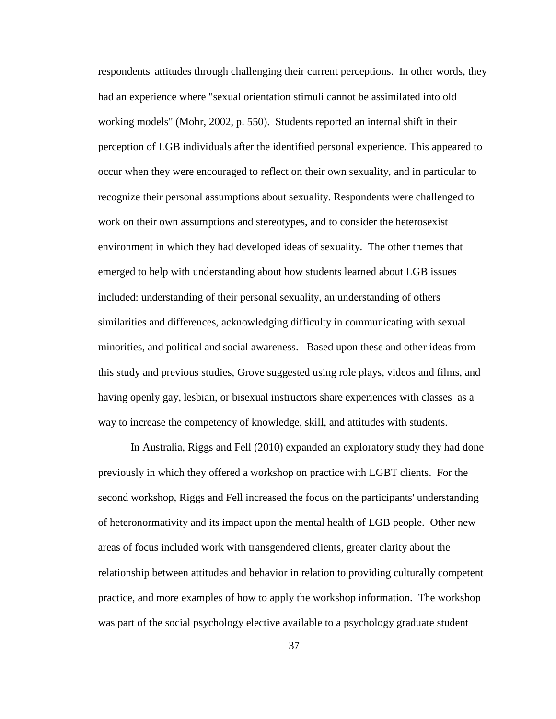respondents' attitudes through challenging their current perceptions. In other words, they had an experience where "sexual orientation stimuli cannot be assimilated into old working models" (Mohr, 2002, p. 550). Students reported an internal shift in their perception of LGB individuals after the identified personal experience. This appeared to occur when they were encouraged to reflect on their own sexuality, and in particular to recognize their personal assumptions about sexuality. Respondents were challenged to work on their own assumptions and stereotypes, and to consider the heterosexist environment in which they had developed ideas of sexuality. The other themes that emerged to help with understanding about how students learned about LGB issues included: understanding of their personal sexuality, an understanding of others similarities and differences, acknowledging difficulty in communicating with sexual minorities, and political and social awareness. Based upon these and other ideas from this study and previous studies, Grove suggested using role plays, videos and films, and having openly gay, lesbian, or bisexual instructors share experiences with classes as a way to increase the competency of knowledge, skill, and attitudes with students.

In Australia, Riggs and Fell (2010) expanded an exploratory study they had done previously in which they offered a workshop on practice with LGBT clients. For the second workshop, Riggs and Fell increased the focus on the participants' understanding of heteronormativity and its impact upon the mental health of LGB people. Other new areas of focus included work with transgendered clients, greater clarity about the relationship between attitudes and behavior in relation to providing culturally competent practice, and more examples of how to apply the workshop information. The workshop was part of the social psychology elective available to a psychology graduate student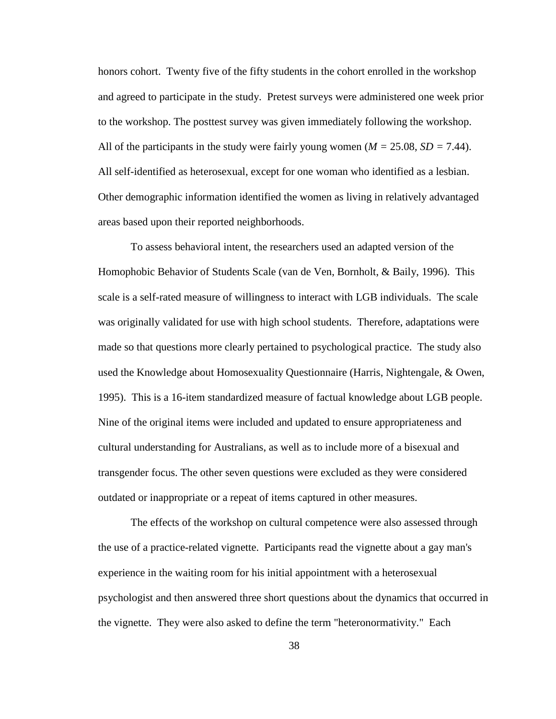honors cohort. Twenty five of the fifty students in the cohort enrolled in the workshop and agreed to participate in the study. Pretest surveys were administered one week prior to the workshop. The posttest survey was given immediately following the workshop. All of the participants in the study were fairly young women ( $M = 25.08$ ,  $SD = 7.44$ ). All self-identified as heterosexual, except for one woman who identified as a lesbian. Other demographic information identified the women as living in relatively advantaged areas based upon their reported neighborhoods.

To assess behavioral intent, the researchers used an adapted version of the Homophobic Behavior of Students Scale (van de Ven, Bornholt, & Baily, 1996). This scale is a self-rated measure of willingness to interact with LGB individuals. The scale was originally validated for use with high school students. Therefore, adaptations were made so that questions more clearly pertained to psychological practice. The study also used the Knowledge about Homosexuality Questionnaire (Harris, Nightengale, & Owen, 1995). This is a 16-item standardized measure of factual knowledge about LGB people. Nine of the original items were included and updated to ensure appropriateness and cultural understanding for Australians, as well as to include more of a bisexual and transgender focus. The other seven questions were excluded as they were considered outdated or inappropriate or a repeat of items captured in other measures.

The effects of the workshop on cultural competence were also assessed through the use of a practice-related vignette. Participants read the vignette about a gay man's experience in the waiting room for his initial appointment with a heterosexual psychologist and then answered three short questions about the dynamics that occurred in the vignette. They were also asked to define the term "heteronormativity." Each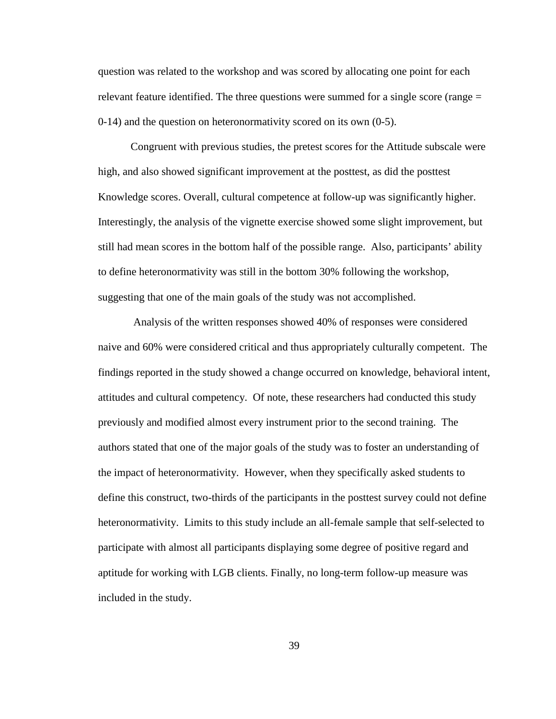question was related to the workshop and was scored by allocating one point for each relevant feature identified. The three questions were summed for a single score (range = 0-14) and the question on heteronormativity scored on its own (0-5).

Congruent with previous studies, the pretest scores for the Attitude subscale were high, and also showed significant improvement at the posttest, as did the posttest Knowledge scores. Overall, cultural competence at follow-up was significantly higher. Interestingly, the analysis of the vignette exercise showed some slight improvement, but still had mean scores in the bottom half of the possible range. Also, participants' ability to define heteronormativity was still in the bottom 30% following the workshop, suggesting that one of the main goals of the study was not accomplished.

Analysis of the written responses showed 40% of responses were considered naive and 60% were considered critical and thus appropriately culturally competent. The findings reported in the study showed a change occurred on knowledge, behavioral intent, attitudes and cultural competency. Of note, these researchers had conducted this study previously and modified almost every instrument prior to the second training. The authors stated that one of the major goals of the study was to foster an understanding of the impact of heteronormativity. However, when they specifically asked students to define this construct, two-thirds of the participants in the posttest survey could not define heteronormativity. Limits to this study include an all-female sample that self-selected to participate with almost all participants displaying some degree of positive regard and aptitude for working with LGB clients. Finally, no long-term follow-up measure was included in the study.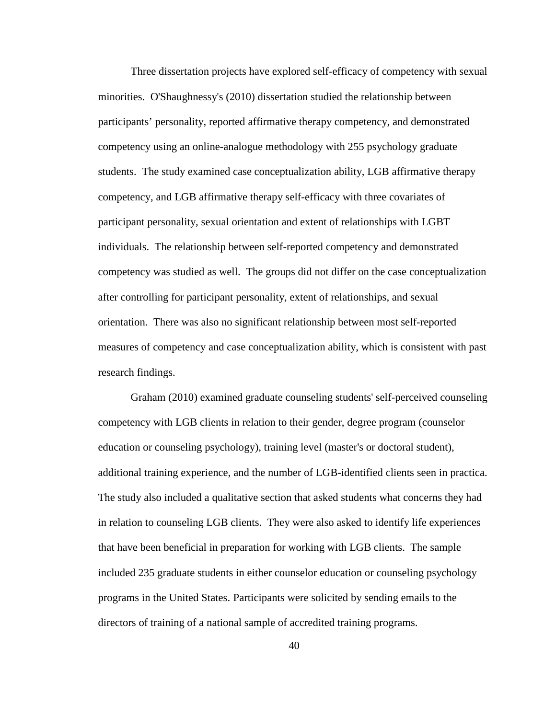Three dissertation projects have explored self-efficacy of competency with sexual minorities. O'Shaughnessy's (2010) dissertation studied the relationship between participants' personality, reported affirmative therapy competency, and demonstrated competency using an online-analogue methodology with 255 psychology graduate students. The study examined case conceptualization ability, LGB affirmative therapy competency, and LGB affirmative therapy self-efficacy with three covariates of participant personality, sexual orientation and extent of relationships with LGBT individuals. The relationship between self-reported competency and demonstrated competency was studied as well. The groups did not differ on the case conceptualization after controlling for participant personality, extent of relationships, and sexual orientation. There was also no significant relationship between most self-reported measures of competency and case conceptualization ability, which is consistent with past research findings.

Graham (2010) examined graduate counseling students' self-perceived counseling competency with LGB clients in relation to their gender, degree program (counselor education or counseling psychology), training level (master's or doctoral student), additional training experience, and the number of LGB-identified clients seen in practica. The study also included a qualitative section that asked students what concerns they had in relation to counseling LGB clients. They were also asked to identify life experiences that have been beneficial in preparation for working with LGB clients. The sample included 235 graduate students in either counselor education or counseling psychology programs in the United States. Participants were solicited by sending emails to the directors of training of a national sample of accredited training programs.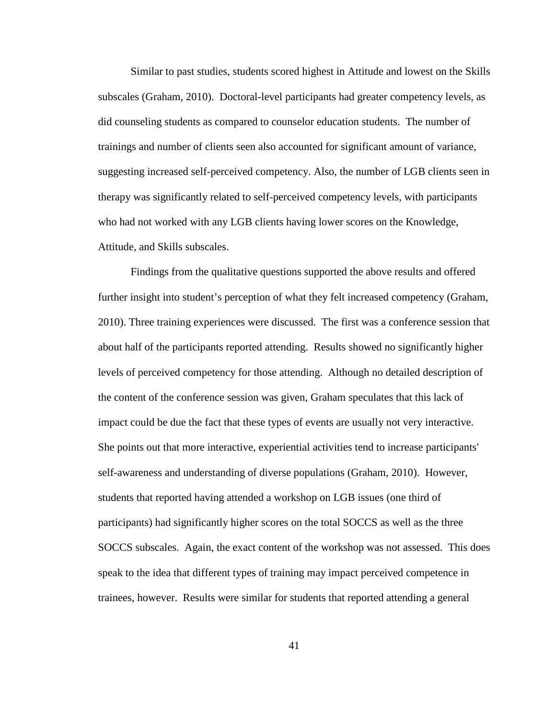Similar to past studies, students scored highest in Attitude and lowest on the Skills subscales (Graham, 2010). Doctoral-level participants had greater competency levels, as did counseling students as compared to counselor education students. The number of trainings and number of clients seen also accounted for significant amount of variance, suggesting increased self-perceived competency. Also, the number of LGB clients seen in therapy was significantly related to self-perceived competency levels, with participants who had not worked with any LGB clients having lower scores on the Knowledge, Attitude, and Skills subscales.

Findings from the qualitative questions supported the above results and offered further insight into student's perception of what they felt increased competency (Graham, 2010). Three training experiences were discussed. The first was a conference session that about half of the participants reported attending. Results showed no significantly higher levels of perceived competency for those attending. Although no detailed description of the content of the conference session was given, Graham speculates that this lack of impact could be due the fact that these types of events are usually not very interactive. She points out that more interactive, experiential activities tend to increase participants' self-awareness and understanding of diverse populations (Graham, 2010). However, students that reported having attended a workshop on LGB issues (one third of participants) had significantly higher scores on the total SOCCS as well as the three SOCCS subscales. Again, the exact content of the workshop was not assessed. This does speak to the idea that different types of training may impact perceived competence in trainees, however. Results were similar for students that reported attending a general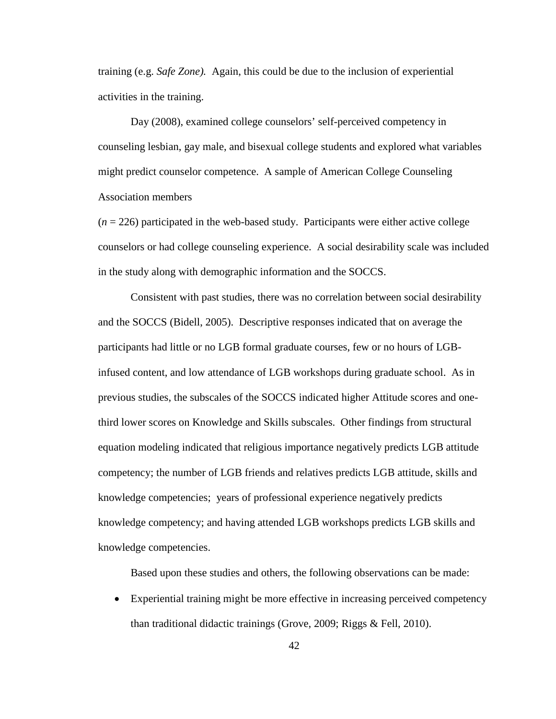training (e.g. *Safe Zone).* Again, this could be due to the inclusion of experiential activities in the training.

Day (2008), examined college counselors' self-perceived competency in counseling lesbian, gay male, and bisexual college students and explored what variables might predict counselor competence. A sample of American College Counseling Association members

 $(n = 226)$  participated in the web-based study. Participants were either active college counselors or had college counseling experience. A social desirability scale was included in the study along with demographic information and the SOCCS.

Consistent with past studies, there was no correlation between social desirability and the SOCCS (Bidell, 2005). Descriptive responses indicated that on average the participants had little or no LGB formal graduate courses, few or no hours of LGBinfused content, and low attendance of LGB workshops during graduate school. As in previous studies, the subscales of the SOCCS indicated higher Attitude scores and onethird lower scores on Knowledge and Skills subscales. Other findings from structural equation modeling indicated that religious importance negatively predicts LGB attitude competency; the number of LGB friends and relatives predicts LGB attitude, skills and knowledge competencies; years of professional experience negatively predicts knowledge competency; and having attended LGB workshops predicts LGB skills and knowledge competencies.

Based upon these studies and others, the following observations can be made:

• Experiential training might be more effective in increasing perceived competency than traditional didactic trainings (Grove, 2009; Riggs & Fell, 2010).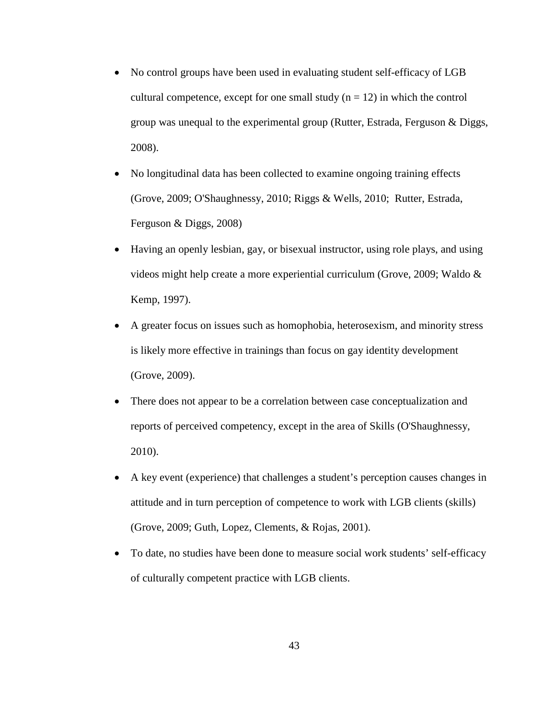- No control groups have been used in evaluating student self-efficacy of LGB cultural competence, except for one small study  $(n = 12)$  in which the control group was unequal to the experimental group (Rutter, Estrada, Ferguson & Diggs, 2008).
- No longitudinal data has been collected to examine ongoing training effects (Grove, 2009; O'Shaughnessy, 2010; Riggs & Wells, 2010; Rutter, Estrada, Ferguson & Diggs, 2008)
- Having an openly lesbian, gay, or bisexual instructor, using role plays, and using videos might help create a more experiential curriculum (Grove, 2009; Waldo & Kemp, 1997).
- A greater focus on issues such as homophobia, heterosexism, and minority stress is likely more effective in trainings than focus on gay identity development (Grove, 2009).
- There does not appear to be a correlation between case conceptualization and reports of perceived competency, except in the area of Skills (O'Shaughnessy, 2010).
- A key event (experience) that challenges a student's perception causes changes in attitude and in turn perception of competence to work with LGB clients (skills) (Grove, 2009; Guth, Lopez, Clements, & Rojas, 2001).
- To date, no studies have been done to measure social work students' self-efficacy of culturally competent practice with LGB clients.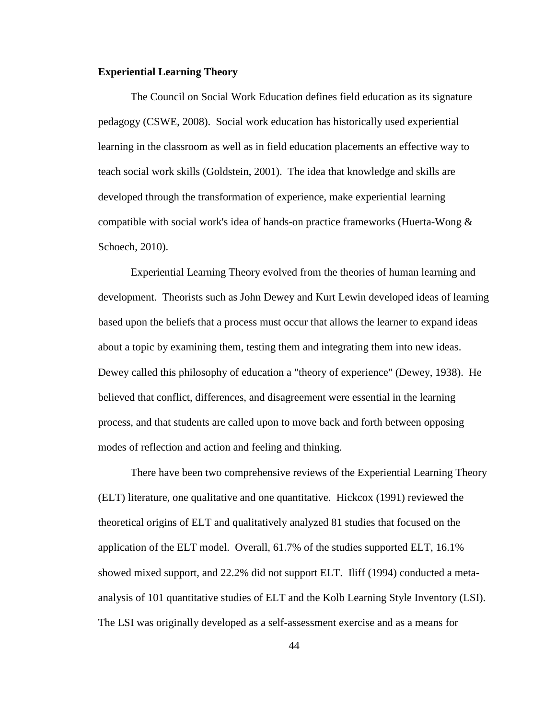### **Experiential Learning Theory**

The Council on Social Work Education defines field education as its signature pedagogy (CSWE, 2008). Social work education has historically used experiential learning in the classroom as well as in field education placements an effective way to teach social work skills (Goldstein, 2001). The idea that knowledge and skills are developed through the transformation of experience, make experiential learning compatible with social work's idea of hands-on practice frameworks (Huerta-Wong & Schoech, 2010).

Experiential Learning Theory evolved from the theories of human learning and development. Theorists such as John Dewey and Kurt Lewin developed ideas of learning based upon the beliefs that a process must occur that allows the learner to expand ideas about a topic by examining them, testing them and integrating them into new ideas. Dewey called this philosophy of education a "theory of experience" (Dewey, 1938). He believed that conflict, differences, and disagreement were essential in the learning process, and that students are called upon to move back and forth between opposing modes of reflection and action and feeling and thinking.

There have been two comprehensive reviews of the Experiential Learning Theory (ELT) literature, one qualitative and one quantitative. Hickcox (1991) reviewed the theoretical origins of ELT and qualitatively analyzed 81 studies that focused on the application of the ELT model. Overall, 61.7% of the studies supported ELT, 16.1% showed mixed support, and 22.2% did not support ELT. Iliff (1994) conducted a metaanalysis of 101 quantitative studies of ELT and the Kolb Learning Style Inventory (LSI). The LSI was originally developed as a self-assessment exercise and as a means for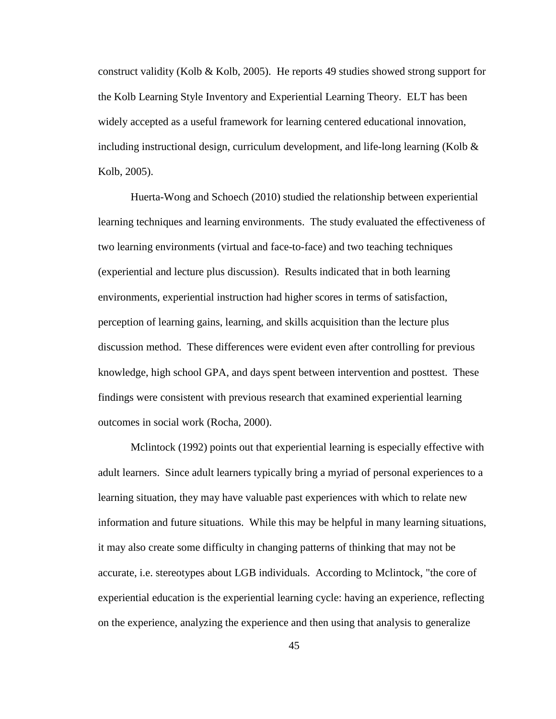construct validity (Kolb & Kolb, 2005). He reports 49 studies showed strong support for the Kolb Learning Style Inventory and Experiential Learning Theory. ELT has been widely accepted as a useful framework for learning centered educational innovation, including instructional design, curriculum development, and life-long learning (Kolb  $\&$ Kolb, 2005).

Huerta-Wong and Schoech (2010) studied the relationship between experiential learning techniques and learning environments. The study evaluated the effectiveness of two learning environments (virtual and face-to-face) and two teaching techniques (experiential and lecture plus discussion). Results indicated that in both learning environments, experiential instruction had higher scores in terms of satisfaction, perception of learning gains, learning, and skills acquisition than the lecture plus discussion method. These differences were evident even after controlling for previous knowledge, high school GPA, and days spent between intervention and posttest. These findings were consistent with previous research that examined experiential learning outcomes in social work (Rocha, 2000).

Mclintock (1992) points out that experiential learning is especially effective with adult learners. Since adult learners typically bring a myriad of personal experiences to a learning situation, they may have valuable past experiences with which to relate new information and future situations. While this may be helpful in many learning situations, it may also create some difficulty in changing patterns of thinking that may not be accurate, i.e. stereotypes about LGB individuals. According to Mclintock, "the core of experiential education is the experiential learning cycle: having an experience, reflecting on the experience, analyzing the experience and then using that analysis to generalize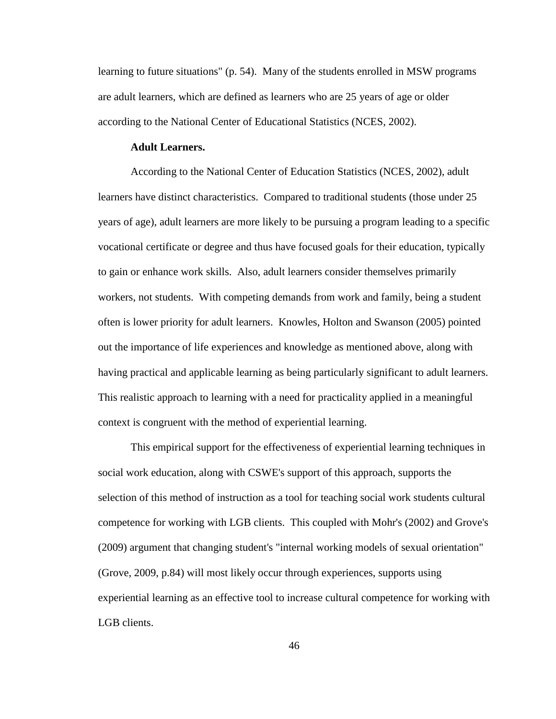learning to future situations" (p. 54). Many of the students enrolled in MSW programs are adult learners, which are defined as learners who are 25 years of age or older according to the National Center of Educational Statistics (NCES, 2002).

#### **Adult Learners.**

According to the National Center of Education Statistics (NCES, 2002), adult learners have distinct characteristics. Compared to traditional students (those under 25 years of age), adult learners are more likely to be pursuing a program leading to a specific vocational certificate or degree and thus have focused goals for their education, typically to gain or enhance work skills. Also, adult learners consider themselves primarily workers, not students. With competing demands from work and family, being a student often is lower priority for adult learners. Knowles, Holton and Swanson (2005) pointed out the importance of life experiences and knowledge as mentioned above, along with having practical and applicable learning as being particularly significant to adult learners. This realistic approach to learning with a need for practicality applied in a meaningful context is congruent with the method of experiential learning.

This empirical support for the effectiveness of experiential learning techniques in social work education, along with CSWE's support of this approach, supports the selection of this method of instruction as a tool for teaching social work students cultural competence for working with LGB clients. This coupled with Mohr's (2002) and Grove's (2009) argument that changing student's "internal working models of sexual orientation" (Grove, 2009, p.84) will most likely occur through experiences, supports using experiential learning as an effective tool to increase cultural competence for working with LGB clients.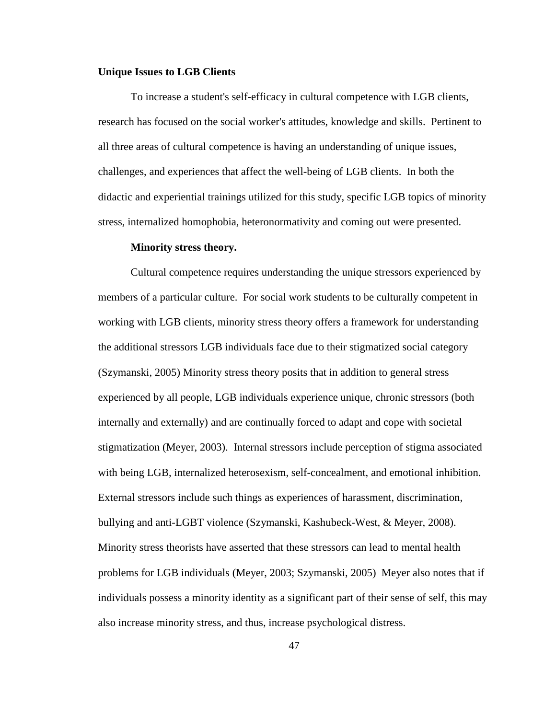#### **Unique Issues to LGB Clients**

To increase a student's self-efficacy in cultural competence with LGB clients, research has focused on the social worker's attitudes, knowledge and skills. Pertinent to all three areas of cultural competence is having an understanding of unique issues, challenges, and experiences that affect the well-being of LGB clients. In both the didactic and experiential trainings utilized for this study, specific LGB topics of minority stress, internalized homophobia, heteronormativity and coming out were presented.

#### **Minority stress theory.**

Cultural competence requires understanding the unique stressors experienced by members of a particular culture. For social work students to be culturally competent in working with LGB clients, minority stress theory offers a framework for understanding the additional stressors LGB individuals face due to their stigmatized social category (Szymanski, 2005) Minority stress theory posits that in addition to general stress experienced by all people, LGB individuals experience unique, chronic stressors (both internally and externally) and are continually forced to adapt and cope with societal stigmatization (Meyer, 2003). Internal stressors include perception of stigma associated with being LGB, internalized heterosexism, self-concealment, and emotional inhibition. External stressors include such things as experiences of harassment, discrimination, bullying and anti-LGBT violence (Szymanski, Kashubeck-West, & Meyer, 2008). Minority stress theorists have asserted that these stressors can lead to mental health problems for LGB individuals (Meyer, 2003; Szymanski, 2005) Meyer also notes that if individuals possess a minority identity as a significant part of their sense of self, this may also increase minority stress, and thus, increase psychological distress.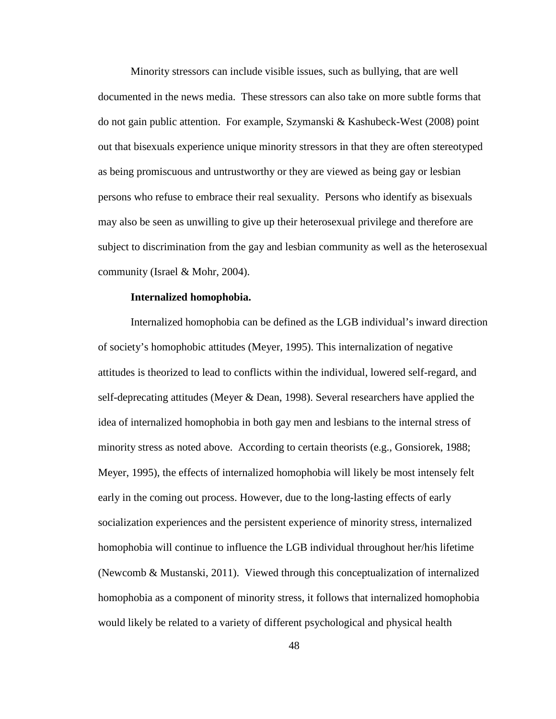Minority stressors can include visible issues, such as bullying, that are well documented in the news media. These stressors can also take on more subtle forms that do not gain public attention. For example, Szymanski & Kashubeck-West (2008) point out that bisexuals experience unique minority stressors in that they are often stereotyped as being promiscuous and untrustworthy or they are viewed as being gay or lesbian persons who refuse to embrace their real sexuality. Persons who identify as bisexuals may also be seen as unwilling to give up their heterosexual privilege and therefore are subject to discrimination from the gay and lesbian community as well as the heterosexual community (Israel & Mohr, 2004).

### **Internalized homophobia.**

Internalized homophobia can be defined as the LGB individual's inward direction of society's homophobic attitudes (Meyer, 1995). This internalization of negative attitudes is theorized to lead to conflicts within the individual, lowered self-regard, and self-deprecating attitudes (Meyer & Dean, 1998). Several researchers have applied the idea of internalized homophobia in both gay men and lesbians to the internal stress of minority stress as noted above. According to certain theorists (e.g., Gonsiorek, 1988; Meyer, 1995), the effects of internalized homophobia will likely be most intensely felt early in the coming out process. However, due to the long-lasting effects of early socialization experiences and the persistent experience of minority stress, internalized homophobia will continue to influence the LGB individual throughout her/his lifetime (Newcomb & Mustanski, 2011). Viewed through this conceptualization of internalized homophobia as a component of minority stress, it follows that internalized homophobia would likely be related to a variety of different psychological and physical health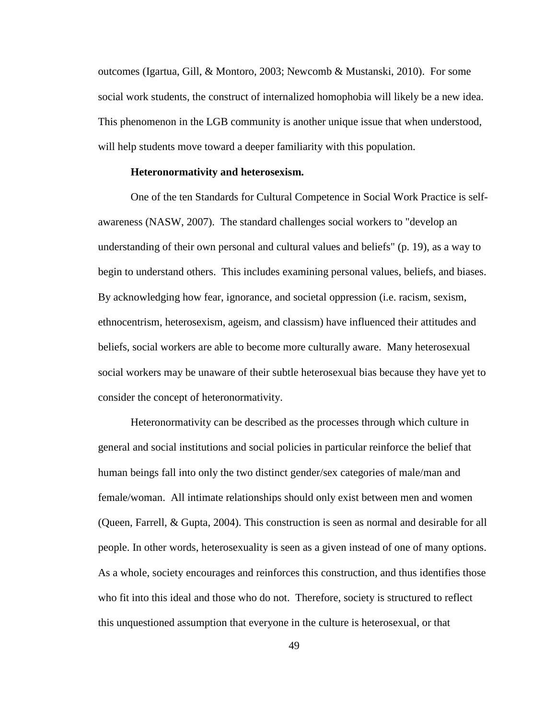outcomes (Igartua, Gill, & Montoro, 2003; Newcomb & Mustanski, 2010). For some social work students, the construct of internalized homophobia will likely be a new idea. This phenomenon in the LGB community is another unique issue that when understood, will help students move toward a deeper familiarity with this population.

#### **Heteronormativity and heterosexism.**

One of the ten Standards for Cultural Competence in Social Work Practice is selfawareness (NASW, 2007). The standard challenges social workers to "develop an understanding of their own personal and cultural values and beliefs" (p. 19), as a way to begin to understand others. This includes examining personal values, beliefs, and biases. By acknowledging how fear, ignorance, and societal oppression (i.e. racism, sexism, ethnocentrism, heterosexism, ageism, and classism) have influenced their attitudes and beliefs, social workers are able to become more culturally aware. Many heterosexual social workers may be unaware of their subtle heterosexual bias because they have yet to consider the concept of heteronormativity.

Heteronormativity can be described as the processes through which culture in general and social institutions and social policies in particular reinforce the belief that human beings fall into only the two distinct gender/sex categories of male/man and female/woman. All intimate relationships should only exist between men and women (Queen, Farrell, & Gupta, 2004). This construction is seen as normal and desirable for all people. In other words, heterosexuality is seen as a given instead of one of many options. As a whole, society encourages and reinforces this construction, and thus identifies those who fit into this ideal and those who do not. Therefore, society is structured to reflect this unquestioned assumption that everyone in the culture is heterosexual, or that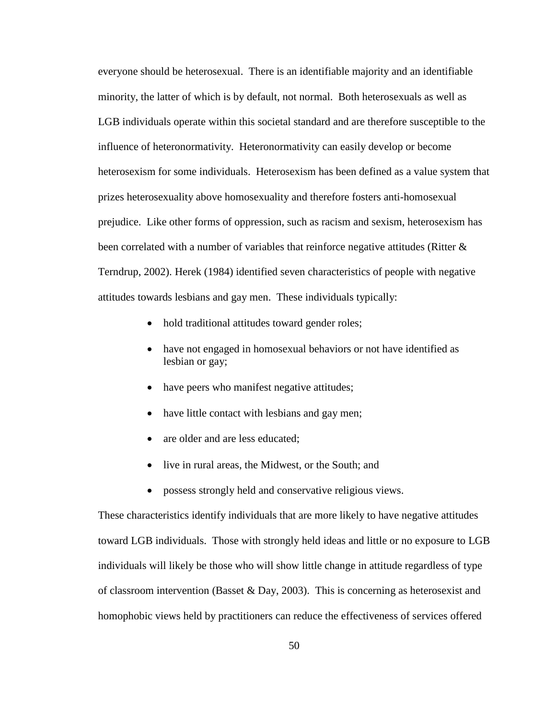everyone should be heterosexual. There is an identifiable majority and an identifiable minority, the latter of which is by default, not normal. Both heterosexuals as well as LGB individuals operate within this societal standard and are therefore susceptible to the influence of heteronormativity. Heteronormativity can easily develop or become heterosexism for some individuals. Heterosexism has been defined as a value system that prizes heterosexuality above homosexuality and therefore fosters anti-homosexual prejudice. Like other forms of oppression, such as racism and sexism, heterosexism has been correlated with a number of variables that reinforce negative attitudes (Ritter & Terndrup, 2002). Herek (1984) identified seven characteristics of people with negative attitudes towards lesbians and gay men. These individuals typically:

- hold traditional attitudes toward gender roles;
- have not engaged in homosexual behaviors or not have identified as lesbian or gay;
- have peers who manifest negative attitudes;
- have little contact with lesbians and gay men;
- are older and are less educated;
- live in rural areas, the Midwest, or the South; and
- possess strongly held and conservative religious views.

These characteristics identify individuals that are more likely to have negative attitudes toward LGB individuals. Those with strongly held ideas and little or no exposure to LGB individuals will likely be those who will show little change in attitude regardless of type of classroom intervention (Basset & Day, 2003). This is concerning as heterosexist and homophobic views held by practitioners can reduce the effectiveness of services offered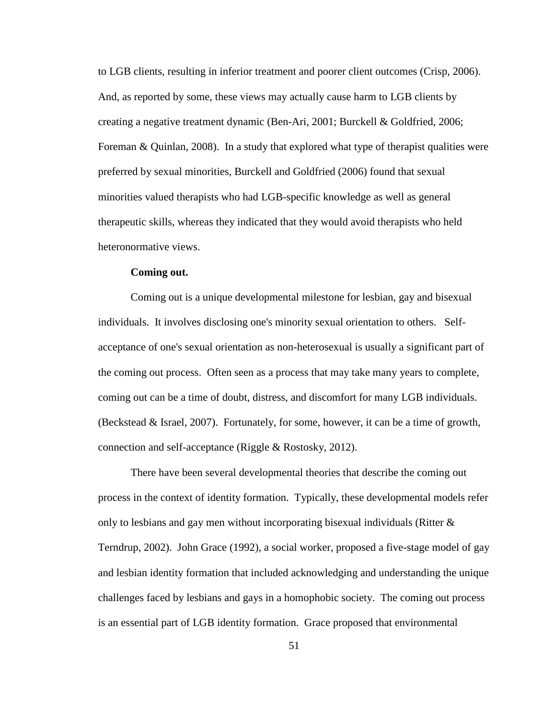to LGB clients, resulting in inferior treatment and poorer client outcomes (Crisp, 2006). And, as reported by some, these views may actually cause harm to LGB clients by creating a negative treatment dynamic (Ben-Ari, 2001; Burckell & Goldfried, 2006; Foreman & Quinlan, 2008). In a study that explored what type of therapist qualities were preferred by sexual minorities, Burckell and Goldfried (2006) found that sexual minorities valued therapists who had LGB-specific knowledge as well as general therapeutic skills, whereas they indicated that they would avoid therapists who held heteronormative views.

### **Coming out.**

Coming out is a unique developmental milestone for lesbian, gay and bisexual individuals. It involves disclosing one's minority sexual orientation to others. Selfacceptance of one's sexual orientation as non-heterosexual is usually a significant part of the coming out process. Often seen as a process that may take many years to complete, coming out can be a time of doubt, distress, and discomfort for many LGB individuals. (Beckstead & Israel, 2007). Fortunately, for some, however, it can be a time of growth, connection and self-acceptance (Riggle & Rostosky, 2012).

There have been several developmental theories that describe the coming out process in the context of identity formation. Typically, these developmental models refer only to lesbians and gay men without incorporating bisexual individuals (Ritter & Terndrup, 2002). John Grace (1992), a social worker, proposed a five-stage model of gay and lesbian identity formation that included acknowledging and understanding the unique challenges faced by lesbians and gays in a homophobic society. The coming out process is an essential part of LGB identity formation. Grace proposed that environmental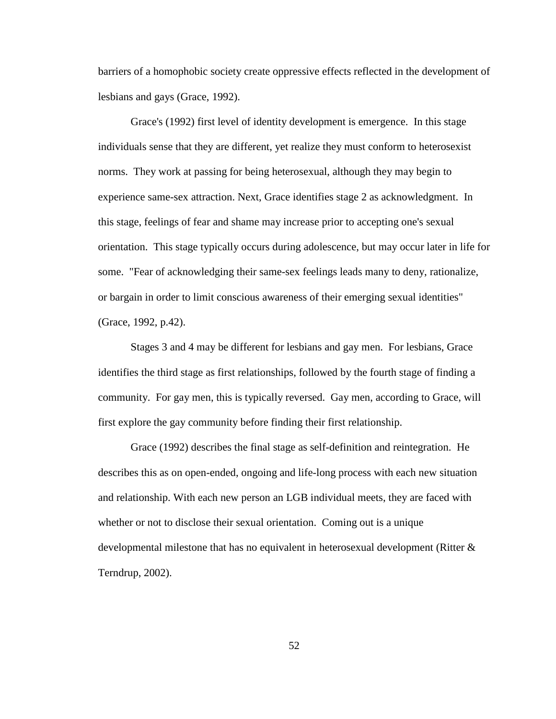barriers of a homophobic society create oppressive effects reflected in the development of lesbians and gays (Grace, 1992).

Grace's (1992) first level of identity development is emergence. In this stage individuals sense that they are different, yet realize they must conform to heterosexist norms. They work at passing for being heterosexual, although they may begin to experience same-sex attraction. Next, Grace identifies stage 2 as acknowledgment. In this stage, feelings of fear and shame may increase prior to accepting one's sexual orientation. This stage typically occurs during adolescence, but may occur later in life for some. "Fear of acknowledging their same-sex feelings leads many to deny, rationalize, or bargain in order to limit conscious awareness of their emerging sexual identities" (Grace, 1992, p.42).

Stages 3 and 4 may be different for lesbians and gay men. For lesbians, Grace identifies the third stage as first relationships, followed by the fourth stage of finding a community. For gay men, this is typically reversed. Gay men, according to Grace, will first explore the gay community before finding their first relationship.

Grace (1992) describes the final stage as self-definition and reintegration. He describes this as on open-ended, ongoing and life-long process with each new situation and relationship. With each new person an LGB individual meets, they are faced with whether or not to disclose their sexual orientation. Coming out is a unique developmental milestone that has no equivalent in heterosexual development (Ritter & Terndrup, 2002).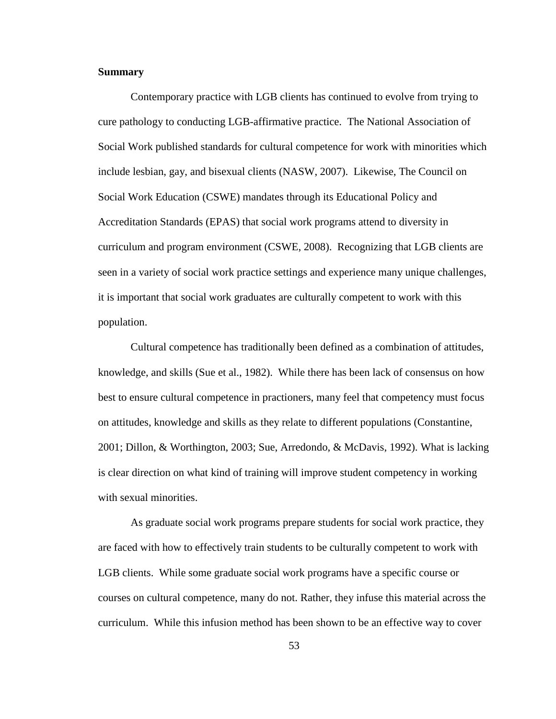### **Summary**

Contemporary practice with LGB clients has continued to evolve from trying to cure pathology to conducting LGB-affirmative practice. The National Association of Social Work published standards for cultural competence for work with minorities which include lesbian, gay, and bisexual clients (NASW, 2007). Likewise, The Council on Social Work Education (CSWE) mandates through its Educational Policy and Accreditation Standards (EPAS) that social work programs attend to diversity in curriculum and program environment (CSWE, 2008). Recognizing that LGB clients are seen in a variety of social work practice settings and experience many unique challenges, it is important that social work graduates are culturally competent to work with this population.

Cultural competence has traditionally been defined as a combination of attitudes, knowledge, and skills (Sue et al., 1982). While there has been lack of consensus on how best to ensure cultural competence in practioners, many feel that competency must focus on attitudes, knowledge and skills as they relate to different populations (Constantine, 2001; Dillon, & Worthington, 2003; Sue, Arredondo, & McDavis, 1992). What is lacking is clear direction on what kind of training will improve student competency in working with sexual minorities.

As graduate social work programs prepare students for social work practice, they are faced with how to effectively train students to be culturally competent to work with LGB clients. While some graduate social work programs have a specific course or courses on cultural competence, many do not. Rather, they infuse this material across the curriculum. While this infusion method has been shown to be an effective way to cover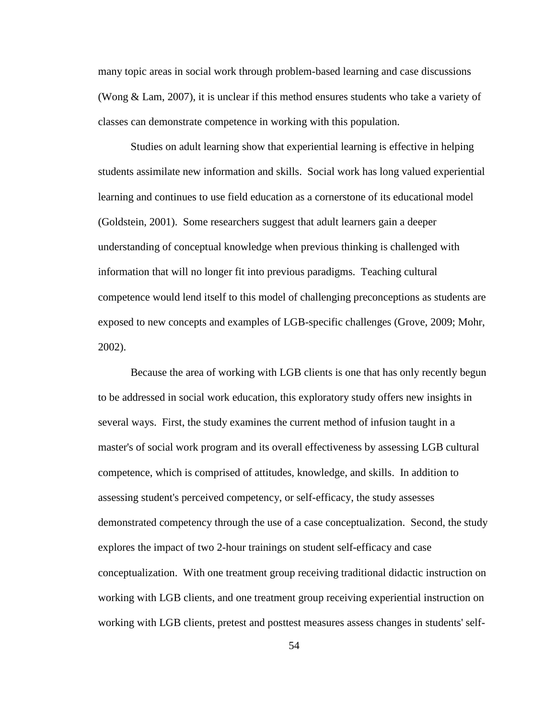many topic areas in social work through problem-based learning and case discussions (Wong & Lam, 2007), it is unclear if this method ensures students who take a variety of classes can demonstrate competence in working with this population.

Studies on adult learning show that experiential learning is effective in helping students assimilate new information and skills. Social work has long valued experiential learning and continues to use field education as a cornerstone of its educational model (Goldstein, 2001). Some researchers suggest that adult learners gain a deeper understanding of conceptual knowledge when previous thinking is challenged with information that will no longer fit into previous paradigms. Teaching cultural competence would lend itself to this model of challenging preconceptions as students are exposed to new concepts and examples of LGB-specific challenges (Grove, 2009; Mohr, 2002).

Because the area of working with LGB clients is one that has only recently begun to be addressed in social work education, this exploratory study offers new insights in several ways. First, the study examines the current method of infusion taught in a master's of social work program and its overall effectiveness by assessing LGB cultural competence, which is comprised of attitudes, knowledge, and skills. In addition to assessing student's perceived competency, or self-efficacy, the study assesses demonstrated competency through the use of a case conceptualization. Second, the study explores the impact of two 2-hour trainings on student self-efficacy and case conceptualization. With one treatment group receiving traditional didactic instruction on working with LGB clients, and one treatment group receiving experiential instruction on working with LGB clients, pretest and posttest measures assess changes in students' self-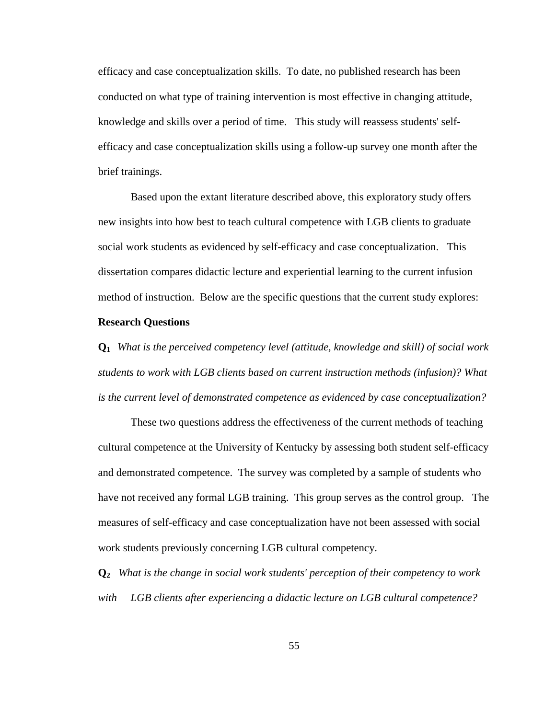efficacy and case conceptualization skills. To date, no published research has been conducted on what type of training intervention is most effective in changing attitude, knowledge and skills over a period of time. This study will reassess students' selfefficacy and case conceptualization skills using a follow-up survey one month after the brief trainings.

Based upon the extant literature described above, this exploratory study offers new insights into how best to teach cultural competence with LGB clients to graduate social work students as evidenced by self-efficacy and case conceptualization. This dissertation compares didactic lecture and experiential learning to the current infusion method of instruction. Below are the specific questions that the current study explores:

#### **Research Questions**

**Q1** *What is the perceived competency level (attitude, knowledge and skill) of social work students to work with LGB clients based on current instruction methods (infusion)? What is the current level of demonstrated competence as evidenced by case conceptualization?* 

These two questions address the effectiveness of the current methods of teaching cultural competence at the University of Kentucky by assessing both student self-efficacy and demonstrated competence. The survey was completed by a sample of students who have not received any formal LGB training. This group serves as the control group. The measures of self-efficacy and case conceptualization have not been assessed with social work students previously concerning LGB cultural competency.

**Q2** *What is the change in social work students' perception of their competency to work with LGB clients after experiencing a didactic lecture on LGB cultural competence?*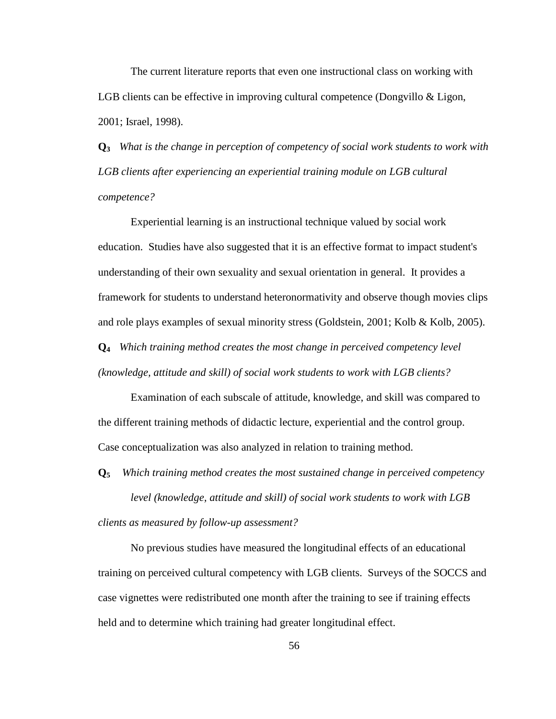The current literature reports that even one instructional class on working with LGB clients can be effective in improving cultural competence (Dongvillo & Ligon, 2001; Israel, 1998).

**Q3** *What is the change in perception of competency of social work students to work with LGB clients after experiencing an experiential training module on LGB cultural competence?*

Experiential learning is an instructional technique valued by social work education. Studies have also suggested that it is an effective format to impact student's understanding of their own sexuality and sexual orientation in general. It provides a framework for students to understand heteronormativity and observe though movies clips and role plays examples of sexual minority stress (Goldstein, 2001; Kolb & Kolb, 2005).

**Q4** *Which training method creates the most change in perceived competency level (knowledge, attitude and skill) of social work students to work with LGB clients?*

Examination of each subscale of attitude, knowledge, and skill was compared to the different training methods of didactic lecture, experiential and the control group. Case conceptualization was also analyzed in relation to training method.

**Q5** *Which training method creates the most sustained change in perceived competency* 

*level (knowledge, attitude and skill) of social work students to work with LGB clients as measured by follow-up assessment?*

No previous studies have measured the longitudinal effects of an educational training on perceived cultural competency with LGB clients. Surveys of the SOCCS and case vignettes were redistributed one month after the training to see if training effects held and to determine which training had greater longitudinal effect.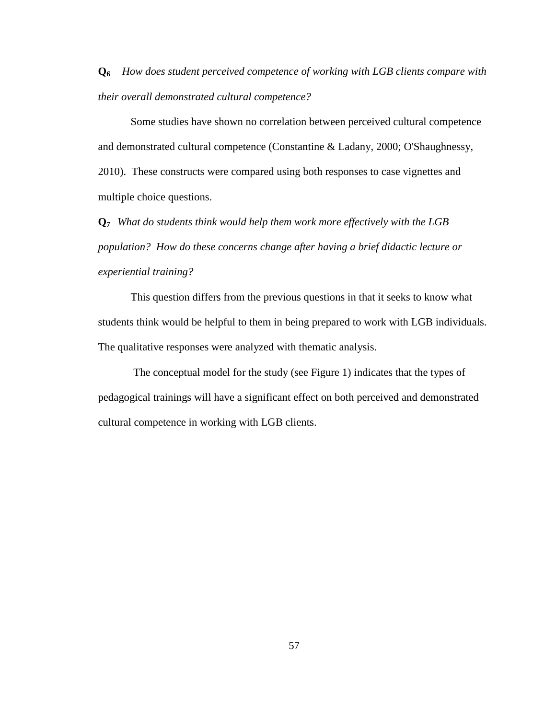**Q6** *How does student perceived competence of working with LGB clients compare with their overall demonstrated cultural competence?* 

Some studies have shown no correlation between perceived cultural competence and demonstrated cultural competence (Constantine & Ladany, 2000; O'Shaughnessy, 2010). These constructs were compared using both responses to case vignettes and multiple choice questions.

**Q7** *What do students think would help them work more effectively with the LGB population? How do these concerns change after having a brief didactic lecture or experiential training?*

This question differs from the previous questions in that it seeks to know what students think would be helpful to them in being prepared to work with LGB individuals. The qualitative responses were analyzed with thematic analysis.

The conceptual model for the study (see Figure 1) indicates that the types of pedagogical trainings will have a significant effect on both perceived and demonstrated cultural competence in working with LGB clients.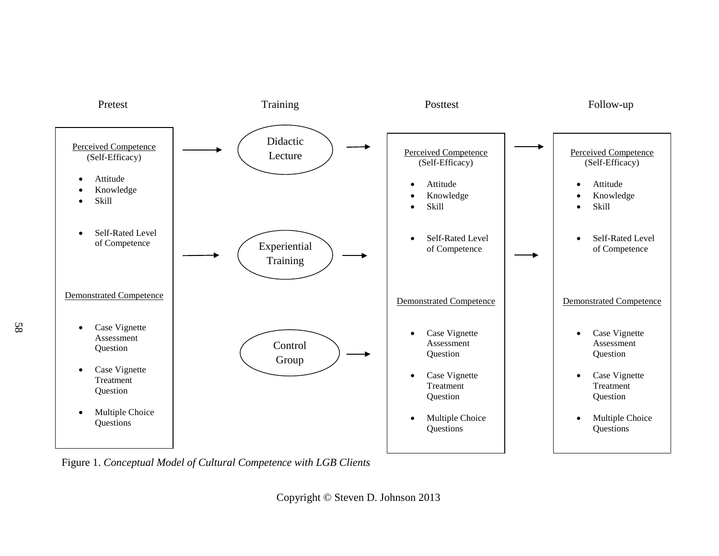

Figure 1. *Conceptual Model of Cultural Competence with LGB Clients*

Copyright © Steven D. Johnson 2013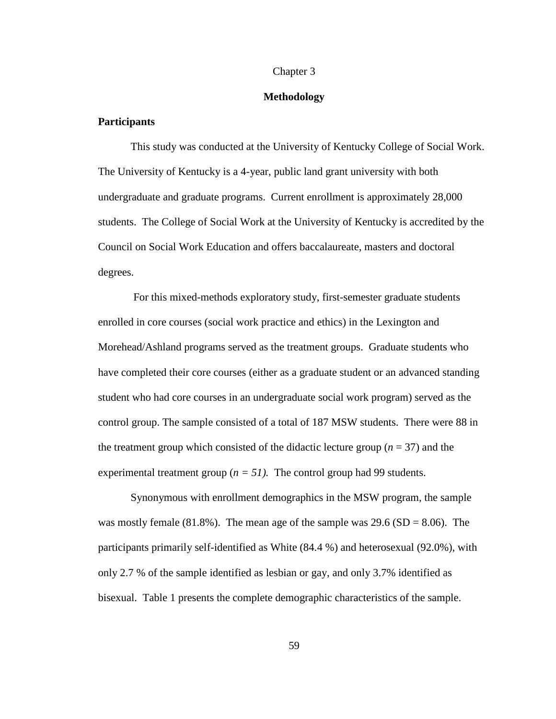#### Chapter 3

#### **Methodology**

### **Participants**

This study was conducted at the University of Kentucky College of Social Work. The University of Kentucky is a 4-year, public land grant university with both undergraduate and graduate programs. Current enrollment is approximately 28,000 students. The College of Social Work at the University of Kentucky is accredited by the Council on Social Work Education and offers baccalaureate, masters and doctoral degrees.

For this mixed-methods exploratory study, first-semester graduate students enrolled in core courses (social work practice and ethics) in the Lexington and Morehead/Ashland programs served as the treatment groups. Graduate students who have completed their core courses (either as a graduate student or an advanced standing student who had core courses in an undergraduate social work program) served as the control group. The sample consisted of a total of 187 MSW students. There were 88 in the treatment group which consisted of the didactic lecture group  $(n = 37)$  and the experimental treatment group ( $n = 51$ ). The control group had 99 students.

Synonymous with enrollment demographics in the MSW program, the sample was mostly female  $(81.8\%)$ . The mean age of the sample was 29.6  $(SD = 8.06)$ . The participants primarily self-identified as White (84.4 %) and heterosexual (92.0%), with only 2.7 % of the sample identified as lesbian or gay, and only 3.7% identified as bisexual. Table 1 presents the complete demographic characteristics of the sample.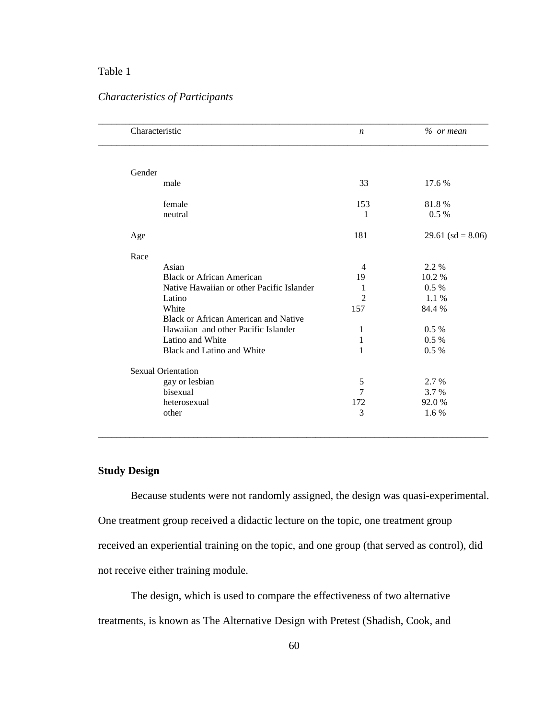# Table 1

# *Characteristics of Participants*

| Characteristic                            | $\boldsymbol{n}$ | $%$ or mean          |
|-------------------------------------------|------------------|----------------------|
|                                           |                  |                      |
| Gender                                    |                  |                      |
| male                                      | 33               | 17.6 %               |
| female                                    | 153              | 81.8%                |
| neutral                                   | 1                | $0.5\%$              |
| Age                                       | 181              | 29.61 (sd = $8.06$ ) |
| Race                                      |                  |                      |
| Asian                                     | 4                | 2.2 %                |
| <b>Black or African American</b>          | 19               | 10.2 %               |
| Native Hawaiian or other Pacific Islander | 1                | 0.5 %                |
| Latino                                    | $\overline{2}$   | 1.1 %                |
| White                                     | 157              | 84.4 %               |
| Black or African American and Native      |                  |                      |
| Hawaiian and other Pacific Islander       | 1                | $0.5\%$              |
| Latino and White                          | $\mathbf 1$      | $0.5\%$              |
| Black and Latino and White                | 1                | $0.5\%$              |
| <b>Sexual Orientation</b>                 |                  |                      |
| gay or lesbian                            | 5                | 2.7 %                |
| bisexual                                  | 7                | 3.7 %                |
| heterosexual                              | 172              | 92.0%                |
| other                                     | 3                | 1.6 %                |

## **Study Design**

Because students were not randomly assigned, the design was quasi-experimental. One treatment group received a didactic lecture on the topic, one treatment group received an experiential training on the topic, and one group (that served as control), did not receive either training module.

\_\_\_\_\_\_\_\_\_\_\_\_\_\_\_\_\_\_\_\_\_\_\_\_\_\_\_\_\_\_\_\_\_\_\_\_\_\_\_\_\_\_\_\_\_\_\_\_\_\_\_\_\_\_\_\_\_\_\_\_\_\_\_\_\_\_\_\_\_\_\_\_\_\_\_\_\_\_\_\_\_\_\_\_\_\_

The design, which is used to compare the effectiveness of two alternative treatments, is known as The Alternative Design with Pretest (Shadish, Cook, and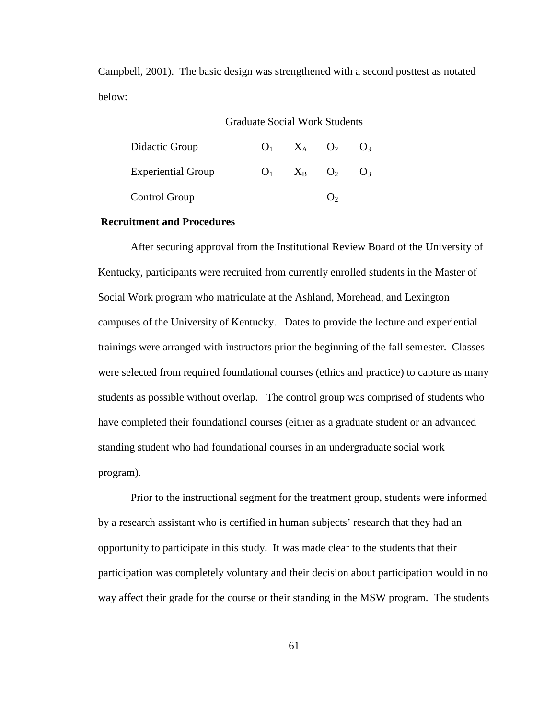Campbell, 2001). The basic design was strengthened with a second posttest as notated below:

## Graduate Social Work Students

| Didactic Group            | $\mathbf{O}_1$ | $X_A$ $O_2$           | $\mathrm{O}_3$ |
|---------------------------|----------------|-----------------------|----------------|
| <b>Experiential Group</b> | O <sub>1</sub> | $X_{\rm B}$ $\rm O_2$ | O <sub>3</sub> |
| Control Group             |                |                       |                |

### **Recruitment and Procedures**

After securing approval from the Institutional Review Board of the University of Kentucky, participants were recruited from currently enrolled students in the Master of Social Work program who matriculate at the Ashland, Morehead, and Lexington campuses of the University of Kentucky. Dates to provide the lecture and experiential trainings were arranged with instructors prior the beginning of the fall semester. Classes were selected from required foundational courses (ethics and practice) to capture as many students as possible without overlap. The control group was comprised of students who have completed their foundational courses (either as a graduate student or an advanced standing student who had foundational courses in an undergraduate social work program).

Prior to the instructional segment for the treatment group, students were informed by a research assistant who is certified in human subjects' research that they had an opportunity to participate in this study. It was made clear to the students that their participation was completely voluntary and their decision about participation would in no way affect their grade for the course or their standing in the MSW program. The students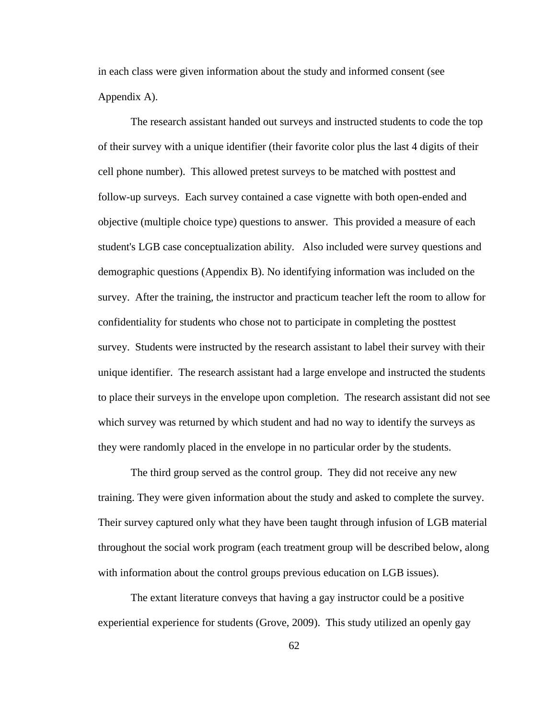in each class were given information about the study and informed consent (see Appendix A).

The research assistant handed out surveys and instructed students to code the top of their survey with a unique identifier (their favorite color plus the last 4 digits of their cell phone number). This allowed pretest surveys to be matched with posttest and follow-up surveys. Each survey contained a case vignette with both open-ended and objective (multiple choice type) questions to answer. This provided a measure of each student's LGB case conceptualization ability. Also included were survey questions and demographic questions (Appendix B). No identifying information was included on the survey. After the training, the instructor and practicum teacher left the room to allow for confidentiality for students who chose not to participate in completing the posttest survey. Students were instructed by the research assistant to label their survey with their unique identifier. The research assistant had a large envelope and instructed the students to place their surveys in the envelope upon completion. The research assistant did not see which survey was returned by which student and had no way to identify the surveys as they were randomly placed in the envelope in no particular order by the students.

The third group served as the control group. They did not receive any new training. They were given information about the study and asked to complete the survey. Their survey captured only what they have been taught through infusion of LGB material throughout the social work program (each treatment group will be described below, along with information about the control groups previous education on LGB issues).

The extant literature conveys that having a gay instructor could be a positive experiential experience for students (Grove, 2009). This study utilized an openly gay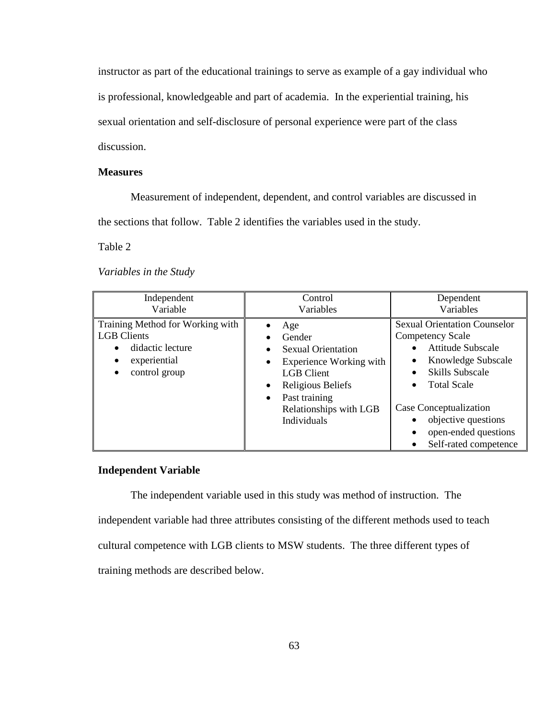instructor as part of the educational trainings to serve as example of a gay individual who

is professional, knowledgeable and part of academia. In the experiential training, his

sexual orientation and self-disclosure of personal experience were part of the class

discussion.

## **Measures**

Measurement of independent, dependent, and control variables are discussed in

the sections that follow. Table 2 identifies the variables used in the study.

Table 2

*Variables in the Study*

| Independent<br>Variable                                                                                                                            | Control<br>Variables                                                                                                                                                                   | Dependent<br>Variables                                                                                                                                                                                                                                                                                         |
|----------------------------------------------------------------------------------------------------------------------------------------------------|----------------------------------------------------------------------------------------------------------------------------------------------------------------------------------------|----------------------------------------------------------------------------------------------------------------------------------------------------------------------------------------------------------------------------------------------------------------------------------------------------------------|
| Training Method for Working with<br><b>LGB</b> Clients<br>didactic lecture<br>$\bullet$<br>experiential<br>$\bullet$<br>control group<br>$\bullet$ | Age<br>Gender<br><b>Sexual Orientation</b><br>Experience Working with<br><b>LGB</b> Client<br>Religious Beliefs<br>Past training<br>$\bullet$<br>Relationships with LGB<br>Individuals | <b>Sexual Orientation Counselor</b><br><b>Competency Scale</b><br><b>Attitude Subscale</b><br>$\bullet$<br>Knowledge Subscale<br><b>Skills Subscale</b><br>٠<br><b>Total Scale</b><br>Case Conceptualization<br>objective questions<br>open-ended questions<br>$\bullet$<br>Self-rated competence<br>$\bullet$ |

## **Independent Variable**

The independent variable used in this study was method of instruction. The independent variable had three attributes consisting of the different methods used to teach cultural competence with LGB clients to MSW students. The three different types of training methods are described below.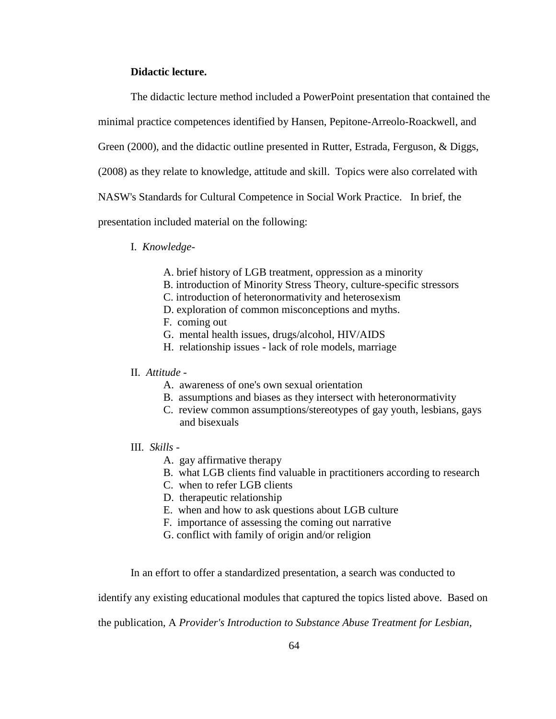## **Didactic lecture.**

The didactic lecture method included a PowerPoint presentation that contained the

minimal practice competences identified by Hansen, Pepitone-Arreolo-Roackwell, and

Green (2000), and the didactic outline presented in Rutter, Estrada, Ferguson, & Diggs,

(2008) as they relate to knowledge, attitude and skill. Topics were also correlated with

NASW's Standards for Cultural Competence in Social Work Practice. In brief, the

presentation included material on the following:

### I. *Knowledge*-

- A. brief history of LGB treatment, oppression as a minority
- B. introduction of Minority Stress Theory, culture-specific stressors
- C. introduction of heteronormativity and heterosexism
- D. exploration of common misconceptions and myths.
- F. coming out
- G. mental health issues, drugs/alcohol, HIV/AIDS
- H. relationship issues lack of role models, marriage

### II. *Attitude -*

- A. awareness of one's own sexual orientation
- B. assumptions and biases as they intersect with heteronormativity
- C. review common assumptions/stereotypes of gay youth, lesbians, gays and bisexuals
- III. *Skills -*
	- A. gay affirmative therapy
	- B. what LGB clients find valuable in practitioners according to research
	- C. when to refer LGB clients
	- D. therapeutic relationship
	- E. when and how to ask questions about LGB culture
	- F. importance of assessing the coming out narrative
	- G. conflict with family of origin and/or religion

In an effort to offer a standardized presentation, a search was conducted to

identify any existing educational modules that captured the topics listed above. Based on

the publication, A *Provider's Introduction to Substance Abuse Treatment for Lesbian,*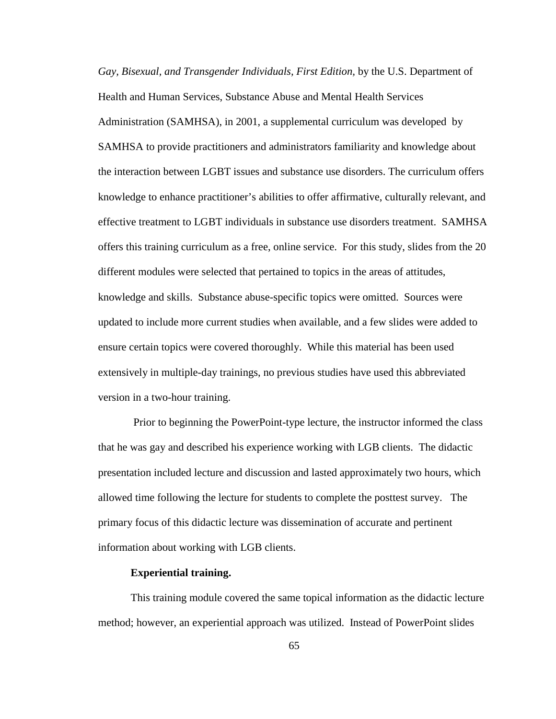*Gay, Bisexual, and Transgender Individuals, First Edition,* by the U.S. Department of Health and Human Services, Substance Abuse and Mental Health Services Administration (SAMHSA), in 2001, a supplemental curriculum was developed by SAMHSA to provide practitioners and administrators familiarity and knowledge about the interaction between LGBT issues and substance use disorders. The curriculum offers knowledge to enhance practitioner's abilities to offer affirmative, culturally relevant, and effective treatment to LGBT individuals in substance use disorders treatment. SAMHSA offers this training curriculum as a free, online service. For this study, slides from the 20 different modules were selected that pertained to topics in the areas of attitudes, knowledge and skills. Substance abuse-specific topics were omitted. Sources were updated to include more current studies when available, and a few slides were added to ensure certain topics were covered thoroughly. While this material has been used extensively in multiple-day trainings, no previous studies have used this abbreviated version in a two-hour training.

Prior to beginning the PowerPoint-type lecture, the instructor informed the class that he was gay and described his experience working with LGB clients. The didactic presentation included lecture and discussion and lasted approximately two hours, which allowed time following the lecture for students to complete the posttest survey. The primary focus of this didactic lecture was dissemination of accurate and pertinent information about working with LGB clients.

### **Experiential training.**

This training module covered the same topical information as the didactic lecture method; however, an experiential approach was utilized. Instead of PowerPoint slides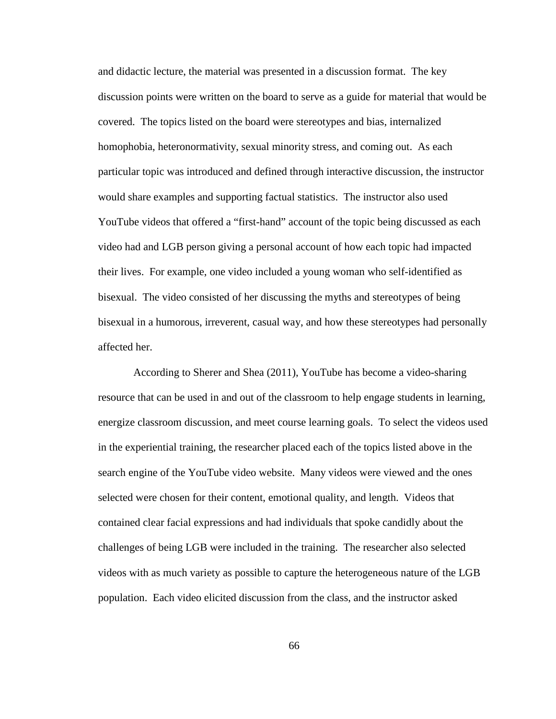and didactic lecture, the material was presented in a discussion format. The key discussion points were written on the board to serve as a guide for material that would be covered. The topics listed on the board were stereotypes and bias, internalized homophobia, heteronormativity, sexual minority stress, and coming out. As each particular topic was introduced and defined through interactive discussion, the instructor would share examples and supporting factual statistics. The instructor also used YouTube videos that offered a "first-hand" account of the topic being discussed as each video had and LGB person giving a personal account of how each topic had impacted their lives. For example, one video included a young woman who self-identified as bisexual. The video consisted of her discussing the myths and stereotypes of being bisexual in a humorous, irreverent, casual way, and how these stereotypes had personally affected her.

According to Sherer and Shea (2011), YouTube has become a video-sharing resource that can be used in and out of the classroom to help engage students in learning, energize classroom discussion, and meet course learning goals. To select the videos used in the experiential training, the researcher placed each of the topics listed above in the search engine of the YouTube video website. Many videos were viewed and the ones selected were chosen for their content, emotional quality, and length. Videos that contained clear facial expressions and had individuals that spoke candidly about the challenges of being LGB were included in the training. The researcher also selected videos with as much variety as possible to capture the heterogeneous nature of the LGB population. Each video elicited discussion from the class, and the instructor asked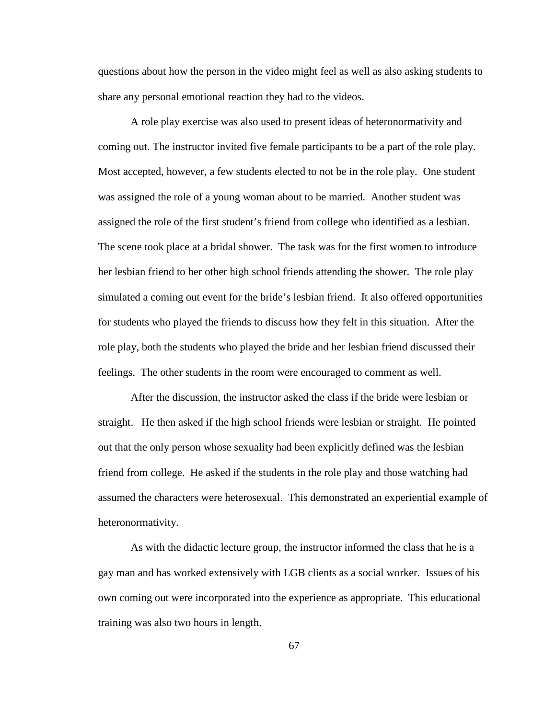questions about how the person in the video might feel as well as also asking students to share any personal emotional reaction they had to the videos.

A role play exercise was also used to present ideas of heteronormativity and coming out. The instructor invited five female participants to be a part of the role play. Most accepted, however, a few students elected to not be in the role play. One student was assigned the role of a young woman about to be married. Another student was assigned the role of the first student's friend from college who identified as a lesbian. The scene took place at a bridal shower. The task was for the first women to introduce her lesbian friend to her other high school friends attending the shower. The role play simulated a coming out event for the bride's lesbian friend. It also offered opportunities for students who played the friends to discuss how they felt in this situation. After the role play, both the students who played the bride and her lesbian friend discussed their feelings. The other students in the room were encouraged to comment as well.

After the discussion, the instructor asked the class if the bride were lesbian or straight. He then asked if the high school friends were lesbian or straight. He pointed out that the only person whose sexuality had been explicitly defined was the lesbian friend from college. He asked if the students in the role play and those watching had assumed the characters were heterosexual. This demonstrated an experiential example of heteronormativity.

As with the didactic lecture group, the instructor informed the class that he is a gay man and has worked extensively with LGB clients as a social worker. Issues of his own coming out were incorporated into the experience as appropriate. This educational training was also two hours in length.

67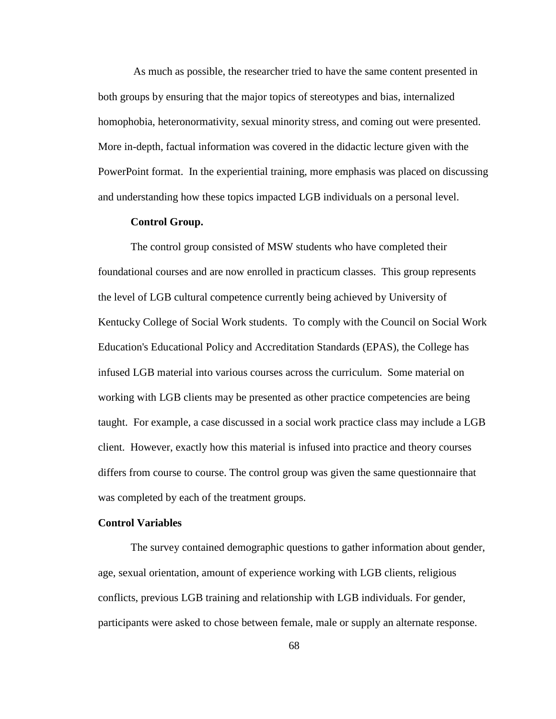As much as possible, the researcher tried to have the same content presented in both groups by ensuring that the major topics of stereotypes and bias, internalized homophobia, heteronormativity, sexual minority stress, and coming out were presented. More in-depth, factual information was covered in the didactic lecture given with the PowerPoint format. In the experiential training, more emphasis was placed on discussing and understanding how these topics impacted LGB individuals on a personal level.

### **Control Group.**

The control group consisted of MSW students who have completed their foundational courses and are now enrolled in practicum classes. This group represents the level of LGB cultural competence currently being achieved by University of Kentucky College of Social Work students. To comply with the Council on Social Work Education's Educational Policy and Accreditation Standards (EPAS), the College has infused LGB material into various courses across the curriculum. Some material on working with LGB clients may be presented as other practice competencies are being taught. For example, a case discussed in a social work practice class may include a LGB client. However, exactly how this material is infused into practice and theory courses differs from course to course. The control group was given the same questionnaire that was completed by each of the treatment groups.

### **Control Variables**

The survey contained demographic questions to gather information about gender, age, sexual orientation, amount of experience working with LGB clients, religious conflicts, previous LGB training and relationship with LGB individuals. For gender, participants were asked to chose between female, male or supply an alternate response.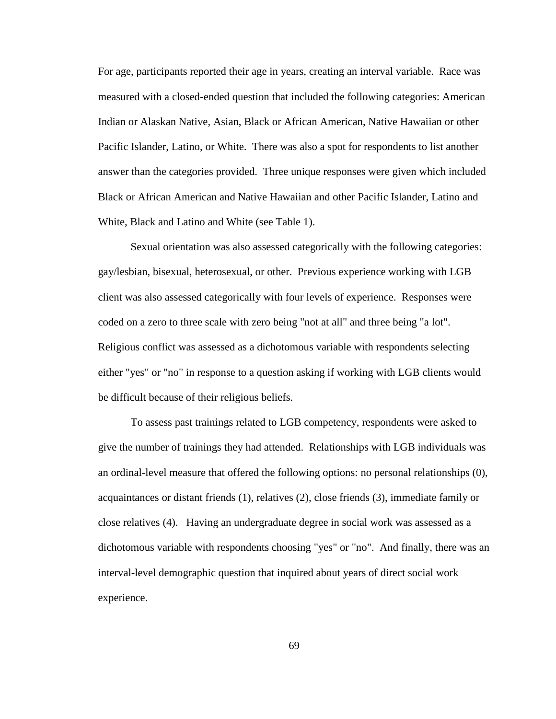For age, participants reported their age in years, creating an interval variable. Race was measured with a closed-ended question that included the following categories: American Indian or Alaskan Native, Asian, Black or African American, Native Hawaiian or other Pacific Islander, Latino, or White. There was also a spot for respondents to list another answer than the categories provided. Three unique responses were given which included Black or African American and Native Hawaiian and other Pacific Islander, Latino and White, Black and Latino and White (see Table 1).

Sexual orientation was also assessed categorically with the following categories: gay/lesbian, bisexual, heterosexual, or other. Previous experience working with LGB client was also assessed categorically with four levels of experience. Responses were coded on a zero to three scale with zero being "not at all" and three being "a lot". Religious conflict was assessed as a dichotomous variable with respondents selecting either "yes" or "no" in response to a question asking if working with LGB clients would be difficult because of their religious beliefs.

To assess past trainings related to LGB competency, respondents were asked to give the number of trainings they had attended. Relationships with LGB individuals was an ordinal-level measure that offered the following options: no personal relationships (0), acquaintances or distant friends (1), relatives (2), close friends (3), immediate family or close relatives (4). Having an undergraduate degree in social work was assessed as a dichotomous variable with respondents choosing "yes" or "no". And finally, there was an interval-level demographic question that inquired about years of direct social work experience.

69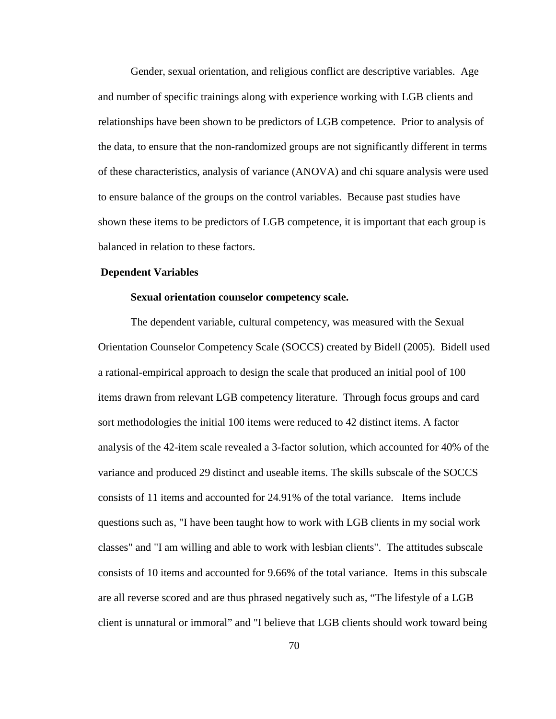Gender, sexual orientation, and religious conflict are descriptive variables. Age and number of specific trainings along with experience working with LGB clients and relationships have been shown to be predictors of LGB competence. Prior to analysis of the data, to ensure that the non-randomized groups are not significantly different in terms of these characteristics, analysis of variance (ANOVA) and chi square analysis were used to ensure balance of the groups on the control variables. Because past studies have shown these items to be predictors of LGB competence, it is important that each group is balanced in relation to these factors.

### **Dependent Variables**

### **Sexual orientation counselor competency scale.**

The dependent variable, cultural competency, was measured with the Sexual Orientation Counselor Competency Scale (SOCCS) created by Bidell (2005). Bidell used a rational-empirical approach to design the scale that produced an initial pool of 100 items drawn from relevant LGB competency literature. Through focus groups and card sort methodologies the initial 100 items were reduced to 42 distinct items. A factor analysis of the 42-item scale revealed a 3-factor solution, which accounted for 40% of the variance and produced 29 distinct and useable items. The skills subscale of the SOCCS consists of 11 items and accounted for 24.91% of the total variance. Items include questions such as, "I have been taught how to work with LGB clients in my social work classes" and "I am willing and able to work with lesbian clients". The attitudes subscale consists of 10 items and accounted for 9.66% of the total variance. Items in this subscale are all reverse scored and are thus phrased negatively such as, "The lifestyle of a LGB client is unnatural or immoral" and "I believe that LGB clients should work toward being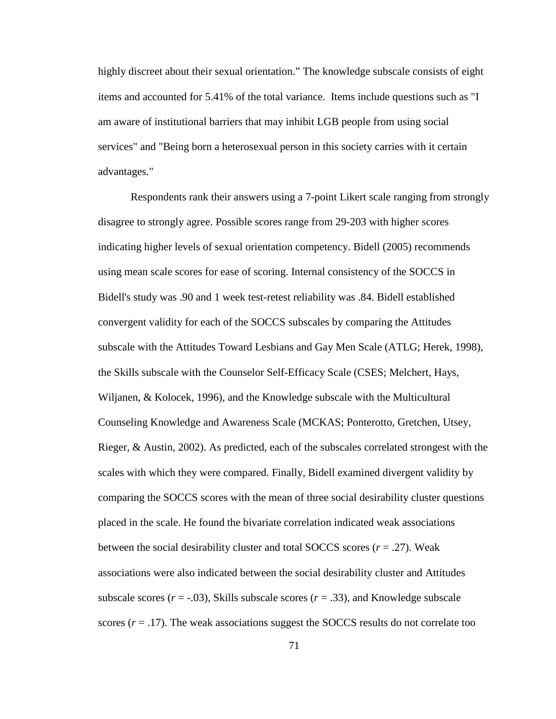highly discreet about their sexual orientation." The knowledge subscale consists of eight items and accounted for 5.41% of the total variance. Items include questions such as "I am aware of institutional barriers that may inhibit LGB people from using social services" and "Being born a heterosexual person in this society carries with it certain advantages."

Respondents rank their answers using a 7-point Likert scale ranging from strongly disagree to strongly agree. Possible scores range from 29-203 with higher scores indicating higher levels of sexual orientation competency. Bidell (2005) recommends using mean scale scores for ease of scoring. Internal consistency of the SOCCS in Bidell's study was .90 and 1 week test-retest reliability was .84. Bidell established convergent validity for each of the SOCCS subscales by comparing the Attitudes subscale with the Attitudes Toward Lesbians and Gay Men Scale (ATLG; Herek, 1998), the Skills subscale with the Counselor Self-Efficacy Scale (CSES; Melchert, Hays, Wiljanen, & Kolocek, 1996), and the Knowledge subscale with the Multicultural Counseling Knowledge and Awareness Scale (MCKAS; Ponterotto, Gretchen, Utsey, Rieger, & Austin, 2002). As predicted, each of the subscales correlated strongest with the scales with which they were compared. Finally, Bidell examined divergent validity by comparing the SOCCS scores with the mean of three social desirability cluster questions placed in the scale. He found the bivariate correlation indicated weak associations between the social desirability cluster and total SOCCS scores (*r* = .27). Weak associations were also indicated between the social desirability cluster and Attitudes subscale scores  $(r = -0.03)$ , Skills subscale scores  $(r = .33)$ , and Knowledge subscale scores  $(r = .17)$ . The weak associations suggest the SOCCS results do not correlate too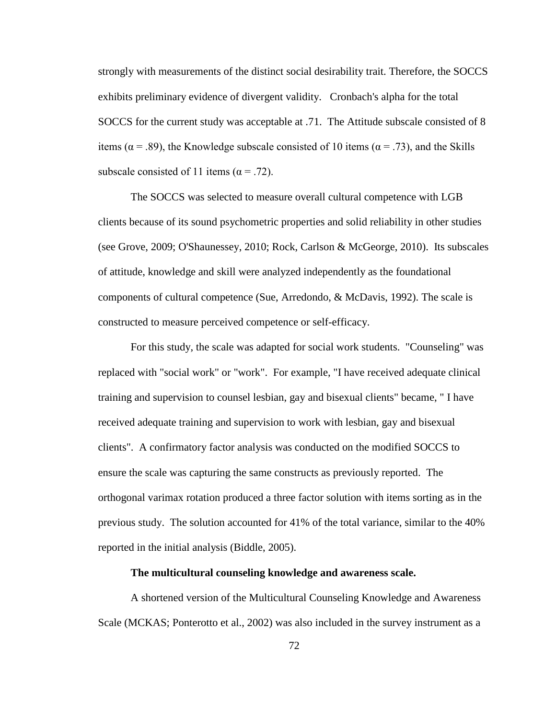strongly with measurements of the distinct social desirability trait. Therefore, the SOCCS exhibits preliminary evidence of divergent validity. Cronbach's alpha for the total SOCCS for the current study was acceptable at .71. The Attitude subscale consisted of 8 items ( $\alpha$  = .89), the Knowledge subscale consisted of 10 items ( $\alpha$  = .73), and the Skills subscale consisted of 11 items ( $\alpha$  = .72).

The SOCCS was selected to measure overall cultural competence with LGB clients because of its sound psychometric properties and solid reliability in other studies (see Grove, 2009; O'Shaunessey, 2010; Rock, Carlson & McGeorge, 2010). Its subscales of attitude, knowledge and skill were analyzed independently as the foundational components of cultural competence (Sue, Arredondo, & McDavis, 1992). The scale is constructed to measure perceived competence or self-efficacy.

For this study, the scale was adapted for social work students. "Counseling" was replaced with "social work" or "work". For example, "I have received adequate clinical training and supervision to counsel lesbian, gay and bisexual clients" became, " I have received adequate training and supervision to work with lesbian, gay and bisexual clients". A confirmatory factor analysis was conducted on the modified SOCCS to ensure the scale was capturing the same constructs as previously reported. The orthogonal varimax rotation produced a three factor solution with items sorting as in the previous study. The solution accounted for 41% of the total variance, similar to the 40% reported in the initial analysis (Biddle, 2005).

### **The multicultural counseling knowledge and awareness scale.**

A shortened version of the Multicultural Counseling Knowledge and Awareness Scale (MCKAS; Ponterotto et al., 2002) was also included in the survey instrument as a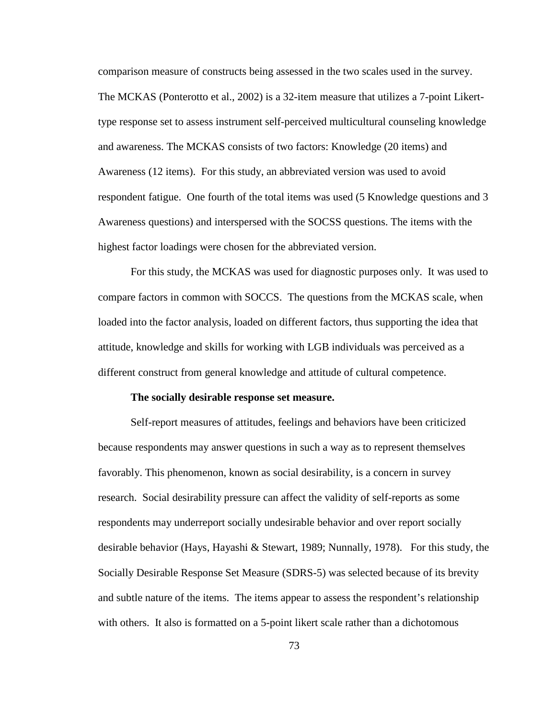comparison measure of constructs being assessed in the two scales used in the survey. The MCKAS (Ponterotto et al., 2002) is a 32-item measure that utilizes a 7-point Likerttype response set to assess instrument self-perceived multicultural counseling knowledge and awareness. The MCKAS consists of two factors: Knowledge (20 items) and Awareness (12 items). For this study, an abbreviated version was used to avoid respondent fatigue. One fourth of the total items was used (5 Knowledge questions and 3 Awareness questions) and interspersed with the SOCSS questions. The items with the highest factor loadings were chosen for the abbreviated version.

For this study, the MCKAS was used for diagnostic purposes only. It was used to compare factors in common with SOCCS. The questions from the MCKAS scale, when loaded into the factor analysis, loaded on different factors, thus supporting the idea that attitude, knowledge and skills for working with LGB individuals was perceived as a different construct from general knowledge and attitude of cultural competence.

### **The socially desirable response set measure.**

Self-report measures of attitudes, feelings and behaviors have been criticized because respondents may answer questions in such a way as to represent themselves favorably. This phenomenon, known as social desirability, is a concern in survey research. Social desirability pressure can affect the validity of self-reports as some respondents may underreport socially undesirable behavior and over report socially desirable behavior (Hays, Hayashi & Stewart, 1989; Nunnally, 1978). For this study, the Socially Desirable Response Set Measure (SDRS-5) was selected because of its brevity and subtle nature of the items. The items appear to assess the respondent's relationship with others. It also is formatted on a 5-point likert scale rather than a dichotomous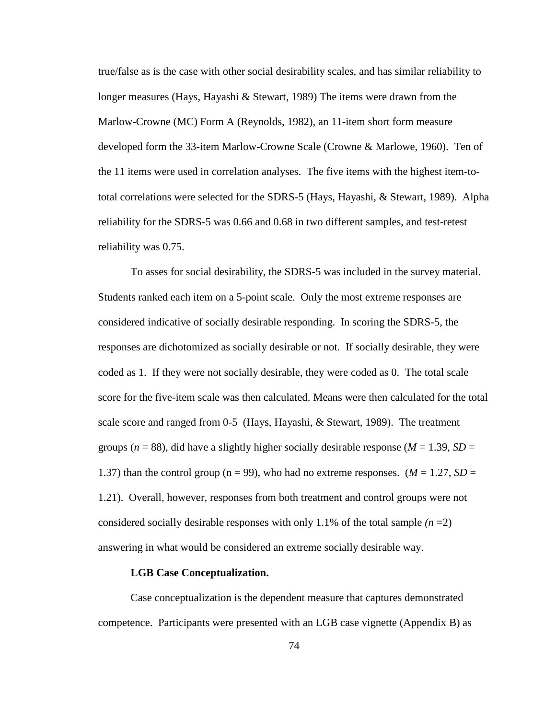true/false as is the case with other social desirability scales, and has similar reliability to longer measures (Hays, Hayashi & Stewart, 1989) The items were drawn from the Marlow-Crowne (MC) Form A (Reynolds, 1982), an 11-item short form measure developed form the 33-item Marlow-Crowne Scale (Crowne & Marlowe, 1960). Ten of the 11 items were used in correlation analyses. The five items with the highest item-tototal correlations were selected for the SDRS-5 (Hays, Hayashi, & Stewart, 1989). Alpha reliability for the SDRS-5 was 0.66 and 0.68 in two different samples, and test-retest reliability was 0.75.

To asses for social desirability, the SDRS-5 was included in the survey material. Students ranked each item on a 5-point scale. Only the most extreme responses are considered indicative of socially desirable responding. In scoring the SDRS-5, the responses are dichotomized as socially desirable or not. If socially desirable, they were coded as 1. If they were not socially desirable, they were coded as 0. The total scale score for the five-item scale was then calculated. Means were then calculated for the total scale score and ranged from 0-5 (Hays, Hayashi, & Stewart, 1989). The treatment groups ( $n = 88$ ), did have a slightly higher socially desirable response ( $M = 1.39$ ,  $SD =$ 1.37) than the control group ( $n = 99$ ), who had no extreme responses. ( $M = 1.27$ ,  $SD =$ 1.21). Overall, however, responses from both treatment and control groups were not considered socially desirable responses with only 1.1% of the total sample  $(n=2)$ answering in what would be considered an extreme socially desirable way.

### **LGB Case Conceptualization.**

Case conceptualization is the dependent measure that captures demonstrated competence. Participants were presented with an LGB case vignette (Appendix B) as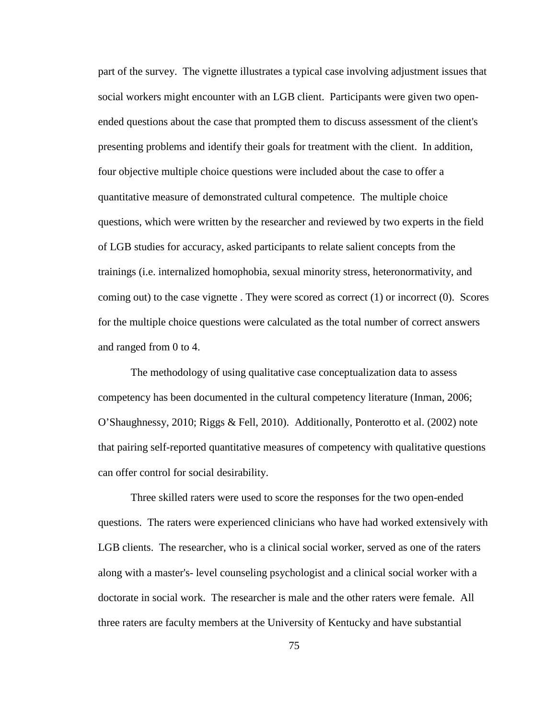part of the survey. The vignette illustrates a typical case involving adjustment issues that social workers might encounter with an LGB client. Participants were given two openended questions about the case that prompted them to discuss assessment of the client's presenting problems and identify their goals for treatment with the client. In addition, four objective multiple choice questions were included about the case to offer a quantitative measure of demonstrated cultural competence. The multiple choice questions, which were written by the researcher and reviewed by two experts in the field of LGB studies for accuracy, asked participants to relate salient concepts from the trainings (i.e. internalized homophobia, sexual minority stress, heteronormativity, and coming out) to the case vignette. They were scored as correct  $(1)$  or incorrect  $(0)$ . Scores for the multiple choice questions were calculated as the total number of correct answers and ranged from 0 to 4.

The methodology of using qualitative case conceptualization data to assess competency has been documented in the cultural competency literature (Inman, 2006; O'Shaughnessy, 2010; Riggs & Fell, 2010). Additionally, Ponterotto et al. (2002) note that pairing self-reported quantitative measures of competency with qualitative questions can offer control for social desirability.

Three skilled raters were used to score the responses for the two open-ended questions. The raters were experienced clinicians who have had worked extensively with LGB clients. The researcher, who is a clinical social worker, served as one of the raters along with a master's- level counseling psychologist and a clinical social worker with a doctorate in social work. The researcher is male and the other raters were female. All three raters are faculty members at the University of Kentucky and have substantial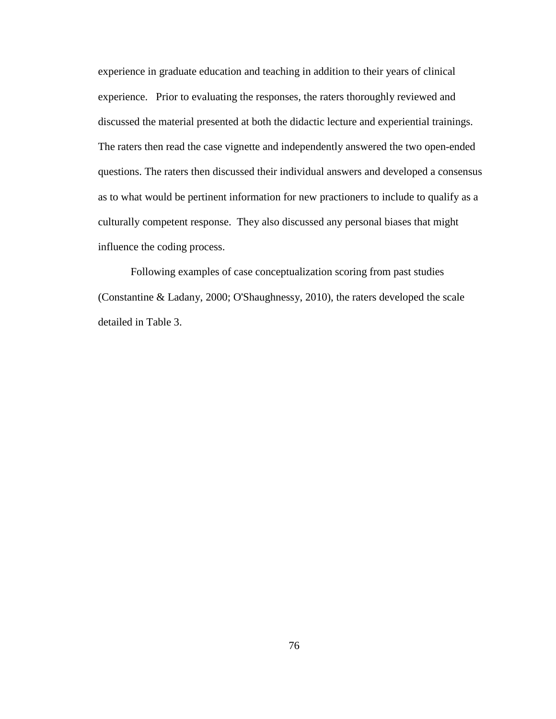experience in graduate education and teaching in addition to their years of clinical experience. Prior to evaluating the responses, the raters thoroughly reviewed and discussed the material presented at both the didactic lecture and experiential trainings. The raters then read the case vignette and independently answered the two open-ended questions. The raters then discussed their individual answers and developed a consensus as to what would be pertinent information for new practioners to include to qualify as a culturally competent response. They also discussed any personal biases that might influence the coding process.

Following examples of case conceptualization scoring from past studies (Constantine & Ladany, 2000; O'Shaughnessy, 2010), the raters developed the scale detailed in Table 3.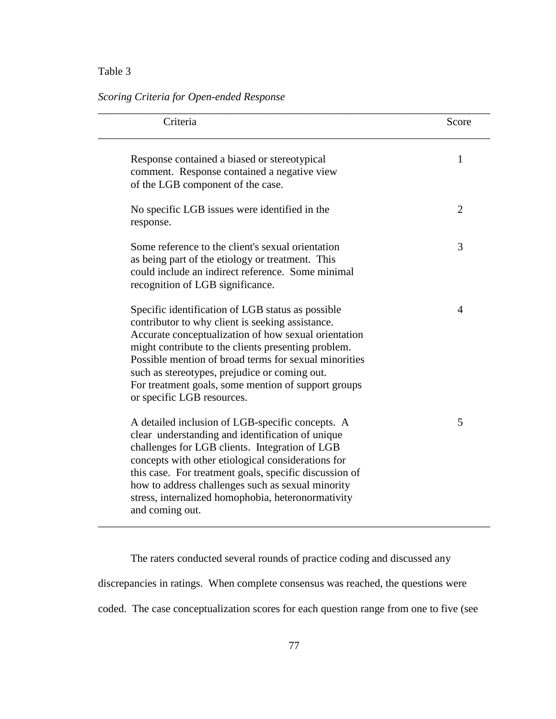# Table 3

# *Scoring Criteria for Open-ended Response*

| Criteria                                                                                                                                                                                                                                                                                                                                                                                                            | Score          |
|---------------------------------------------------------------------------------------------------------------------------------------------------------------------------------------------------------------------------------------------------------------------------------------------------------------------------------------------------------------------------------------------------------------------|----------------|
| Response contained a biased or stereotypical<br>comment. Response contained a negative view<br>of the LGB component of the case.                                                                                                                                                                                                                                                                                    | 1              |
| No specific LGB issues were identified in the<br>response.                                                                                                                                                                                                                                                                                                                                                          | $\overline{2}$ |
| Some reference to the client's sexual orientation<br>as being part of the etiology or treatment. This<br>could include an indirect reference. Some minimal<br>recognition of LGB significance.                                                                                                                                                                                                                      | 3              |
| Specific identification of LGB status as possible<br>contributor to why client is seeking assistance.<br>Accurate conceptualization of how sexual orientation<br>might contribute to the clients presenting problem.<br>Possible mention of broad terms for sexual minorities<br>such as stereotypes, prejudice or coming out.<br>For treatment goals, some mention of support groups<br>or specific LGB resources. | $\overline{4}$ |
| A detailed inclusion of LGB-specific concepts. A<br>clear understanding and identification of unique<br>challenges for LGB clients. Integration of LGB<br>concepts with other etiological considerations for<br>this case. For treatment goals, specific discussion of<br>how to address challenges such as sexual minority<br>stress, internalized homophobia, heteronormativity<br>and coming out.                | 5              |

The raters conducted several rounds of practice coding and discussed any discrepancies in ratings. When complete consensus was reached, the questions were coded. The case conceptualization scores for each question range from one to five (see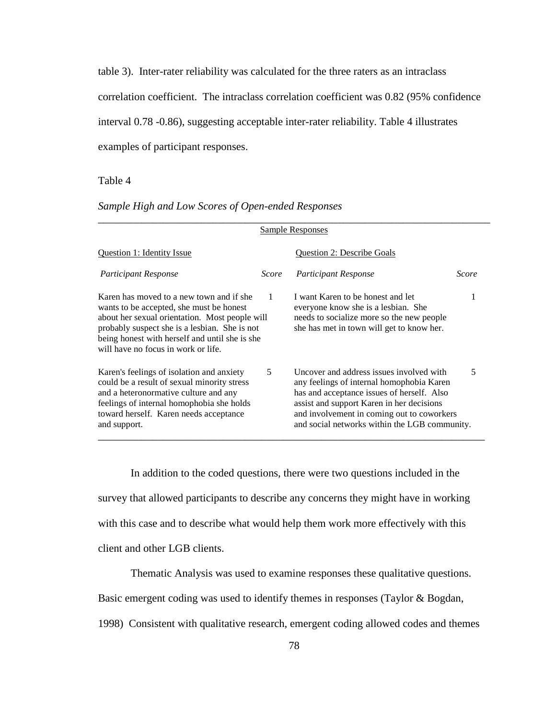table 3). Inter-rater reliability was calculated for the three raters as an intraclass correlation coefficient. The intraclass correlation coefficient was 0.82 (95% confidence interval 0.78 -0.86), suggesting acceptable inter-rater reliability. Table 4 illustrates examples of participant responses.

### Table 4

## *Sample High and Low Scores of Open-ended Responses*

| Sample Responses                                                                                                                                                                                                                                                                 |       |                                                                                                                                                                                                                                                                                 |       |  |  |  |  |  |
|----------------------------------------------------------------------------------------------------------------------------------------------------------------------------------------------------------------------------------------------------------------------------------|-------|---------------------------------------------------------------------------------------------------------------------------------------------------------------------------------------------------------------------------------------------------------------------------------|-------|--|--|--|--|--|
| Question 1: Identity Issue                                                                                                                                                                                                                                                       |       | <b>Ouestion 2: Describe Goals</b>                                                                                                                                                                                                                                               |       |  |  |  |  |  |
| <b>Participant Response</b>                                                                                                                                                                                                                                                      | Score | <b>Participant Response</b>                                                                                                                                                                                                                                                     | Score |  |  |  |  |  |
| Karen has moved to a new town and if she<br>wants to be accepted, she must be honest<br>about her sexual orientation. Most people will<br>probably suspect she is a lesbian. She is not<br>being honest with herself and until she is she<br>will have no focus in work or life. | 1     | I want Karen to be honest and let<br>everyone know she is a lesbian. She<br>needs to socialize more so the new people<br>she has met in town will get to know her.                                                                                                              |       |  |  |  |  |  |
| Karen's feelings of isolation and anxiety<br>could be a result of sexual minority stress<br>and a heteronormative culture and any<br>feelings of internal homophobia she holds<br>toward herself. Karen needs acceptance<br>and support.                                         | 5     | Uncover and address issues involved with<br>any feelings of internal homophobia Karen<br>has and acceptance issues of herself. Also<br>assist and support Karen in her decisions<br>and involvement in coming out to coworkers<br>and social networks within the LGB community. | 5     |  |  |  |  |  |

In addition to the coded questions, there were two questions included in the survey that allowed participants to describe any concerns they might have in working with this case and to describe what would help them work more effectively with this client and other LGB clients.

Thematic Analysis was used to examine responses these qualitative questions.

Basic emergent coding was used to identify themes in responses (Taylor & Bogdan,

1998) Consistent with qualitative research, emergent coding allowed codes and themes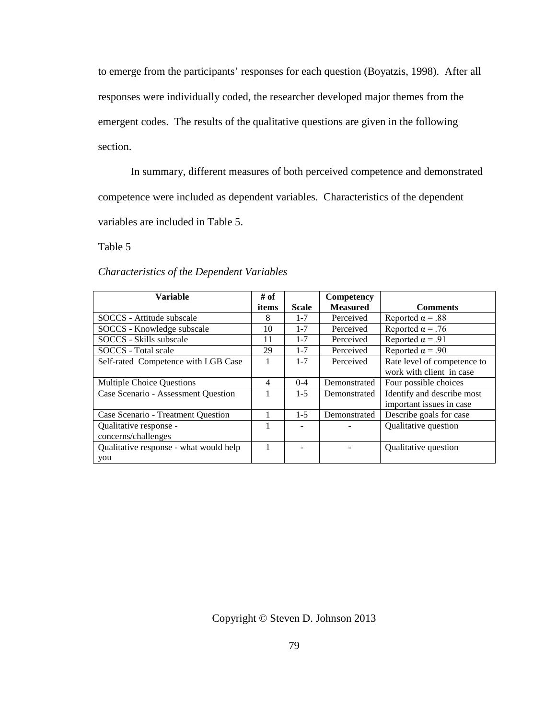to emerge from the participants' responses for each question (Boyatzis, 1998). After all responses were individually coded, the researcher developed major themes from the emergent codes. The results of the qualitative questions are given in the following section.

In summary, different measures of both perceived competence and demonstrated competence were included as dependent variables. Characteristics of the dependent variables are included in Table 5.

Table 5

| Characteristics of the Dependent Variables |  |  |
|--------------------------------------------|--|--|
|                                            |  |  |

| Variable                               | # of           |              | Competency      |                             |
|----------------------------------------|----------------|--------------|-----------------|-----------------------------|
|                                        | items          | <b>Scale</b> | <b>Measured</b> | <b>Comments</b>             |
| SOCCS - Attitude subscale              | 8              | $1 - 7$      | Perceived       | Reported $\alpha$ = .88     |
| SOCCS - Knowledge subscale             | 10             | $1 - 7$      | Perceived       | Reported $\alpha$ = .76     |
| SOCCS - Skills subscale                | 11             | $1 - 7$      | Perceived       | Reported $\alpha$ = .91     |
| SOCCS - Total scale                    | 29             | $1 - 7$      | Perceived       | Reported $\alpha$ = .90     |
| Self-rated Competence with LGB Case    | 1              | $1 - 7$      | Perceived       | Rate level of competence to |
|                                        |                |              |                 | work with client in case    |
| <b>Multiple Choice Questions</b>       | $\overline{4}$ | $0 - 4$      | Demonstrated    | Four possible choices       |
| Case Scenario - Assessment Question    | 1              | $1 - 5$      | Demonstrated    | Identify and describe most  |
|                                        |                |              |                 | important issues in case    |
| Case Scenario - Treatment Question     |                | $1 - 5$      | Demonstrated    | Describe goals for case     |
| Qualitative response -                 | 1              |              |                 | Qualitative question        |
| concerns/challenges                    |                |              |                 |                             |
| Qualitative response - what would help |                |              |                 | Qualitative question        |
| you                                    |                |              |                 |                             |

Copyright © Steven D. Johnson 2013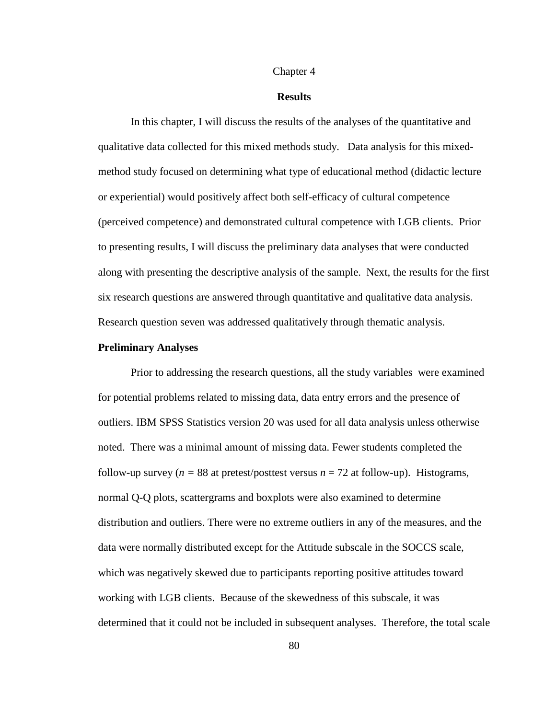#### Chapter 4

### **Results**

In this chapter, I will discuss the results of the analyses of the quantitative and qualitative data collected for this mixed methods study. Data analysis for this mixedmethod study focused on determining what type of educational method (didactic lecture or experiential) would positively affect both self-efficacy of cultural competence (perceived competence) and demonstrated cultural competence with LGB clients. Prior to presenting results, I will discuss the preliminary data analyses that were conducted along with presenting the descriptive analysis of the sample. Next, the results for the first six research questions are answered through quantitative and qualitative data analysis. Research question seven was addressed qualitatively through thematic analysis.

### **Preliminary Analyses**

Prior to addressing the research questions, all the study variables were examined for potential problems related to missing data, data entry errors and the presence of outliers. IBM SPSS Statistics version 20 was used for all data analysis unless otherwise noted. There was a minimal amount of missing data. Fewer students completed the follow-up survey ( $n = 88$  at pretest/posttest versus  $n = 72$  at follow-up). Histograms, normal Q-Q plots, scattergrams and boxplots were also examined to determine distribution and outliers. There were no extreme outliers in any of the measures, and the data were normally distributed except for the Attitude subscale in the SOCCS scale, which was negatively skewed due to participants reporting positive attitudes toward working with LGB clients. Because of the skewedness of this subscale, it was determined that it could not be included in subsequent analyses. Therefore, the total scale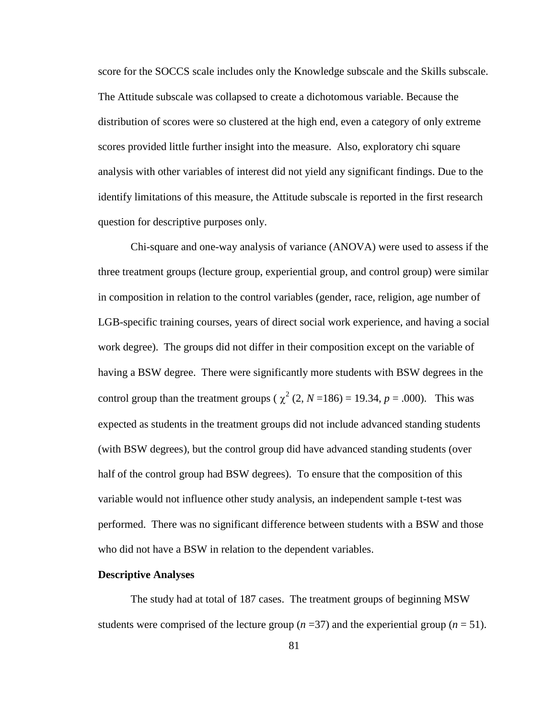score for the SOCCS scale includes only the Knowledge subscale and the Skills subscale. The Attitude subscale was collapsed to create a dichotomous variable. Because the distribution of scores were so clustered at the high end, even a category of only extreme scores provided little further insight into the measure. Also, exploratory chi square analysis with other variables of interest did not yield any significant findings. Due to the identify limitations of this measure, the Attitude subscale is reported in the first research question for descriptive purposes only.

Chi-square and one-way analysis of variance (ANOVA) were used to assess if the three treatment groups (lecture group, experiential group, and control group) were similar in composition in relation to the control variables (gender, race, religion, age number of LGB-specific training courses, years of direct social work experience, and having a social work degree). The groups did not differ in their composition except on the variable of having a BSW degree. There were significantly more students with BSW degrees in the control group than the treatment groups ( $\chi^2$  (2, *N* = 186) = 19.34, *p* = .000). This was expected as students in the treatment groups did not include advanced standing students (with BSW degrees), but the control group did have advanced standing students (over half of the control group had BSW degrees). To ensure that the composition of this variable would not influence other study analysis, an independent sample t-test was performed. There was no significant difference between students with a BSW and those who did not have a BSW in relation to the dependent variables.

### **Descriptive Analyses**

The study had at total of 187 cases. The treatment groups of beginning MSW students were comprised of the lecture group  $(n=37)$  and the experiential group  $(n=51)$ .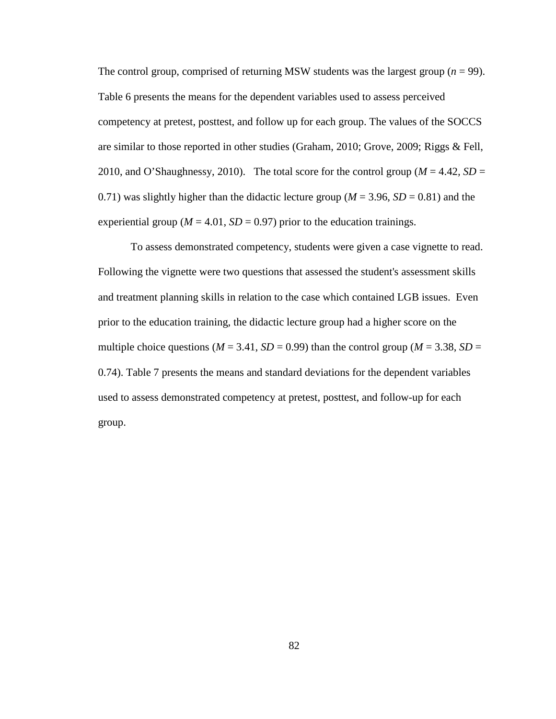The control group, comprised of returning MSW students was the largest group  $(n = 99)$ . Table 6 presents the means for the dependent variables used to assess perceived competency at pretest, posttest, and follow up for each group. The values of the SOCCS are similar to those reported in other studies (Graham, 2010; Grove, 2009; Riggs & Fell, 2010, and O'Shaughnessy, 2010). The total score for the control group ( $M = 4.42$ ,  $SD =$ 0.71) was slightly higher than the didactic lecture group ( $M = 3.96$ ,  $SD = 0.81$ ) and the experiential group ( $M = 4.01$ ,  $SD = 0.97$ ) prior to the education trainings.

To assess demonstrated competency, students were given a case vignette to read. Following the vignette were two questions that assessed the student's assessment skills and treatment planning skills in relation to the case which contained LGB issues. Even prior to the education training, the didactic lecture group had a higher score on the multiple choice questions ( $M = 3.41$ ,  $SD = 0.99$ ) than the control group ( $M = 3.38$ ,  $SD =$ 0.74). Table 7 presents the means and standard deviations for the dependent variables used to assess demonstrated competency at pretest, posttest, and follow-up for each group.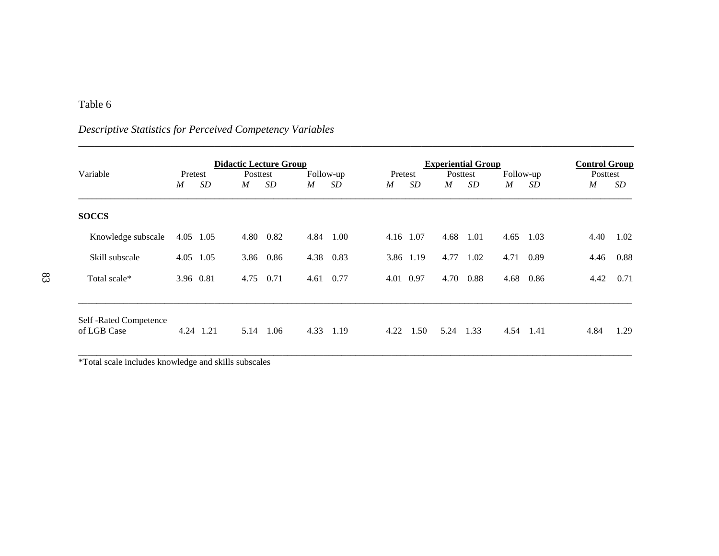# Table 6

# \_\_\_\_\_\_\_\_\_\_\_\_\_\_\_\_\_\_\_\_\_\_\_\_\_\_\_\_\_\_\_\_\_\_\_\_\_\_\_\_\_\_\_\_\_\_\_\_\_\_\_\_\_\_\_\_\_\_\_\_\_\_\_\_\_\_\_\_\_\_\_\_\_\_\_\_\_\_\_\_\_\_\_\_\_\_\_\_\_\_\_\_\_\_\_\_\_\_\_\_\_\_ Variable Pretest **Didactic Lecture Group**<br>
Posttest Follow-up Pretest Posttest Follow-up Posttest Posttest Posttest Posttest Posttest Posttest Posttest Variable Pretest Posttest Follow-up Pretest Posttest Follow-up Posttest *M SD M SD M SD M SD M SD M SD M SD* \_\_\_\_\_\_\_\_\_\_\_\_\_\_\_\_\_\_\_\_\_\_\_\_\_\_\_\_\_\_\_\_\_\_\_\_\_\_\_\_\_\_\_\_\_\_\_\_\_\_\_\_\_\_\_\_\_\_\_\_\_\_\_\_\_\_\_\_\_\_\_\_\_\_\_\_\_\_\_\_\_\_\_\_\_\_\_\_\_\_\_\_\_\_\_\_\_\_\_\_\_\_\_\_\_\_\_\_\_\_\_\_\_\_\_\_\_\_\_\_\_\_ **SOCCS** Knowledge subscale 4.05 1.05 4.80 0.82 4.84 1.00 4.16 1.07 4.68 1.01 4.65 1.03 4.40 1.02 Skill subscale 4.05 1.05 3.86 0.86 4.38 0.83 3.86 1.19 4.77 1.02 4.71 0.89 4.46 0.88 Total scale\* 3.96 0.81 4.75 0.71 4.61 0.77 4.01 0.97 4.70 0.88 4.68 0.86 4.42 0.71 \_\_\_\_\_\_\_\_\_\_\_\_\_\_\_\_\_\_\_\_\_\_\_\_\_\_\_\_\_\_\_\_\_\_\_\_\_\_\_\_\_\_\_\_\_\_\_\_\_\_\_\_\_\_\_\_\_\_\_\_\_\_\_\_\_\_\_\_\_\_\_\_\_\_\_\_\_\_\_\_\_\_\_\_\_\_\_\_\_\_\_\_\_\_\_\_\_\_\_\_\_\_\_\_\_\_\_\_\_\_\_\_\_\_\_\_\_\_\_\_\_\_ Self -Rated Competence of LGB Case 4.24 1.21 5.14 1.06 4.33 1.19 4.22 1.50 5.24 1.33 4.54 1.41 4.84 1.29 \_\_\_\_\_\_\_\_\_\_\_\_\_\_\_\_\_\_\_\_\_\_\_\_\_\_\_\_\_\_\_\_\_\_\_\_\_\_\_\_\_\_\_\_\_\_\_\_\_\_\_\_\_\_\_\_\_\_\_\_\_\_\_\_\_\_\_\_\_\_\_\_\_\_\_\_\_\_\_\_\_\_\_\_\_\_\_\_\_\_\_\_\_\_\_\_\_\_\_\_\_\_\_\_\_\_\_\_\_\_\_\_\_\_\_\_\_\_\_\_\_\_

# *Descriptive Statistics for Perceived Competency Variables*

\*Total scale includes knowledge and skills subscales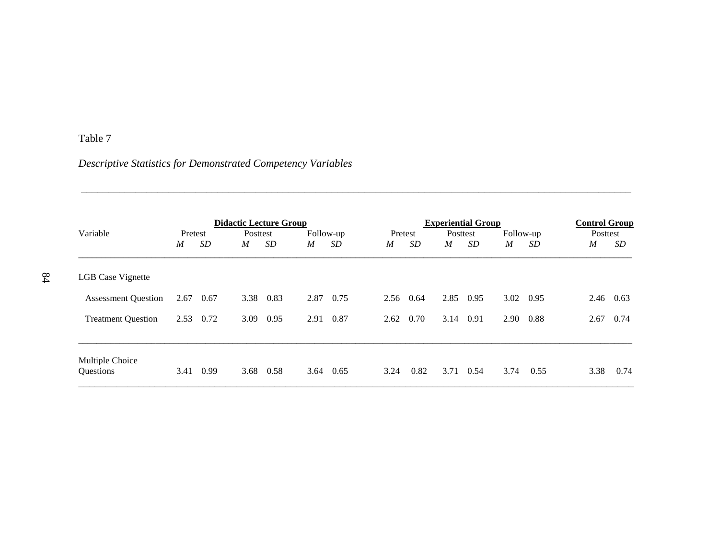# Table 7

*Descriptive Statistics for Demonstrated Competency Variables*

| <b>Didactic Lecture Group</b> |         |           |          |           |      | <b>Experiential Group</b> |      |                 |                  |           |             | <b>Control Group</b> |      |           |
|-------------------------------|---------|-----------|----------|-----------|------|---------------------------|------|-----------------|------------------|-----------|-------------|----------------------|------|-----------|
| Variable                      | Pretest |           | Posttest |           |      | Follow-up                 |      | Pretest         |                  | Posttest  | Follow-up   |                      |      | Posttest  |
|                               | M       | <i>SD</i> | M        | <i>SD</i> | M    | SD                        | M    | SD <sub>-</sub> | $\boldsymbol{M}$ | <i>SD</i> | $M_{\odot}$ | SD                   | M    | SD        |
| <b>LGB</b> Case Vignette      |         |           |          |           |      |                           |      |                 |                  |           |             |                      |      |           |
| <b>Assessment Question</b>    | 2.67    | 0.67      | 3.38     | 0.83      | 2.87 | 0.75                      | 2.56 | 0.64            | 2.85             | 0.95      | 3.02        | 0.95                 |      | 2.46 0.63 |
| <b>Treatment Question</b>     | 2.53    | 0.72      | 3.09     | 0.95      | 2.91 | 0.87                      | 2.62 | 0.70            | 3.14             | 0.91      | 2.90        | 0.88                 | 2.67 | 0.74      |
| Multiple Choice<br>Questions  | 3.41    | 0.99      | 3.68     | 0.58      | 3.64 | 0.65                      | 3.24 | 0.82            | 3.71             | 0.54      | 3.74        | 0.55                 | 3.38 | 0.74      |

\_\_\_\_\_\_\_\_\_\_\_\_\_\_\_\_\_\_\_\_\_\_\_\_\_\_\_\_\_\_\_\_\_\_\_\_\_\_\_\_\_\_\_\_\_\_\_\_\_\_\_\_\_\_\_\_\_\_\_\_\_\_\_\_\_\_\_\_\_\_\_\_\_\_\_\_\_\_\_\_\_\_\_\_\_\_\_\_\_\_\_\_\_\_\_\_\_\_\_\_\_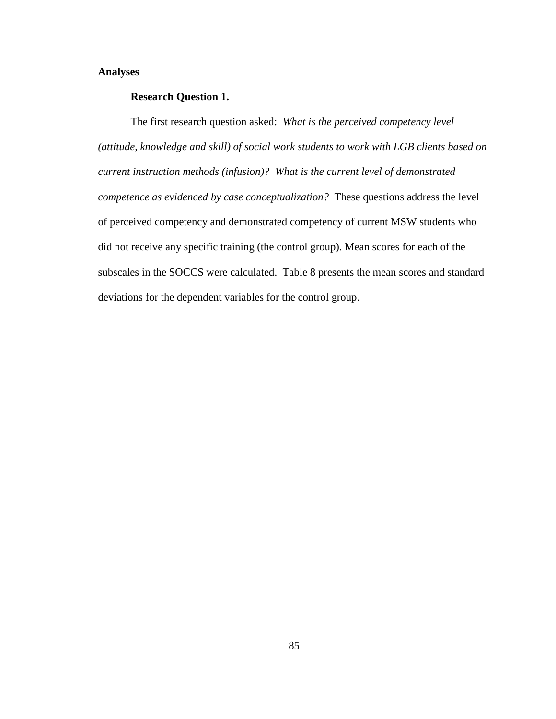### **Analyses**

## **Research Question 1.**

The first research question asked: *What is the perceived competency level (attitude, knowledge and skill) of social work students to work with LGB clients based on current instruction methods (infusion)? What is the current level of demonstrated competence as evidenced by case conceptualization?* These questions address the level of perceived competency and demonstrated competency of current MSW students who did not receive any specific training (the control group). Mean scores for each of the subscales in the SOCCS were calculated. Table 8 presents the mean scores and standard deviations for the dependent variables for the control group.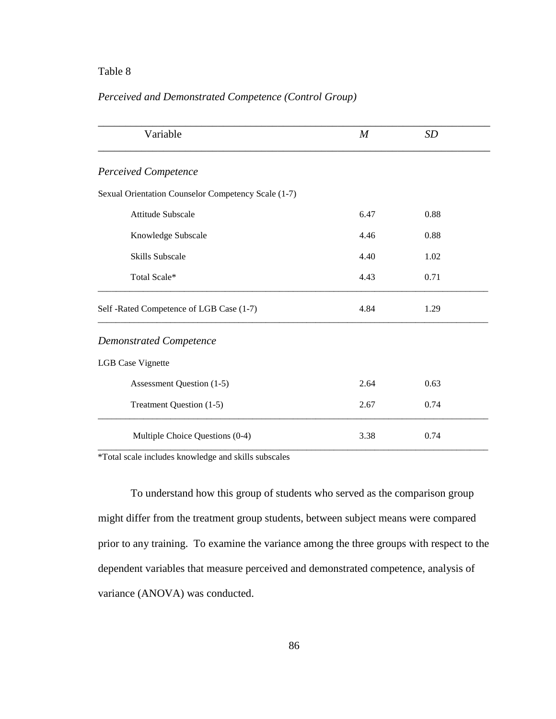# Table 8

# *Perceived and Demonstrated Competence (Control Group)*

| Variable                                            | $\boldsymbol{M}$ | <b>SD</b> |  |
|-----------------------------------------------------|------------------|-----------|--|
| <b>Perceived Competence</b>                         |                  |           |  |
| Sexual Orientation Counselor Competency Scale (1-7) |                  |           |  |
| Attitude Subscale                                   | 6.47             | 0.88      |  |
| Knowledge Subscale                                  | 4.46             | 0.88      |  |
| Skills Subscale                                     | 4.40             | 1.02      |  |
| Total Scale*                                        | 4.43             | 0.71      |  |
| Self -Rated Competence of LGB Case (1-7)            | 4.84             | 1.29      |  |
| <b>Demonstrated Competence</b>                      |                  |           |  |
| <b>LGB</b> Case Vignette                            |                  |           |  |
| Assessment Question (1-5)                           | 2.64             | 0.63      |  |
| Treatment Question (1-5)                            | 2.67             | 0.74      |  |
| Multiple Choice Questions (0-4)                     | 3.38             | 0.74      |  |

\*Total scale includes knowledge and skills subscales

To understand how this group of students who served as the comparison group might differ from the treatment group students, between subject means were compared prior to any training. To examine the variance among the three groups with respect to the dependent variables that measure perceived and demonstrated competence, analysis of variance (ANOVA) was conducted.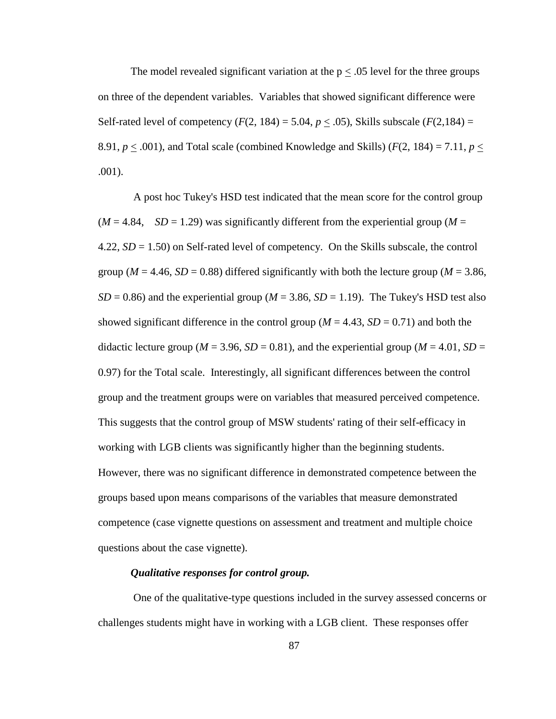The model revealed significant variation at the  $p < 0.05$  level for the three groups on three of the dependent variables. Variables that showed significant difference were Self-rated level of competency  $(F(2, 184) = 5.04, p \le .05)$ , Skills subscale  $(F(2, 184) =$ 8.91,  $p \leq .001$ ), and Total scale (combined Knowledge and Skills) ( $F(2, 184) = 7.11$ ,  $p \leq$ .001).

A post hoc Tukey's HSD test indicated that the mean score for the control group  $(M = 4.84, SD = 1.29)$  was significantly different from the experiential group  $(M = 1.84)$ 4.22, *SD* = 1.50) on Self-rated level of competency. On the Skills subscale, the control group ( $M = 4.46$ ,  $SD = 0.88$ ) differed significantly with both the lecture group ( $M = 3.86$ ,  $SD = 0.86$ ) and the experiential group ( $M = 3.86$ ,  $SD = 1.19$ ). The Tukey's HSD test also showed significant difference in the control group ( $M = 4.43$ ,  $SD = 0.71$ ) and both the didactic lecture group ( $M = 3.96$ ,  $SD = 0.81$ ), and the experiential group ( $M = 4.01$ ,  $SD =$ 0.97) for the Total scale. Interestingly, all significant differences between the control group and the treatment groups were on variables that measured perceived competence. This suggests that the control group of MSW students' rating of their self-efficacy in working with LGB clients was significantly higher than the beginning students. However, there was no significant difference in demonstrated competence between the groups based upon means comparisons of the variables that measure demonstrated competence (case vignette questions on assessment and treatment and multiple choice questions about the case vignette).

### *Qualitative responses for control group.*

One of the qualitative-type questions included in the survey assessed concerns or challenges students might have in working with a LGB client. These responses offer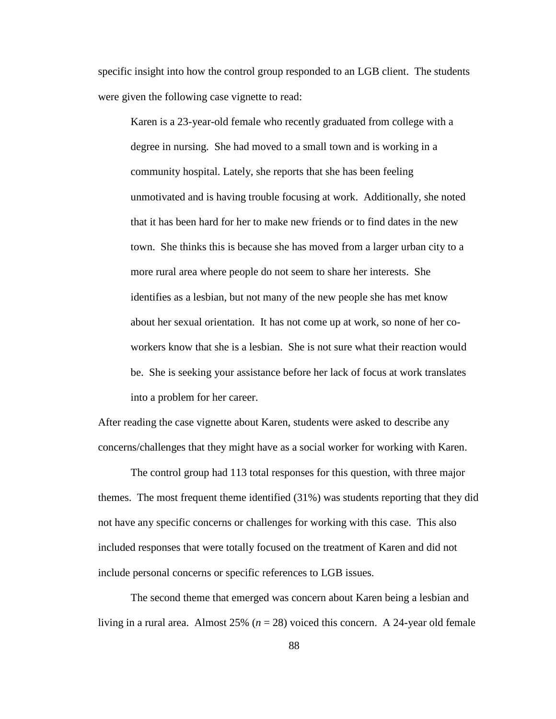specific insight into how the control group responded to an LGB client. The students were given the following case vignette to read:

Karen is a 23-year-old female who recently graduated from college with a degree in nursing. She had moved to a small town and is working in a community hospital. Lately, she reports that she has been feeling unmotivated and is having trouble focusing at work. Additionally, she noted that it has been hard for her to make new friends or to find dates in the new town. She thinks this is because she has moved from a larger urban city to a more rural area where people do not seem to share her interests. She identifies as a lesbian, but not many of the new people she has met know about her sexual orientation. It has not come up at work, so none of her coworkers know that she is a lesbian. She is not sure what their reaction would be. She is seeking your assistance before her lack of focus at work translates into a problem for her career.

After reading the case vignette about Karen, students were asked to describe any concerns/challenges that they might have as a social worker for working with Karen.

The control group had 113 total responses for this question, with three major themes. The most frequent theme identified (31%) was students reporting that they did not have any specific concerns or challenges for working with this case. This also included responses that were totally focused on the treatment of Karen and did not include personal concerns or specific references to LGB issues.

The second theme that emerged was concern about Karen being a lesbian and living in a rural area. Almost 25% (*n* = 28) voiced this concern. A 24-year old female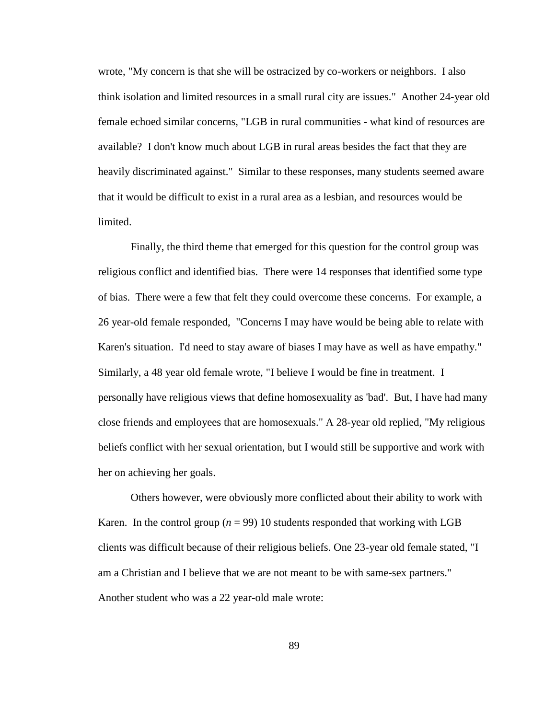wrote, "My concern is that she will be ostracized by co-workers or neighbors. I also think isolation and limited resources in a small rural city are issues." Another 24-year old female echoed similar concerns, "LGB in rural communities - what kind of resources are available? I don't know much about LGB in rural areas besides the fact that they are heavily discriminated against." Similar to these responses, many students seemed aware that it would be difficult to exist in a rural area as a lesbian, and resources would be limited.

Finally, the third theme that emerged for this question for the control group was religious conflict and identified bias. There were 14 responses that identified some type of bias. There were a few that felt they could overcome these concerns. For example, a 26 year-old female responded, "Concerns I may have would be being able to relate with Karen's situation. I'd need to stay aware of biases I may have as well as have empathy." Similarly, a 48 year old female wrote, "I believe I would be fine in treatment. I personally have religious views that define homosexuality as 'bad'. But, I have had many close friends and employees that are homosexuals." A 28-year old replied, "My religious beliefs conflict with her sexual orientation, but I would still be supportive and work with her on achieving her goals.

Others however, were obviously more conflicted about their ability to work with Karen. In the control group  $(n = 99)$  10 students responded that working with LGB clients was difficult because of their religious beliefs. One 23-year old female stated, "I am a Christian and I believe that we are not meant to be with same-sex partners." Another student who was a 22 year-old male wrote: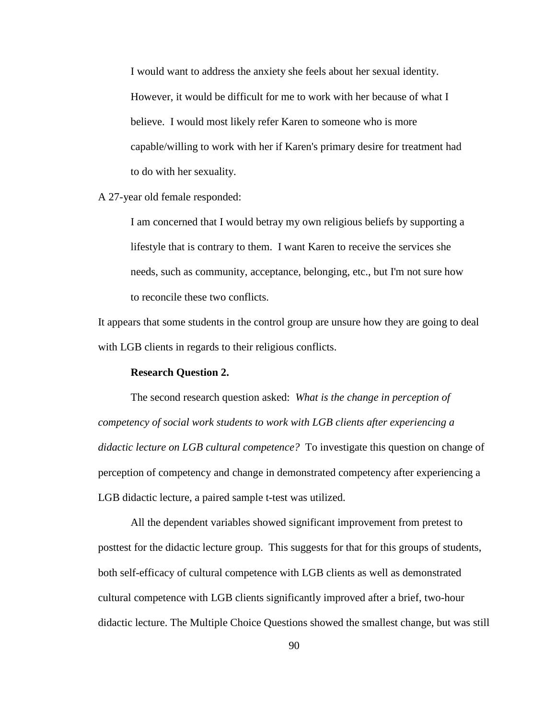I would want to address the anxiety she feels about her sexual identity. However, it would be difficult for me to work with her because of what I believe. I would most likely refer Karen to someone who is more capable/willing to work with her if Karen's primary desire for treatment had to do with her sexuality.

### A 27-year old female responded:

I am concerned that I would betray my own religious beliefs by supporting a lifestyle that is contrary to them. I want Karen to receive the services she needs, such as community, acceptance, belonging, etc., but I'm not sure how to reconcile these two conflicts.

It appears that some students in the control group are unsure how they are going to deal with LGB clients in regards to their religious conflicts.

## **Research Question 2.**

The second research question asked: *What is the change in perception of competency of social work students to work with LGB clients after experiencing a didactic lecture on LGB cultural competence?* To investigate this question on change of perception of competency and change in demonstrated competency after experiencing a LGB didactic lecture, a paired sample t-test was utilized.

All the dependent variables showed significant improvement from pretest to posttest for the didactic lecture group. This suggests for that for this groups of students, both self-efficacy of cultural competence with LGB clients as well as demonstrated cultural competence with LGB clients significantly improved after a brief, two-hour didactic lecture. The Multiple Choice Questions showed the smallest change, but was still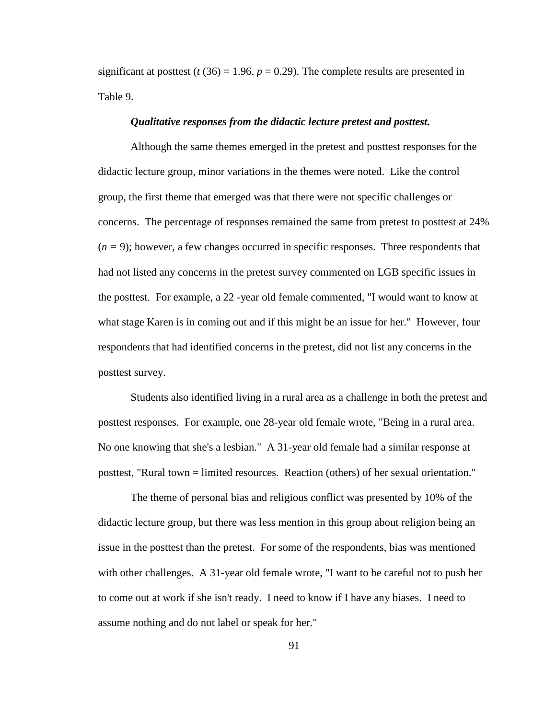significant at posttest ( $t(36) = 1.96$ .  $p = 0.29$ ). The complete results are presented in Table 9.

### *Qualitative responses from the didactic lecture pretest and posttest.*

Although the same themes emerged in the pretest and posttest responses for the didactic lecture group, minor variations in the themes were noted. Like the control group, the first theme that emerged was that there were not specific challenges or concerns. The percentage of responses remained the same from pretest to posttest at 24%  $(n = 9)$ ; however, a few changes occurred in specific responses. Three respondents that had not listed any concerns in the pretest survey commented on LGB specific issues in the posttest. For example, a 22 -year old female commented, "I would want to know at what stage Karen is in coming out and if this might be an issue for her." However, four respondents that had identified concerns in the pretest, did not list any concerns in the posttest survey.

Students also identified living in a rural area as a challenge in both the pretest and posttest responses. For example, one 28-year old female wrote, "Being in a rural area. No one knowing that she's a lesbian." A 31-year old female had a similar response at posttest, "Rural town = limited resources. Reaction (others) of her sexual orientation."

The theme of personal bias and religious conflict was presented by 10% of the didactic lecture group, but there was less mention in this group about religion being an issue in the posttest than the pretest. For some of the respondents, bias was mentioned with other challenges. A 31-year old female wrote, "I want to be careful not to push her to come out at work if she isn't ready. I need to know if I have any biases. I need to assume nothing and do not label or speak for her."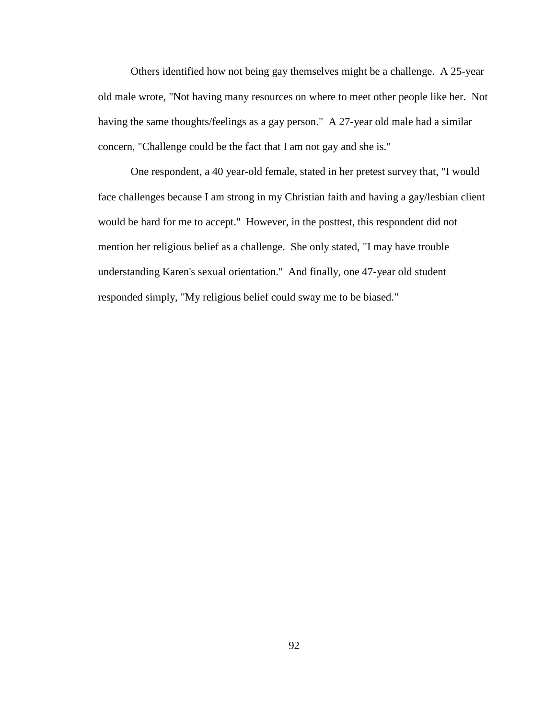Others identified how not being gay themselves might be a challenge. A 25-year old male wrote, "Not having many resources on where to meet other people like her. Not having the same thoughts/feelings as a gay person." A 27-year old male had a similar concern, "Challenge could be the fact that I am not gay and she is."

One respondent, a 40 year-old female, stated in her pretest survey that, "I would face challenges because I am strong in my Christian faith and having a gay/lesbian client would be hard for me to accept." However, in the posttest, this respondent did not mention her religious belief as a challenge. She only stated, "I may have trouble understanding Karen's sexual orientation." And finally, one 47-year old student responded simply, "My religious belief could sway me to be biased."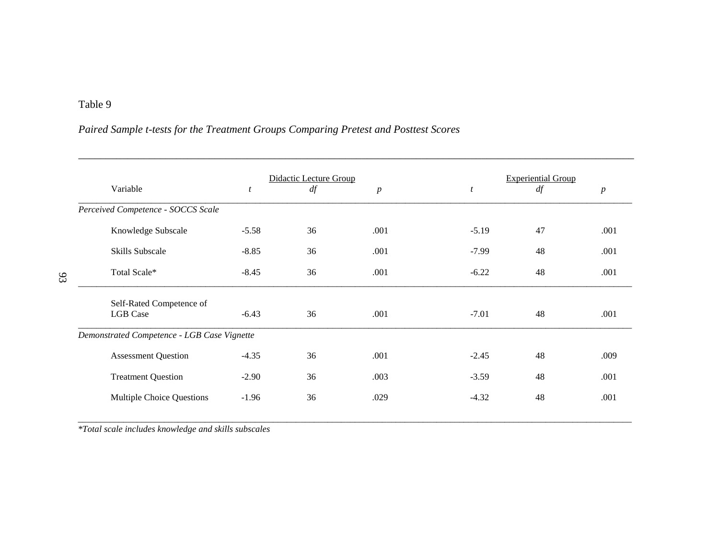# Table 9

# *Paired Sample t-tests for the Treatment Groups Comparing Pretest and Posttest Scores*

|                                             |                  | Didactic Lecture Group |                  |                  | <b>Experiential Group</b> |                  |
|---------------------------------------------|------------------|------------------------|------------------|------------------|---------------------------|------------------|
| Variable                                    | $\boldsymbol{t}$ | df                     | $\boldsymbol{p}$ | $\boldsymbol{t}$ | df                        | $\boldsymbol{p}$ |
| Perceived Competence - SOCCS Scale          |                  |                        |                  |                  |                           |                  |
| Knowledge Subscale                          | $-5.58$          | 36                     | .001             | $-5.19$          | 47                        | .001             |
| Skills Subscale                             | $-8.85$          | 36                     | .001             | $-7.99$          | 48                        | .001             |
| Total Scale*                                | $-8.45$          | 36                     | .001             | $-6.22$          | 48                        | .001             |
| Self-Rated Competence of                    |                  |                        |                  |                  |                           |                  |
| <b>LGB</b> Case                             | $-6.43$          | 36                     | .001             | $-7.01$          | 48                        | .001             |
| Demonstrated Competence - LGB Case Vignette |                  |                        |                  |                  |                           |                  |
| <b>Assessment Question</b>                  | $-4.35$          | 36                     | .001             | $-2.45$          | 48                        | .009             |
| <b>Treatment Question</b>                   | $-2.90$          | 36                     | .003             | $-3.59$          | 48                        | .001             |
| Multiple Choice Questions                   | $-1.96$          | 36                     | .029             | $-4.32$          | 48                        | .001             |
|                                             |                  |                        |                  |                  |                           |                  |

*\*Total scale includes knowledge and skills subscales*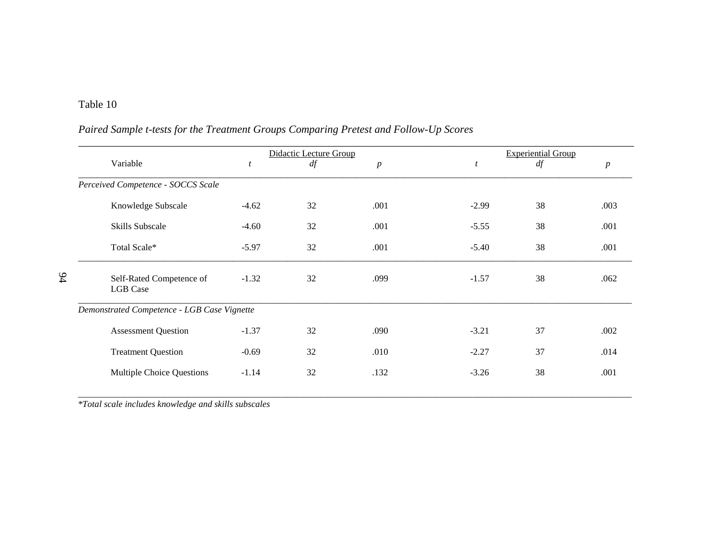# Table 10

94

# *Paired Sample t-tests for the Treatment Groups Comparing Pretest and Follow-Up Scores*

|                                             |                  | <b>Didactic Lecture Group</b> |                  | <b>Experiential Group</b> |    |                  |  |
|---------------------------------------------|------------------|-------------------------------|------------------|---------------------------|----|------------------|--|
| Variable                                    | $\boldsymbol{t}$ | df                            | $\boldsymbol{p}$ | $\mathfrak{t}$            | df | $\boldsymbol{p}$ |  |
| Perceived Competence - SOCCS Scale          |                  |                               |                  |                           |    |                  |  |
| Knowledge Subscale                          | $-4.62$          | 32                            | .001             | $-2.99$                   | 38 | .003             |  |
| Skills Subscale                             | $-4.60$          | 32                            | .001             | $-5.55$                   | 38 | .001             |  |
| Total Scale*                                | $-5.97$          | 32                            | .001             | $-5.40$                   | 38 | .001             |  |
| Self-Rated Competence of<br><b>LGB</b> Case | $-1.32$          | 32                            | .099             | $-1.57$                   | 38 | .062             |  |
| Demonstrated Competence - LGB Case Vignette |                  |                               |                  |                           |    |                  |  |
| <b>Assessment Question</b>                  | $-1.37$          | 32                            | .090             | $-3.21$                   | 37 | .002             |  |
| <b>Treatment Question</b>                   | $-0.69$          | 32                            | .010             | $-2.27$                   | 37 | .014             |  |
| Multiple Choice Questions                   | $-1.14$          | 32                            | .132             | $-3.26$                   | 38 | .001             |  |
|                                             |                  |                               |                  |                           |    |                  |  |

*\*Total scale includes knowledge and skills subscales*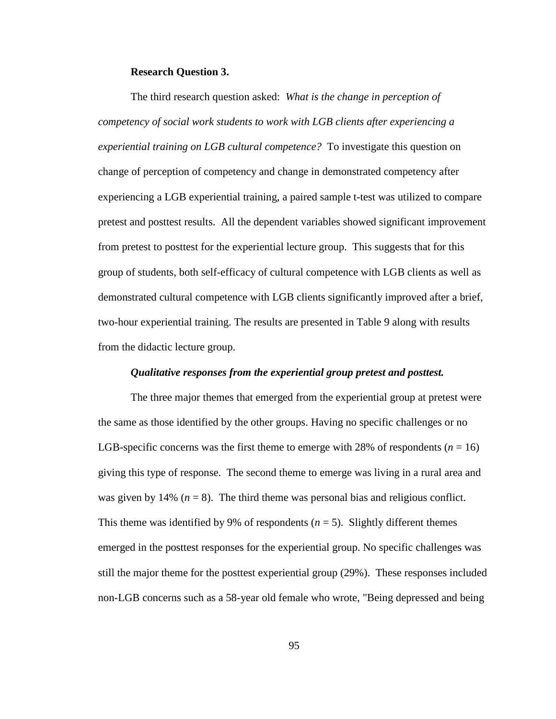### **Research Question 3.**

The third research question asked: *What is the change in perception of competency of social work students to work with LGB clients after experiencing a experiential training on LGB cultural competence?* To investigate this question on change of perception of competency and change in demonstrated competency after experiencing a LGB experiential training, a paired sample t-test was utilized to compare pretest and posttest results. All the dependent variables showed significant improvement from pretest to posttest for the experiential lecture group. This suggests that for this group of students, both self-efficacy of cultural competence with LGB clients as well as demonstrated cultural competence with LGB clients significantly improved after a brief, two-hour experiential training. The results are presented in Table 9 along with results from the didactic lecture group.

### *Qualitative responses from the experiential group pretest and posttest.*

The three major themes that emerged from the experiential group at pretest were the same as those identified by the other groups. Having no specific challenges or no LGB-specific concerns was the first theme to emerge with 28% of respondents  $(n = 16)$ giving this type of response. The second theme to emerge was living in a rural area and was given by 14%  $(n = 8)$ . The third theme was personal bias and religious conflict. This theme was identified by 9% of respondents  $(n = 5)$ . Slightly different themes emerged in the posttest responses for the experiential group. No specific challenges was still the major theme for the posttest experiential group (29%). These responses included non-LGB concerns such as a 58-year old female who wrote, "Being depressed and being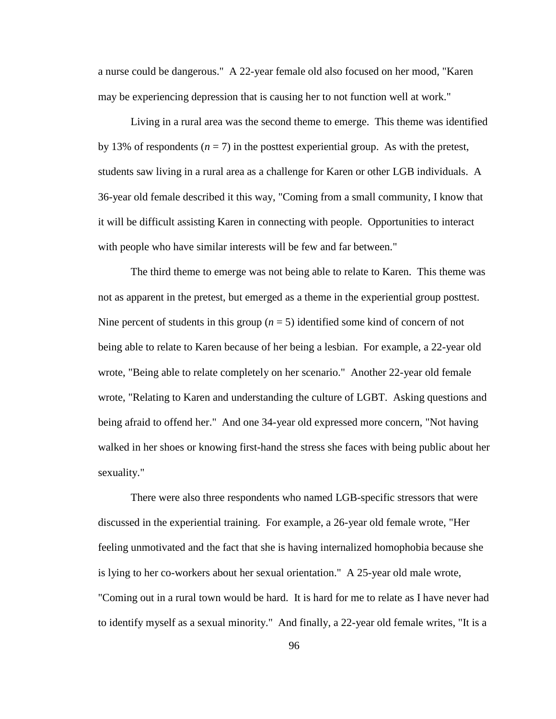a nurse could be dangerous." A 22-year female old also focused on her mood, "Karen may be experiencing depression that is causing her to not function well at work."

Living in a rural area was the second theme to emerge. This theme was identified by 13% of respondents  $(n = 7)$  in the posttest experiential group. As with the pretest, students saw living in a rural area as a challenge for Karen or other LGB individuals. A 36-year old female described it this way, "Coming from a small community, I know that it will be difficult assisting Karen in connecting with people. Opportunities to interact with people who have similar interests will be few and far between."

The third theme to emerge was not being able to relate to Karen. This theme was not as apparent in the pretest, but emerged as a theme in the experiential group posttest. Nine percent of students in this group  $(n = 5)$  identified some kind of concern of not being able to relate to Karen because of her being a lesbian. For example, a 22-year old wrote, "Being able to relate completely on her scenario." Another 22-year old female wrote, "Relating to Karen and understanding the culture of LGBT. Asking questions and being afraid to offend her." And one 34-year old expressed more concern, "Not having walked in her shoes or knowing first-hand the stress she faces with being public about her sexuality."

There were also three respondents who named LGB-specific stressors that were discussed in the experiential training. For example, a 26-year old female wrote, "Her feeling unmotivated and the fact that she is having internalized homophobia because she is lying to her co-workers about her sexual orientation." A 25-year old male wrote, "Coming out in a rural town would be hard. It is hard for me to relate as I have never had to identify myself as a sexual minority." And finally, a 22-year old female writes, "It is a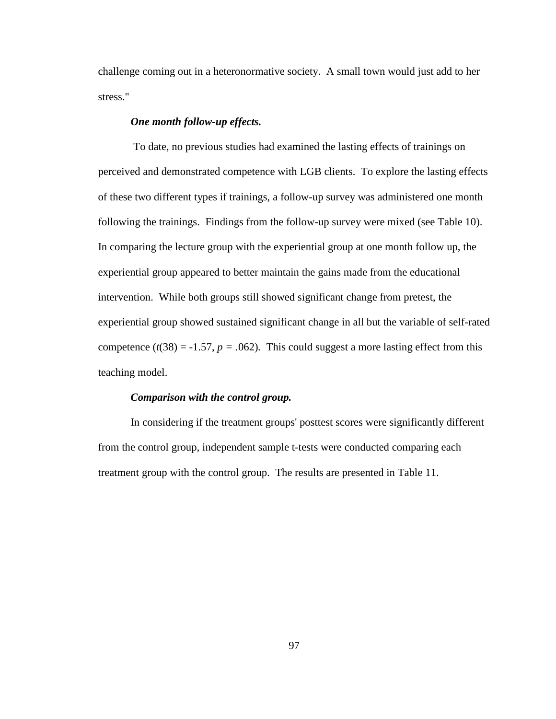challenge coming out in a heteronormative society. A small town would just add to her stress."

### *One month follow-up effects.*

To date, no previous studies had examined the lasting effects of trainings on perceived and demonstrated competence with LGB clients. To explore the lasting effects of these two different types if trainings, a follow-up survey was administered one month following the trainings. Findings from the follow-up survey were mixed (see Table 10). In comparing the lecture group with the experiential group at one month follow up, the experiential group appeared to better maintain the gains made from the educational intervention. While both groups still showed significant change from pretest, the experiential group showed sustained significant change in all but the variable of self-rated competence  $(t(38) = -1.57, p = .062)$ . This could suggest a more lasting effect from this teaching model.

### *Comparison with the control group.*

In considering if the treatment groups' posttest scores were significantly different from the control group, independent sample t-tests were conducted comparing each treatment group with the control group. The results are presented in Table 11.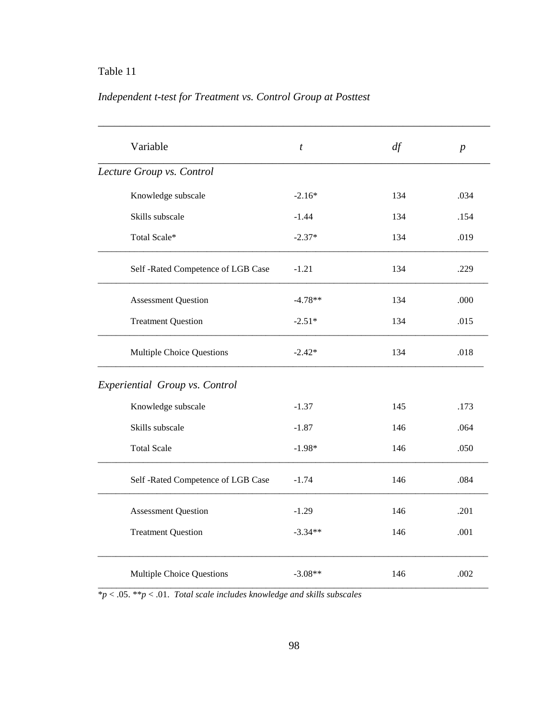# Table 11

# *Independent t-test for Treatment vs. Control Group at Posttest*

| Variable                           | $\boldsymbol{t}$ | df  | $\boldsymbol{p}$ |
|------------------------------------|------------------|-----|------------------|
| Lecture Group vs. Control          |                  |     |                  |
| Knowledge subscale                 | $-2.16*$         | 134 | .034             |
| Skills subscale                    | $-1.44$          | 134 | .154             |
| Total Scale*                       | $-2.37*$         | 134 | .019             |
| Self -Rated Competence of LGB Case | $-1.21$          | 134 | .229             |
| <b>Assessment Question</b>         | $-4.78**$        | 134 | .000             |
| <b>Treatment Question</b>          | $-2.51*$         | 134 | .015             |
| Multiple Choice Questions          | $-2.42*$         | 134 | .018             |
| Experiential Group vs. Control     |                  |     |                  |
| Knowledge subscale                 | $-1.37$          | 145 | .173             |
| Skills subscale                    | $-1.87$          | 146 | .064             |
| <b>Total Scale</b>                 | $-1.98*$         | 146 | .050             |
| Self -Rated Competence of LGB Case | $-1.74$          | 146 | .084             |
| <b>Assessment Question</b>         | $-1.29$          | 146 | .201             |
| <b>Treatment Question</b>          | $-3.34**$        | 146 | .001             |
| Multiple Choice Questions          | $-3.08**$        | 146 | .002             |

\**p* < .05. \*\**p* < .01. *Total scale includes knowledge and skills subscales*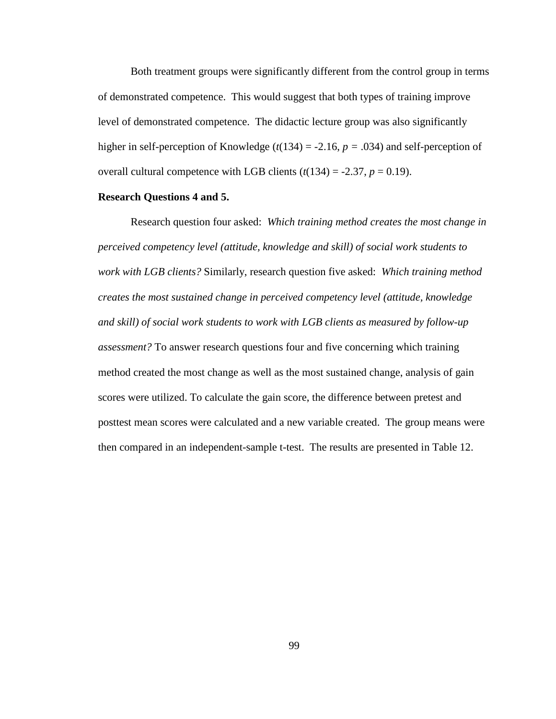Both treatment groups were significantly different from the control group in terms of demonstrated competence. This would suggest that both types of training improve level of demonstrated competence. The didactic lecture group was also significantly higher in self-perception of Knowledge ( $t(134) = -2.16$ ,  $p = .034$ ) and self-perception of overall cultural competence with LGB clients  $(t(134) = -2.37, p = 0.19)$ .

### **Research Questions 4 and 5.**

Research question four asked: *Which training method creates the most change in perceived competency level (attitude, knowledge and skill) of social work students to work with LGB clients?* Similarly, research question five asked: *Which training method creates the most sustained change in perceived competency level (attitude, knowledge and skill) of social work students to work with LGB clients as measured by follow-up assessment?* To answer research questions four and five concerning which training method created the most change as well as the most sustained change, analysis of gain scores were utilized. To calculate the gain score, the difference between pretest and posttest mean scores were calculated and a new variable created. The group means were then compared in an independent-sample t-test. The results are presented in Table 12.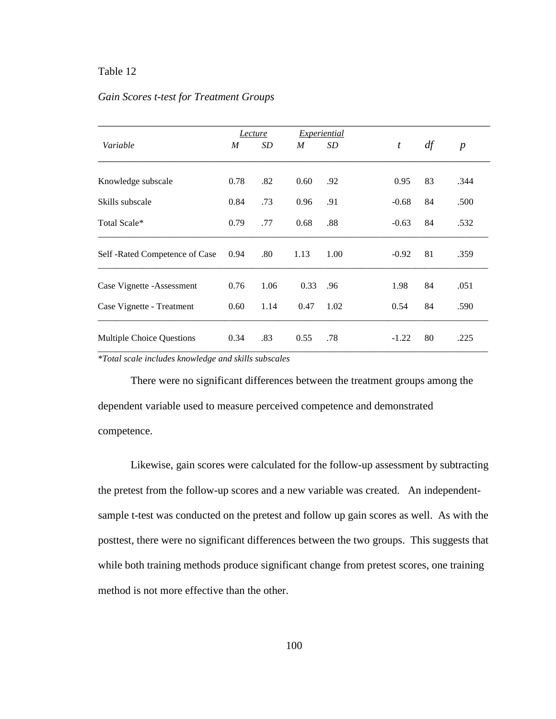### Table 12

### *Gain Scores t-test for Treatment Groups*

|                                  |      | Lecture |      | Experiential |                  |    |                  |  |
|----------------------------------|------|---------|------|--------------|------------------|----|------------------|--|
| Variable                         | M    | SD      | M    | SD           | $\boldsymbol{t}$ | df | $\boldsymbol{p}$ |  |
| Knowledge subscale               | 0.78 | .82     | 0.60 | .92          | 0.95             | 83 | .344             |  |
| Skills subscale                  | 0.84 | .73     | 0.96 | .91          | $-0.68$          | 84 | .500             |  |
| Total Scale*                     | 0.79 | .77     | 0.68 | .88          | $-0.63$          | 84 | .532             |  |
| Self -Rated Competence of Case   | 0.94 | .80     | 1.13 | 1.00         | $-0.92$          | 81 | .359             |  |
| Case Vignette - Assessment       | 0.76 | 1.06    | 0.33 | .96          | 1.98             | 84 | .051             |  |
| Case Vignette - Treatment        | 0.60 | 1.14    | 0.47 | 1.02         | 0.54             | 84 | .590             |  |
| <b>Multiple Choice Questions</b> | 0.34 | .83     | 0.55 | .78          | $-1.22$          | 80 | .225             |  |
|                                  |      |         |      |              |                  |    |                  |  |

*\*Total scale includes knowledge and skills subscales*

There were no significant differences between the treatment groups among the dependent variable used to measure perceived competence and demonstrated competence.

Likewise, gain scores were calculated for the follow-up assessment by subtracting the pretest from the follow-up scores and a new variable was created. An independentsample t-test was conducted on the pretest and follow up gain scores as well. As with the posttest, there were no significant differences between the two groups. This suggests that while both training methods produce significant change from pretest scores, one training method is not more effective than the other.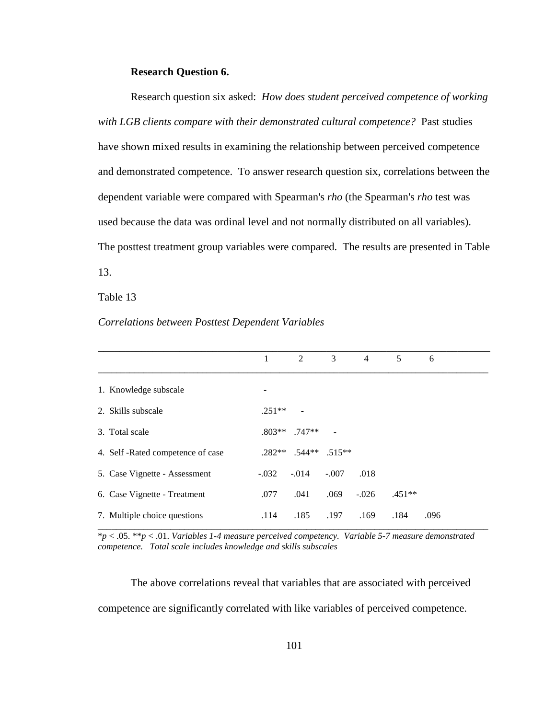#### **Research Question 6.**

Research question six asked: *How does student perceived competence of working with LGB clients compare with their demonstrated cultural competence?* Past studies have shown mixed results in examining the relationship between perceived competence and demonstrated competence. To answer research question six, correlations between the dependent variable were compared with Spearman's *rho* (the Spearman's *rho* test was used because the data was ordinal level and not normally distributed on all variables). The posttest treatment group variables were compared. The results are presented in Table 13.

### Table 13

|                                  | 1        | 2                      | 3       | $\overline{4}$ | 5        | 6    |
|----------------------------------|----------|------------------------|---------|----------------|----------|------|
| 1. Knowledge subscale            |          |                        |         |                |          |      |
| 2. Skills subscale               | $.251**$ |                        |         |                |          |      |
| 3. Total scale                   |          | $.803**$ . 747**       |         |                |          |      |
| 4. Self-Rated competence of case |          | $.282**$ .544** .515** |         |                |          |      |
| 5. Case Vignette - Assessment    | $-.032$  | $-.014$                | $-.007$ | .018           |          |      |
| 6. Case Vignette - Treatment     | .077     | .041                   | .069    | $-.026$        | $.451**$ |      |
| 7. Multiple choice questions     | .114     | .185                   | .197    | .169           | .184     | .096 |

#### *Correlations between Posttest Dependent Variables*

\**p* < .05. \*\**p* < .01. *Variables 1-4 measure perceived competency. Variable 5-7 measure demonstrated competence. Total scale includes knowledge and skills subscales*

\_\_\_\_\_\_\_\_\_\_\_\_\_\_\_\_\_\_\_\_\_\_\_\_\_\_\_\_\_\_\_\_\_\_\_\_\_\_\_\_\_\_\_\_\_\_\_\_\_\_\_\_\_\_\_\_\_\_\_\_\_\_\_\_\_\_\_\_\_\_\_\_\_\_\_\_\_\_\_\_\_\_\_\_\_\_

The above correlations reveal that variables that are associated with perceived competence are significantly correlated with like variables of perceived competence.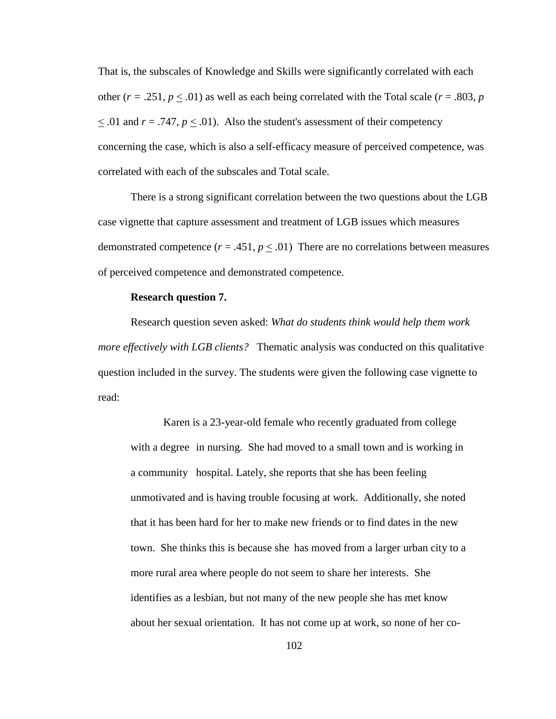That is, the subscales of Knowledge and Skills were significantly correlated with each other ( $r = .251$ ,  $p < .01$ ) as well as each being correlated with the Total scale ( $r = .803$ ,  $p = .01$ )  $\leq$  .01 and  $r = .747$ ,  $p \leq .01$ ). Also the student's assessment of their competency concerning the case, which is also a self-efficacy measure of perceived competence, was correlated with each of the subscales and Total scale.

There is a strong significant correlation between the two questions about the LGB case vignette that capture assessment and treatment of LGB issues which measures demonstrated competence  $(r = .451, p \le .01)$  There are no correlations between measures of perceived competence and demonstrated competence.

#### **Research question 7.**

Research question seven asked: *What do students think would help them work more effectively with LGB clients?* Thematic analysis was conducted on this qualitative question included in the survey. The students were given the following case vignette to read:

Karen is a 23-year-old female who recently graduated from college with a degree in nursing. She had moved to a small town and is working in a community hospital. Lately, she reports that she has been feeling unmotivated and is having trouble focusing at work. Additionally, she noted that it has been hard for her to make new friends or to find dates in the new town. She thinks this is because she has moved from a larger urban city to a more rural area where people do not seem to share her interests. She identifies as a lesbian, but not many of the new people she has met know about her sexual orientation. It has not come up at work, so none of her co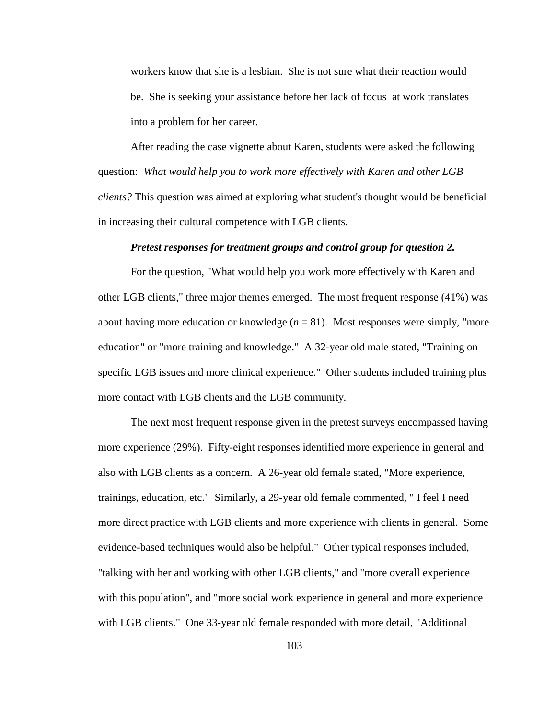workers know that she is a lesbian. She is not sure what their reaction would be. She is seeking your assistance before her lack of focus at work translates into a problem for her career.

After reading the case vignette about Karen, students were asked the following question: *What would help you to work more effectively with Karen and other LGB clients?* This question was aimed at exploring what student's thought would be beneficial in increasing their cultural competence with LGB clients.

#### *Pretest responses for treatment groups and control group for question 2.*

For the question, "What would help you work more effectively with Karen and other LGB clients," three major themes emerged. The most frequent response (41%) was about having more education or knowledge  $(n = 81)$ . Most responses were simply, "more education" or "more training and knowledge." A 32-year old male stated, "Training on specific LGB issues and more clinical experience." Other students included training plus more contact with LGB clients and the LGB community.

The next most frequent response given in the pretest surveys encompassed having more experience (29%). Fifty-eight responses identified more experience in general and also with LGB clients as a concern. A 26-year old female stated, "More experience, trainings, education, etc." Similarly, a 29-year old female commented, " I feel I need more direct practice with LGB clients and more experience with clients in general. Some evidence-based techniques would also be helpful." Other typical responses included, "talking with her and working with other LGB clients," and "more overall experience with this population", and "more social work experience in general and more experience with LGB clients." One 33-year old female responded with more detail, "Additional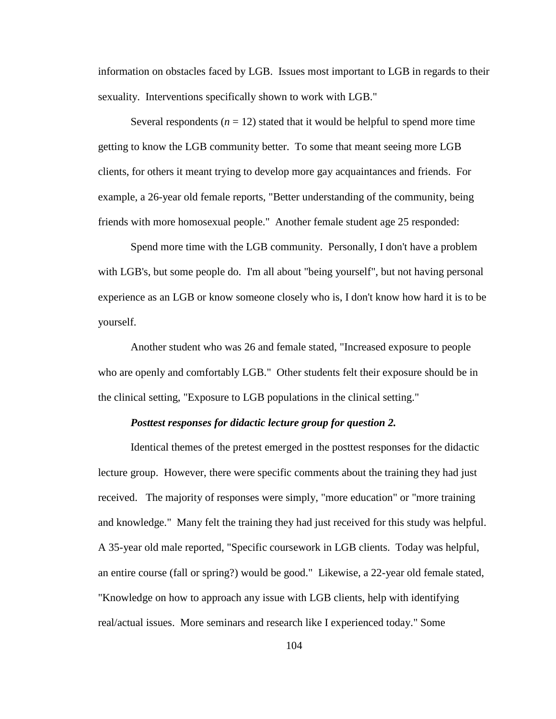information on obstacles faced by LGB. Issues most important to LGB in regards to their sexuality. Interventions specifically shown to work with LGB."

Several respondents  $(n = 12)$  stated that it would be helpful to spend more time getting to know the LGB community better. To some that meant seeing more LGB clients, for others it meant trying to develop more gay acquaintances and friends. For example, a 26-year old female reports, "Better understanding of the community, being friends with more homosexual people." Another female student age 25 responded:

Spend more time with the LGB community. Personally, I don't have a problem with LGB's, but some people do. I'm all about "being yourself", but not having personal experience as an LGB or know someone closely who is, I don't know how hard it is to be yourself.

Another student who was 26 and female stated, "Increased exposure to people who are openly and comfortably LGB." Other students felt their exposure should be in the clinical setting, "Exposure to LGB populations in the clinical setting."

#### *Posttest responses for didactic lecture group for question 2.*

Identical themes of the pretest emerged in the posttest responses for the didactic lecture group. However, there were specific comments about the training they had just received. The majority of responses were simply, "more education" or "more training and knowledge." Many felt the training they had just received for this study was helpful. A 35-year old male reported, "Specific coursework in LGB clients. Today was helpful, an entire course (fall or spring?) would be good." Likewise, a 22-year old female stated, "Knowledge on how to approach any issue with LGB clients, help with identifying real/actual issues. More seminars and research like I experienced today." Some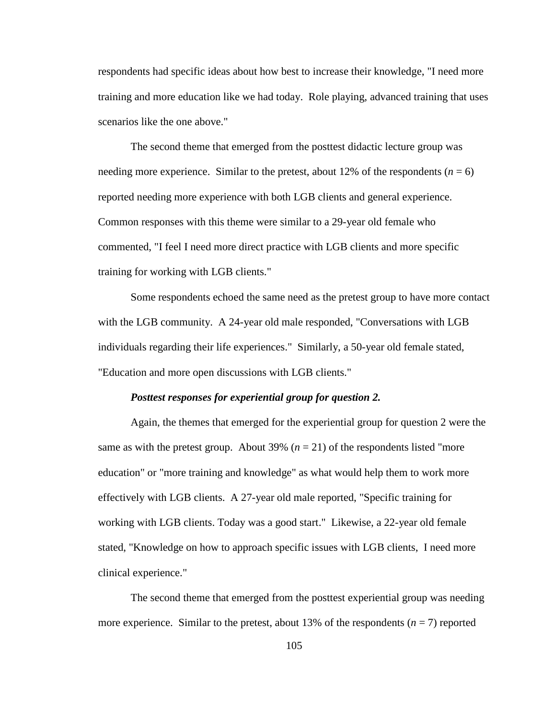respondents had specific ideas about how best to increase their knowledge, "I need more training and more education like we had today. Role playing, advanced training that uses scenarios like the one above."

The second theme that emerged from the posttest didactic lecture group was needing more experience. Similar to the pretest, about 12% of the respondents  $(n = 6)$ reported needing more experience with both LGB clients and general experience. Common responses with this theme were similar to a 29-year old female who commented, "I feel I need more direct practice with LGB clients and more specific training for working with LGB clients."

Some respondents echoed the same need as the pretest group to have more contact with the LGB community. A 24-year old male responded, "Conversations with LGB individuals regarding their life experiences." Similarly, a 50-year old female stated, "Education and more open discussions with LGB clients."

#### *Posttest responses for experiential group for question 2.*

Again, the themes that emerged for the experiential group for question 2 were the same as with the pretest group. About 39%  $(n = 21)$  of the respondents listed "more" education" or "more training and knowledge" as what would help them to work more effectively with LGB clients. A 27-year old male reported, "Specific training for working with LGB clients. Today was a good start." Likewise, a 22-year old female stated, "Knowledge on how to approach specific issues with LGB clients, I need more clinical experience."

The second theme that emerged from the posttest experiential group was needing more experience. Similar to the pretest, about 13% of the respondents  $(n = 7)$  reported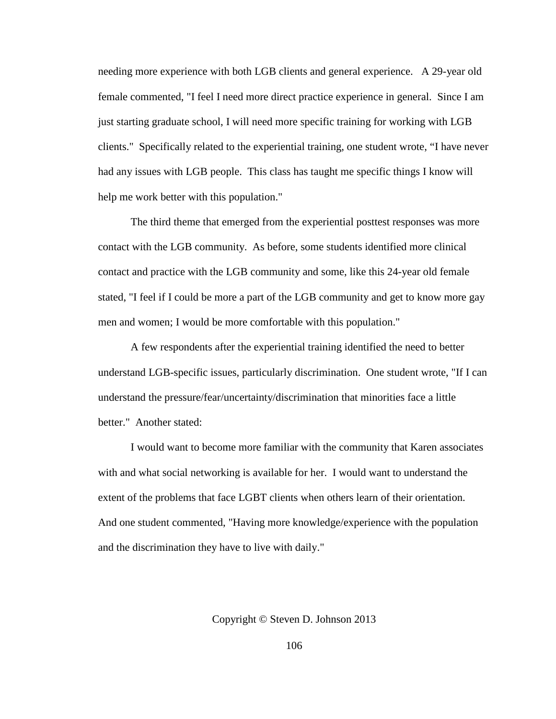needing more experience with both LGB clients and general experience. A 29-year old female commented, "I feel I need more direct practice experience in general. Since I am just starting graduate school, I will need more specific training for working with LGB clients." Specifically related to the experiential training, one student wrote, "I have never had any issues with LGB people. This class has taught me specific things I know will help me work better with this population."

The third theme that emerged from the experiential posttest responses was more contact with the LGB community. As before, some students identified more clinical contact and practice with the LGB community and some, like this 24-year old female stated, "I feel if I could be more a part of the LGB community and get to know more gay men and women; I would be more comfortable with this population."

A few respondents after the experiential training identified the need to better understand LGB-specific issues, particularly discrimination. One student wrote, "If I can understand the pressure/fear/uncertainty/discrimination that minorities face a little better." Another stated:

I would want to become more familiar with the community that Karen associates with and what social networking is available for her. I would want to understand the extent of the problems that face LGBT clients when others learn of their orientation. And one student commented, "Having more knowledge/experience with the population and the discrimination they have to live with daily."

Copyright © Steven D. Johnson 2013

106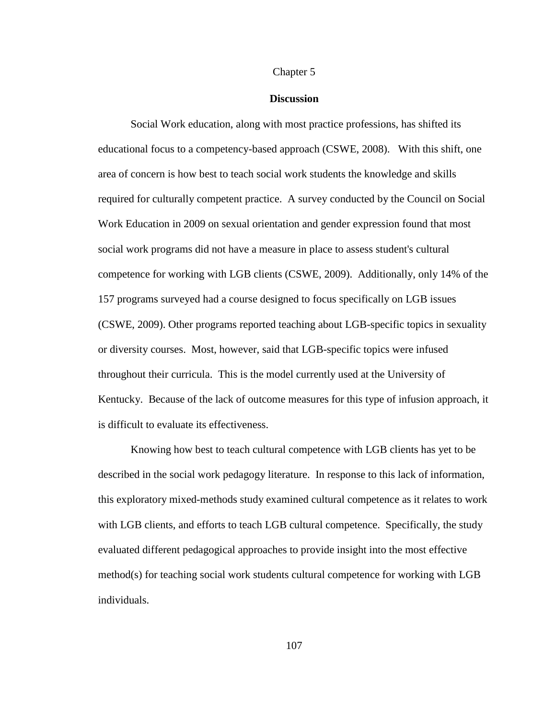#### Chapter 5

#### **Discussion**

Social Work education, along with most practice professions, has shifted its educational focus to a competency-based approach (CSWE, 2008). With this shift, one area of concern is how best to teach social work students the knowledge and skills required for culturally competent practice. A survey conducted by the Council on Social Work Education in 2009 on sexual orientation and gender expression found that most social work programs did not have a measure in place to assess student's cultural competence for working with LGB clients (CSWE, 2009). Additionally, only 14% of the 157 programs surveyed had a course designed to focus specifically on LGB issues (CSWE, 2009). Other programs reported teaching about LGB-specific topics in sexuality or diversity courses. Most, however, said that LGB-specific topics were infused throughout their curricula. This is the model currently used at the University of Kentucky. Because of the lack of outcome measures for this type of infusion approach, it is difficult to evaluate its effectiveness.

Knowing how best to teach cultural competence with LGB clients has yet to be described in the social work pedagogy literature. In response to this lack of information, this exploratory mixed-methods study examined cultural competence as it relates to work with LGB clients, and efforts to teach LGB cultural competence. Specifically, the study evaluated different pedagogical approaches to provide insight into the most effective method(s) for teaching social work students cultural competence for working with LGB individuals.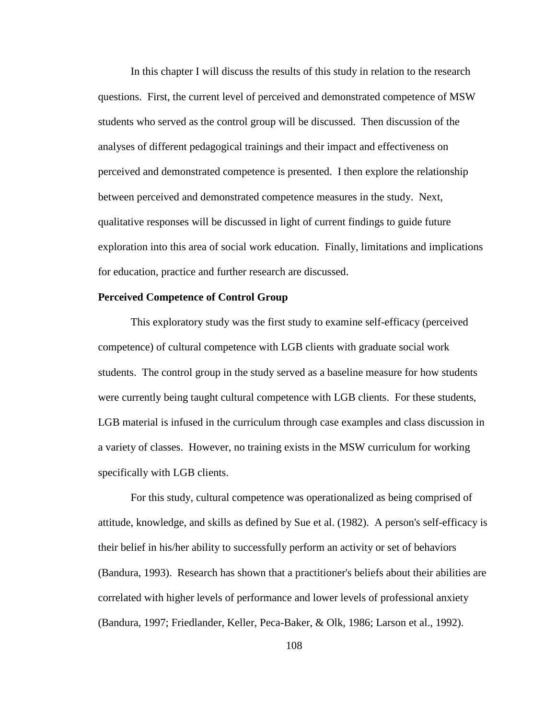In this chapter I will discuss the results of this study in relation to the research questions. First, the current level of perceived and demonstrated competence of MSW students who served as the control group will be discussed. Then discussion of the analyses of different pedagogical trainings and their impact and effectiveness on perceived and demonstrated competence is presented. I then explore the relationship between perceived and demonstrated competence measures in the study. Next, qualitative responses will be discussed in light of current findings to guide future exploration into this area of social work education. Finally, limitations and implications for education, practice and further research are discussed.

### **Perceived Competence of Control Group**

This exploratory study was the first study to examine self-efficacy (perceived competence) of cultural competence with LGB clients with graduate social work students. The control group in the study served as a baseline measure for how students were currently being taught cultural competence with LGB clients. For these students, LGB material is infused in the curriculum through case examples and class discussion in a variety of classes. However, no training exists in the MSW curriculum for working specifically with LGB clients.

For this study, cultural competence was operationalized as being comprised of attitude, knowledge, and skills as defined by Sue et al. (1982). A person's self-efficacy is their belief in his/her ability to successfully perform an activity or set of behaviors (Bandura, 1993). Research has shown that a practitioner's beliefs about their abilities are correlated with higher levels of performance and lower levels of professional anxiety (Bandura, 1997; Friedlander, Keller, Peca-Baker, & Olk, 1986; Larson et al., 1992).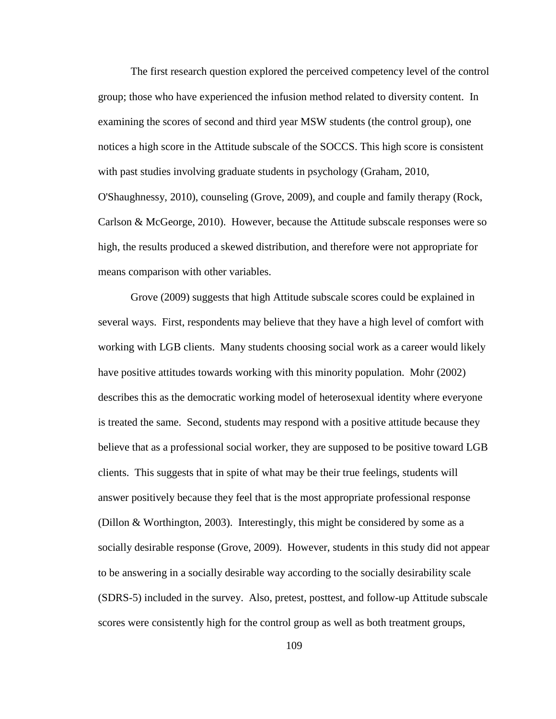The first research question explored the perceived competency level of the control group; those who have experienced the infusion method related to diversity content. In examining the scores of second and third year MSW students (the control group), one notices a high score in the Attitude subscale of the SOCCS. This high score is consistent with past studies involving graduate students in psychology (Graham, 2010, O'Shaughnessy, 2010), counseling (Grove, 2009), and couple and family therapy (Rock, Carlson & McGeorge, 2010). However, because the Attitude subscale responses were so high, the results produced a skewed distribution, and therefore were not appropriate for means comparison with other variables.

Grove (2009) suggests that high Attitude subscale scores could be explained in several ways. First, respondents may believe that they have a high level of comfort with working with LGB clients. Many students choosing social work as a career would likely have positive attitudes towards working with this minority population. Mohr (2002) describes this as the democratic working model of heterosexual identity where everyone is treated the same. Second, students may respond with a positive attitude because they believe that as a professional social worker, they are supposed to be positive toward LGB clients. This suggests that in spite of what may be their true feelings, students will answer positively because they feel that is the most appropriate professional response (Dillon & Worthington, 2003). Interestingly, this might be considered by some as a socially desirable response (Grove, 2009). However, students in this study did not appear to be answering in a socially desirable way according to the socially desirability scale (SDRS-5) included in the survey. Also, pretest, posttest, and follow-up Attitude subscale scores were consistently high for the control group as well as both treatment groups,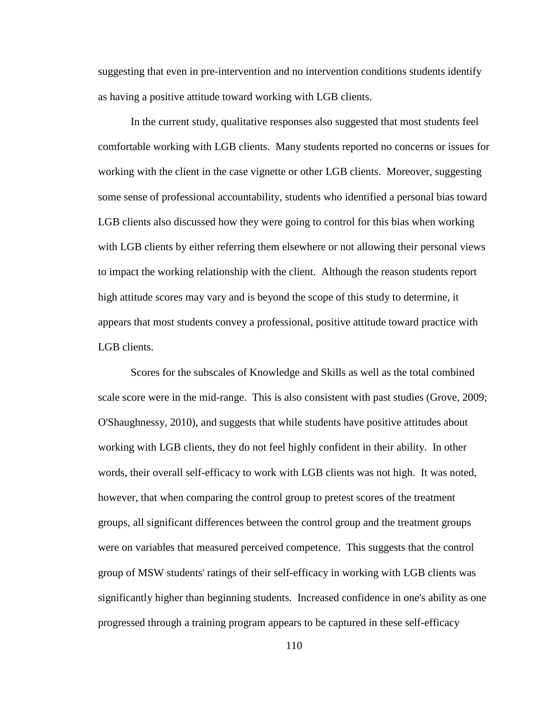suggesting that even in pre-intervention and no intervention conditions students identify as having a positive attitude toward working with LGB clients.

In the current study, qualitative responses also suggested that most students feel comfortable working with LGB clients. Many students reported no concerns or issues for working with the client in the case vignette or other LGB clients. Moreover, suggesting some sense of professional accountability, students who identified a personal bias toward LGB clients also discussed how they were going to control for this bias when working with LGB clients by either referring them elsewhere or not allowing their personal views to impact the working relationship with the client. Although the reason students report high attitude scores may vary and is beyond the scope of this study to determine, it appears that most students convey a professional, positive attitude toward practice with LGB clients.

Scores for the subscales of Knowledge and Skills as well as the total combined scale score were in the mid-range. This is also consistent with past studies (Grove, 2009; O'Shaughnessy, 2010), and suggests that while students have positive attitudes about working with LGB clients, they do not feel highly confident in their ability. In other words, their overall self-efficacy to work with LGB clients was not high. It was noted, however, that when comparing the control group to pretest scores of the treatment groups, all significant differences between the control group and the treatment groups were on variables that measured perceived competence. This suggests that the control group of MSW students' ratings of their self-efficacy in working with LGB clients was significantly higher than beginning students. Increased confidence in one's ability as one progressed through a training program appears to be captured in these self-efficacy

110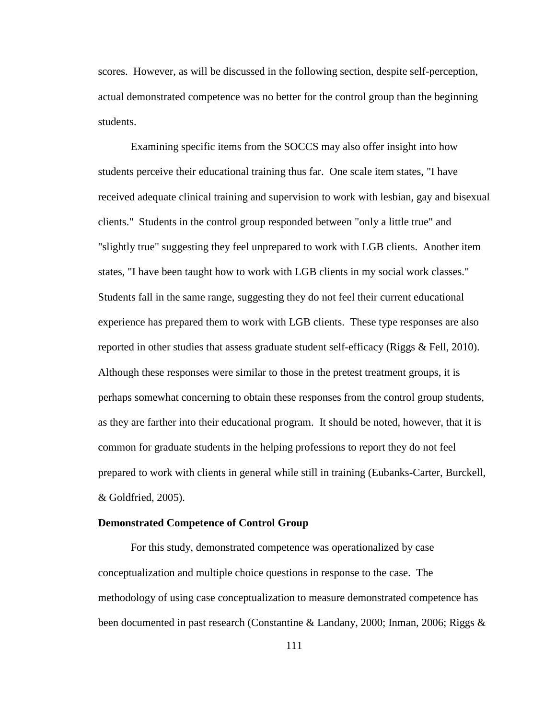scores. However, as will be discussed in the following section, despite self-perception, actual demonstrated competence was no better for the control group than the beginning students.

Examining specific items from the SOCCS may also offer insight into how students perceive their educational training thus far. One scale item states, "I have received adequate clinical training and supervision to work with lesbian, gay and bisexual clients." Students in the control group responded between "only a little true" and "slightly true" suggesting they feel unprepared to work with LGB clients. Another item states, "I have been taught how to work with LGB clients in my social work classes." Students fall in the same range, suggesting they do not feel their current educational experience has prepared them to work with LGB clients. These type responses are also reported in other studies that assess graduate student self-efficacy (Riggs & Fell, 2010). Although these responses were similar to those in the pretest treatment groups, it is perhaps somewhat concerning to obtain these responses from the control group students, as they are farther into their educational program. It should be noted, however, that it is common for graduate students in the helping professions to report they do not feel prepared to work with clients in general while still in training (Eubanks-Carter, Burckell, & Goldfried, 2005).

#### **Demonstrated Competence of Control Group**

For this study, demonstrated competence was operationalized by case conceptualization and multiple choice questions in response to the case. The methodology of using case conceptualization to measure demonstrated competence has been documented in past research (Constantine & Landany, 2000; Inman, 2006; Riggs &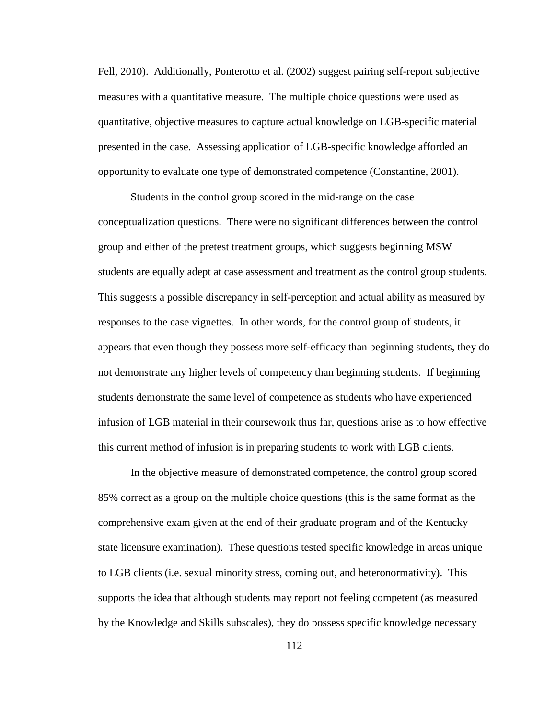Fell, 2010). Additionally, Ponterotto et al. (2002) suggest pairing self-report subjective measures with a quantitative measure. The multiple choice questions were used as quantitative, objective measures to capture actual knowledge on LGB-specific material presented in the case. Assessing application of LGB-specific knowledge afforded an opportunity to evaluate one type of demonstrated competence (Constantine, 2001).

Students in the control group scored in the mid-range on the case conceptualization questions. There were no significant differences between the control group and either of the pretest treatment groups, which suggests beginning MSW students are equally adept at case assessment and treatment as the control group students. This suggests a possible discrepancy in self-perception and actual ability as measured by responses to the case vignettes. In other words, for the control group of students, it appears that even though they possess more self-efficacy than beginning students, they do not demonstrate any higher levels of competency than beginning students. If beginning students demonstrate the same level of competence as students who have experienced infusion of LGB material in their coursework thus far, questions arise as to how effective this current method of infusion is in preparing students to work with LGB clients.

In the objective measure of demonstrated competence, the control group scored 85% correct as a group on the multiple choice questions (this is the same format as the comprehensive exam given at the end of their graduate program and of the Kentucky state licensure examination). These questions tested specific knowledge in areas unique to LGB clients (i.e. sexual minority stress, coming out, and heteronormativity). This supports the idea that although students may report not feeling competent (as measured by the Knowledge and Skills subscales), they do possess specific knowledge necessary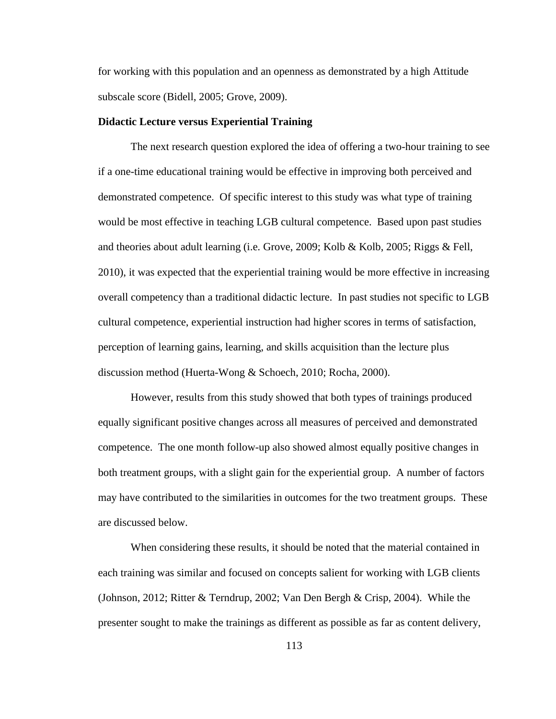for working with this population and an openness as demonstrated by a high Attitude subscale score (Bidell, 2005; Grove, 2009).

#### **Didactic Lecture versus Experiential Training**

The next research question explored the idea of offering a two-hour training to see if a one-time educational training would be effective in improving both perceived and demonstrated competence. Of specific interest to this study was what type of training would be most effective in teaching LGB cultural competence. Based upon past studies and theories about adult learning (i.e. Grove, 2009; Kolb & Kolb, 2005; Riggs & Fell, 2010), it was expected that the experiential training would be more effective in increasing overall competency than a traditional didactic lecture. In past studies not specific to LGB cultural competence, experiential instruction had higher scores in terms of satisfaction, perception of learning gains, learning, and skills acquisition than the lecture plus discussion method (Huerta-Wong & Schoech, 2010; Rocha, 2000).

However, results from this study showed that both types of trainings produced equally significant positive changes across all measures of perceived and demonstrated competence. The one month follow-up also showed almost equally positive changes in both treatment groups, with a slight gain for the experiential group. A number of factors may have contributed to the similarities in outcomes for the two treatment groups. These are discussed below.

When considering these results, it should be noted that the material contained in each training was similar and focused on concepts salient for working with LGB clients (Johnson, 2012; Ritter & Terndrup, 2002; Van Den Bergh & Crisp, 2004). While the presenter sought to make the trainings as different as possible as far as content delivery,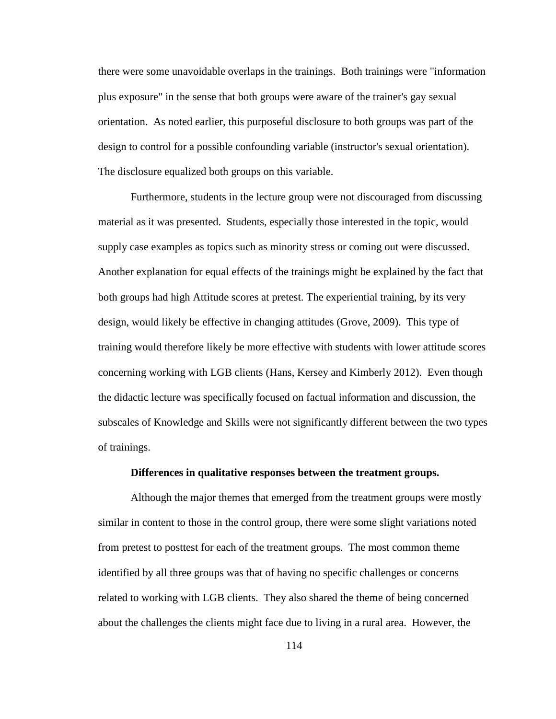there were some unavoidable overlaps in the trainings. Both trainings were "information plus exposure" in the sense that both groups were aware of the trainer's gay sexual orientation. As noted earlier, this purposeful disclosure to both groups was part of the design to control for a possible confounding variable (instructor's sexual orientation). The disclosure equalized both groups on this variable.

Furthermore, students in the lecture group were not discouraged from discussing material as it was presented. Students, especially those interested in the topic, would supply case examples as topics such as minority stress or coming out were discussed. Another explanation for equal effects of the trainings might be explained by the fact that both groups had high Attitude scores at pretest. The experiential training, by its very design, would likely be effective in changing attitudes (Grove, 2009). This type of training would therefore likely be more effective with students with lower attitude scores concerning working with LGB clients (Hans, Kersey and Kimberly 2012). Even though the didactic lecture was specifically focused on factual information and discussion, the subscales of Knowledge and Skills were not significantly different between the two types of trainings.

### **Differences in qualitative responses between the treatment groups.**

Although the major themes that emerged from the treatment groups were mostly similar in content to those in the control group, there were some slight variations noted from pretest to posttest for each of the treatment groups. The most common theme identified by all three groups was that of having no specific challenges or concerns related to working with LGB clients. They also shared the theme of being concerned about the challenges the clients might face due to living in a rural area. However, the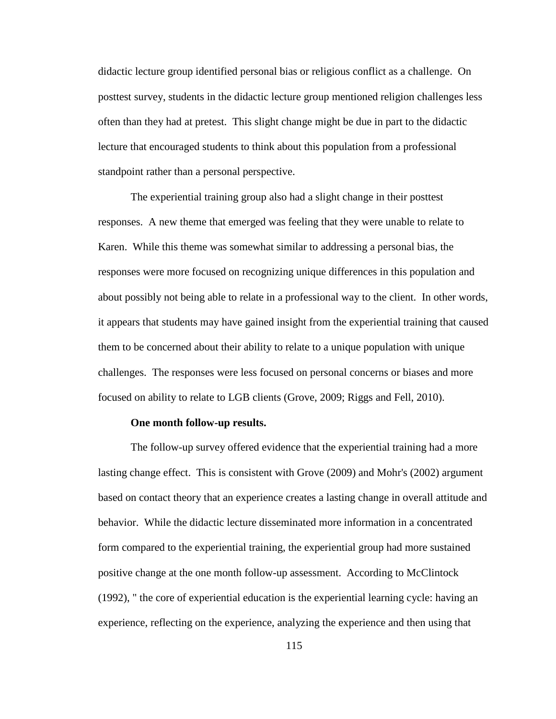didactic lecture group identified personal bias or religious conflict as a challenge. On posttest survey, students in the didactic lecture group mentioned religion challenges less often than they had at pretest. This slight change might be due in part to the didactic lecture that encouraged students to think about this population from a professional standpoint rather than a personal perspective.

The experiential training group also had a slight change in their posttest responses. A new theme that emerged was feeling that they were unable to relate to Karen. While this theme was somewhat similar to addressing a personal bias, the responses were more focused on recognizing unique differences in this population and about possibly not being able to relate in a professional way to the client. In other words, it appears that students may have gained insight from the experiential training that caused them to be concerned about their ability to relate to a unique population with unique challenges. The responses were less focused on personal concerns or biases and more focused on ability to relate to LGB clients (Grove, 2009; Riggs and Fell, 2010).

#### **One month follow-up results.**

The follow-up survey offered evidence that the experiential training had a more lasting change effect. This is consistent with Grove (2009) and Mohr's (2002) argument based on contact theory that an experience creates a lasting change in overall attitude and behavior. While the didactic lecture disseminated more information in a concentrated form compared to the experiential training, the experiential group had more sustained positive change at the one month follow-up assessment. According to McClintock (1992), " the core of experiential education is the experiential learning cycle: having an experience, reflecting on the experience, analyzing the experience and then using that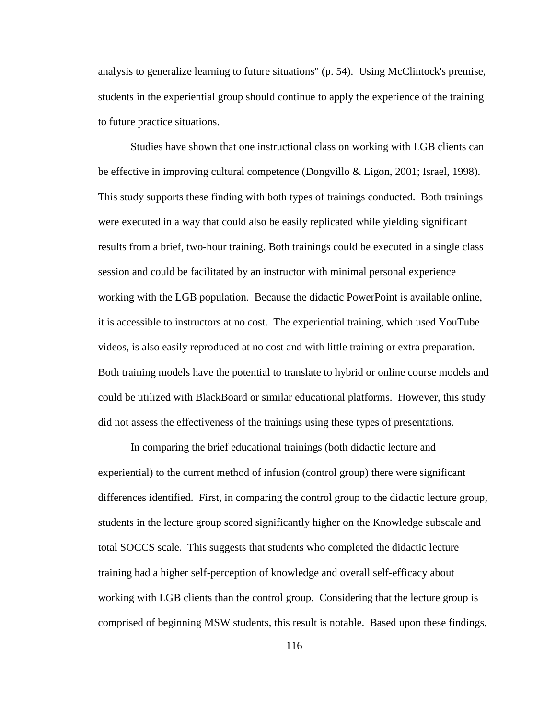analysis to generalize learning to future situations" (p. 54). Using McClintock's premise, students in the experiential group should continue to apply the experience of the training to future practice situations.

Studies have shown that one instructional class on working with LGB clients can be effective in improving cultural competence (Dongvillo & Ligon, 2001; Israel, 1998). This study supports these finding with both types of trainings conducted. Both trainings were executed in a way that could also be easily replicated while yielding significant results from a brief, two-hour training. Both trainings could be executed in a single class session and could be facilitated by an instructor with minimal personal experience working with the LGB population. Because the didactic PowerPoint is available online, it is accessible to instructors at no cost. The experiential training, which used YouTube videos, is also easily reproduced at no cost and with little training or extra preparation. Both training models have the potential to translate to hybrid or online course models and could be utilized with BlackBoard or similar educational platforms. However, this study did not assess the effectiveness of the trainings using these types of presentations.

In comparing the brief educational trainings (both didactic lecture and experiential) to the current method of infusion (control group) there were significant differences identified. First, in comparing the control group to the didactic lecture group, students in the lecture group scored significantly higher on the Knowledge subscale and total SOCCS scale. This suggests that students who completed the didactic lecture training had a higher self-perception of knowledge and overall self-efficacy about working with LGB clients than the control group. Considering that the lecture group is comprised of beginning MSW students, this result is notable. Based upon these findings,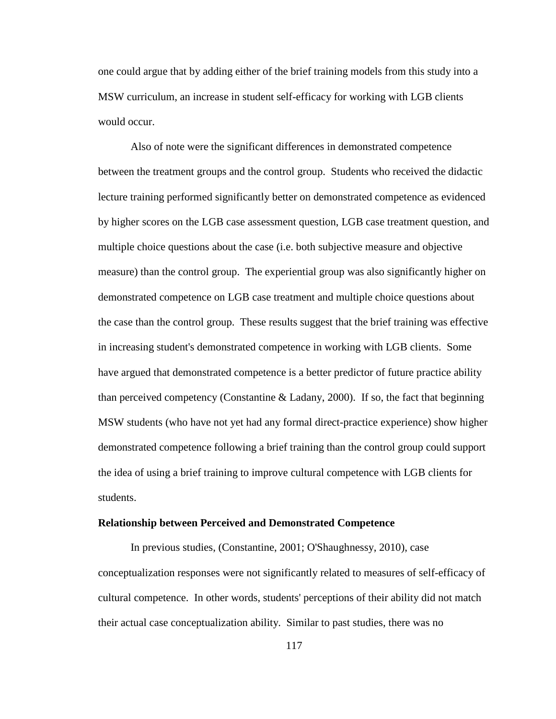one could argue that by adding either of the brief training models from this study into a MSW curriculum, an increase in student self-efficacy for working with LGB clients would occur.

Also of note were the significant differences in demonstrated competence between the treatment groups and the control group. Students who received the didactic lecture training performed significantly better on demonstrated competence as evidenced by higher scores on the LGB case assessment question, LGB case treatment question, and multiple choice questions about the case (i.e. both subjective measure and objective measure) than the control group. The experiential group was also significantly higher on demonstrated competence on LGB case treatment and multiple choice questions about the case than the control group. These results suggest that the brief training was effective in increasing student's demonstrated competence in working with LGB clients. Some have argued that demonstrated competence is a better predictor of future practice ability than perceived competency (Constantine  $&$  Ladany, 2000). If so, the fact that beginning MSW students (who have not yet had any formal direct-practice experience) show higher demonstrated competence following a brief training than the control group could support the idea of using a brief training to improve cultural competence with LGB clients for students.

#### **Relationship between Perceived and Demonstrated Competence**

In previous studies, (Constantine, 2001; O'Shaughnessy, 2010), case conceptualization responses were not significantly related to measures of self-efficacy of cultural competence. In other words, students' perceptions of their ability did not match their actual case conceptualization ability. Similar to past studies, there was no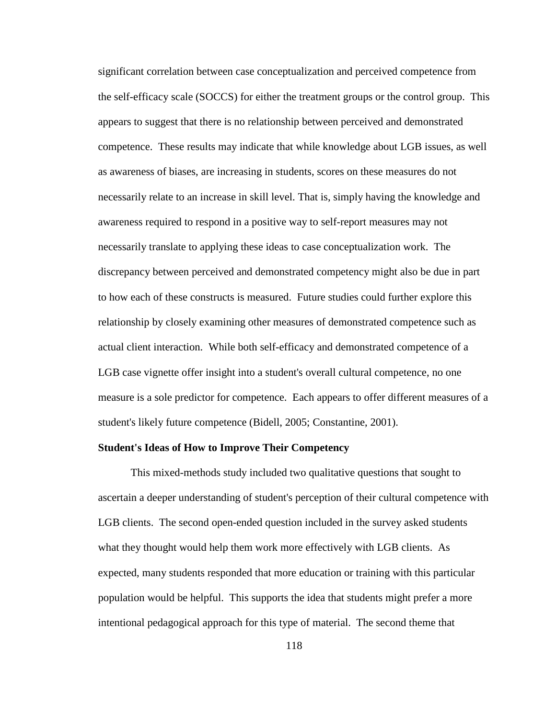significant correlation between case conceptualization and perceived competence from the self-efficacy scale (SOCCS) for either the treatment groups or the control group. This appears to suggest that there is no relationship between perceived and demonstrated competence. These results may indicate that while knowledge about LGB issues, as well as awareness of biases, are increasing in students, scores on these measures do not necessarily relate to an increase in skill level. That is, simply having the knowledge and awareness required to respond in a positive way to self-report measures may not necessarily translate to applying these ideas to case conceptualization work. The discrepancy between perceived and demonstrated competency might also be due in part to how each of these constructs is measured. Future studies could further explore this relationship by closely examining other measures of demonstrated competence such as actual client interaction. While both self-efficacy and demonstrated competence of a LGB case vignette offer insight into a student's overall cultural competence, no one measure is a sole predictor for competence. Each appears to offer different measures of a student's likely future competence (Bidell, 2005; Constantine, 2001).

#### **Student's Ideas of How to Improve Their Competency**

This mixed-methods study included two qualitative questions that sought to ascertain a deeper understanding of student's perception of their cultural competence with LGB clients. The second open-ended question included in the survey asked students what they thought would help them work more effectively with LGB clients. As expected, many students responded that more education or training with this particular population would be helpful. This supports the idea that students might prefer a more intentional pedagogical approach for this type of material. The second theme that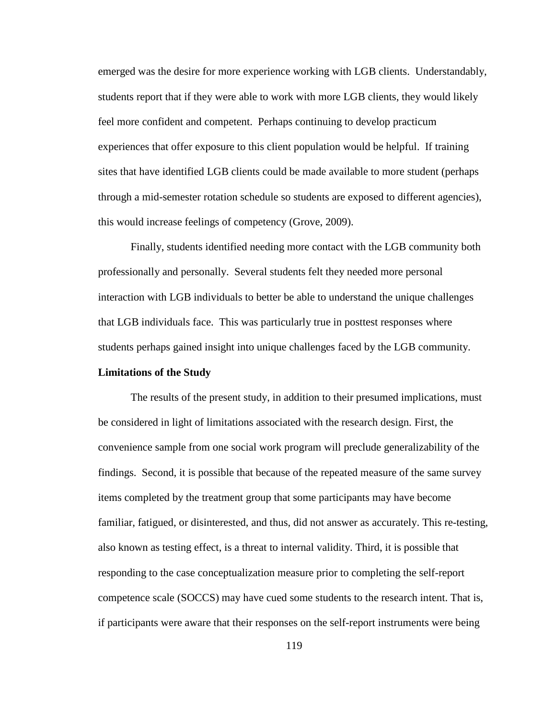emerged was the desire for more experience working with LGB clients. Understandably, students report that if they were able to work with more LGB clients, they would likely feel more confident and competent. Perhaps continuing to develop practicum experiences that offer exposure to this client population would be helpful. If training sites that have identified LGB clients could be made available to more student (perhaps through a mid-semester rotation schedule so students are exposed to different agencies), this would increase feelings of competency (Grove, 2009).

Finally, students identified needing more contact with the LGB community both professionally and personally. Several students felt they needed more personal interaction with LGB individuals to better be able to understand the unique challenges that LGB individuals face. This was particularly true in posttest responses where students perhaps gained insight into unique challenges faced by the LGB community.

### **Limitations of the Study**

The results of the present study, in addition to their presumed implications, must be considered in light of limitations associated with the research design. First, the convenience sample from one social work program will preclude generalizability of the findings. Second, it is possible that because of the repeated measure of the same survey items completed by the treatment group that some participants may have become familiar, fatigued, or disinterested, and thus, did not answer as accurately. This re-testing, also known as testing effect, is a threat to internal validity. Third, it is possible that responding to the case conceptualization measure prior to completing the self-report competence scale (SOCCS) may have cued some students to the research intent. That is, if participants were aware that their responses on the self-report instruments were being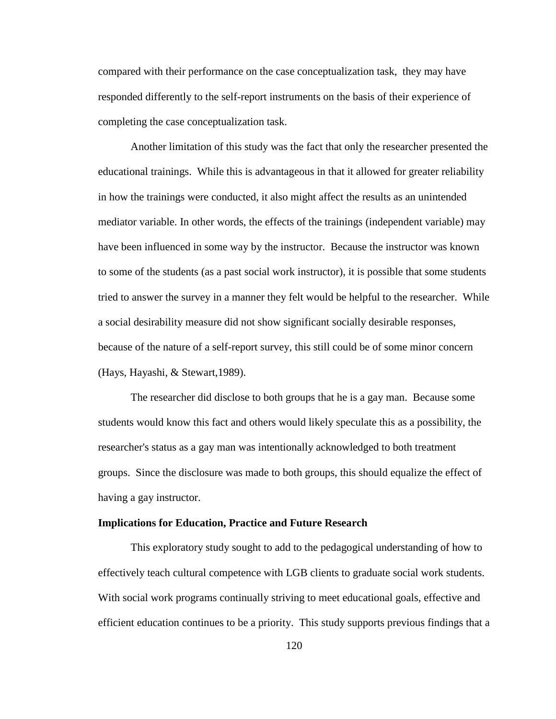compared with their performance on the case conceptualization task, they may have responded differently to the self-report instruments on the basis of their experience of completing the case conceptualization task.

Another limitation of this study was the fact that only the researcher presented the educational trainings. While this is advantageous in that it allowed for greater reliability in how the trainings were conducted, it also might affect the results as an unintended mediator variable. In other words, the effects of the trainings (independent variable) may have been influenced in some way by the instructor. Because the instructor was known to some of the students (as a past social work instructor), it is possible that some students tried to answer the survey in a manner they felt would be helpful to the researcher. While a social desirability measure did not show significant socially desirable responses, because of the nature of a self-report survey, this still could be of some minor concern (Hays, Hayashi, & Stewart,1989).

The researcher did disclose to both groups that he is a gay man. Because some students would know this fact and others would likely speculate this as a possibility, the researcher's status as a gay man was intentionally acknowledged to both treatment groups. Since the disclosure was made to both groups, this should equalize the effect of having a gay instructor.

#### **Implications for Education, Practice and Future Research**

This exploratory study sought to add to the pedagogical understanding of how to effectively teach cultural competence with LGB clients to graduate social work students. With social work programs continually striving to meet educational goals, effective and efficient education continues to be a priority. This study supports previous findings that a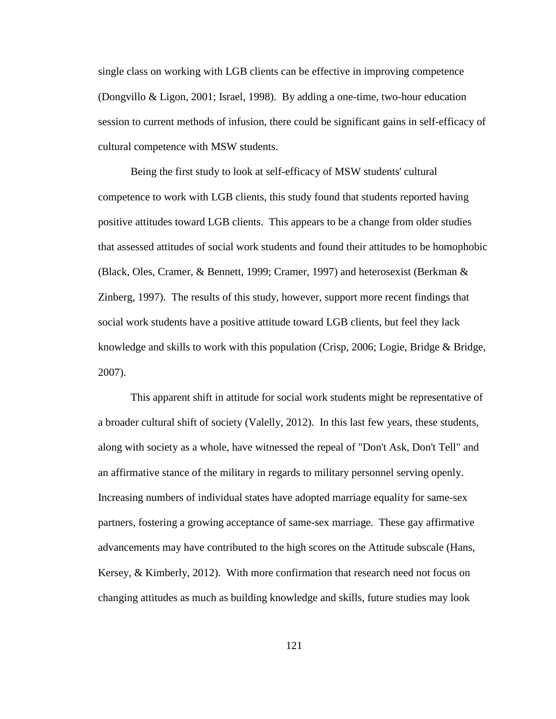single class on working with LGB clients can be effective in improving competence (Dongvillo & Ligon, 2001; Israel, 1998). By adding a one-time, two-hour education session to current methods of infusion, there could be significant gains in self-efficacy of cultural competence with MSW students.

Being the first study to look at self-efficacy of MSW students' cultural competence to work with LGB clients, this study found that students reported having positive attitudes toward LGB clients. This appears to be a change from older studies that assessed attitudes of social work students and found their attitudes to be homophobic (Black, Oles, Cramer, & Bennett, 1999; Cramer, 1997) and heterosexist (Berkman & Zinberg, 1997). The results of this study, however, support more recent findings that social work students have a positive attitude toward LGB clients, but feel they lack knowledge and skills to work with this population (Crisp, 2006; Logie, Bridge & Bridge, 2007).

This apparent shift in attitude for social work students might be representative of a broader cultural shift of society (Valelly, 2012). In this last few years, these students, along with society as a whole, have witnessed the repeal of "Don't Ask, Don't Tell" and an affirmative stance of the military in regards to military personnel serving openly. Increasing numbers of individual states have adopted marriage equality for same-sex partners, fostering a growing acceptance of same-sex marriage. These gay affirmative advancements may have contributed to the high scores on the Attitude subscale (Hans, Kersey, & Kimberly, 2012). With more confirmation that research need not focus on changing attitudes as much as building knowledge and skills, future studies may look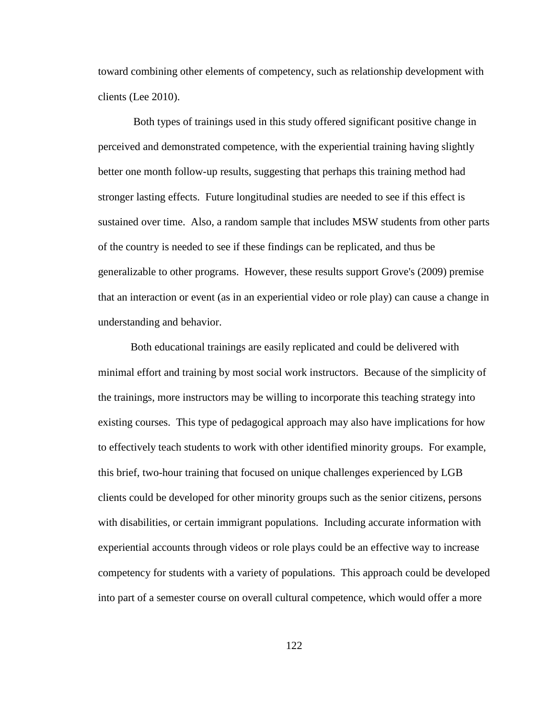toward combining other elements of competency, such as relationship development with clients (Lee 2010).

Both types of trainings used in this study offered significant positive change in perceived and demonstrated competence, with the experiential training having slightly better one month follow-up results, suggesting that perhaps this training method had stronger lasting effects. Future longitudinal studies are needed to see if this effect is sustained over time. Also, a random sample that includes MSW students from other parts of the country is needed to see if these findings can be replicated, and thus be generalizable to other programs. However, these results support Grove's (2009) premise that an interaction or event (as in an experiential video or role play) can cause a change in understanding and behavior.

Both educational trainings are easily replicated and could be delivered with minimal effort and training by most social work instructors. Because of the simplicity of the trainings, more instructors may be willing to incorporate this teaching strategy into existing courses. This type of pedagogical approach may also have implications for how to effectively teach students to work with other identified minority groups. For example, this brief, two-hour training that focused on unique challenges experienced by LGB clients could be developed for other minority groups such as the senior citizens, persons with disabilities, or certain immigrant populations. Including accurate information with experiential accounts through videos or role plays could be an effective way to increase competency for students with a variety of populations. This approach could be developed into part of a semester course on overall cultural competence, which would offer a more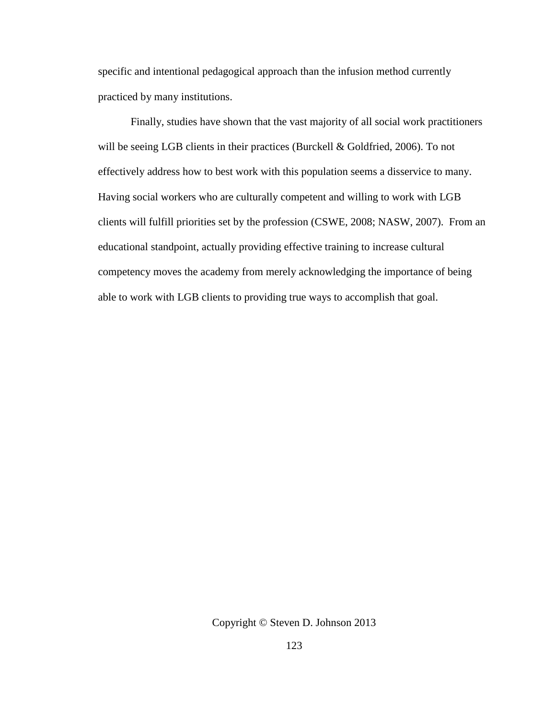specific and intentional pedagogical approach than the infusion method currently practiced by many institutions.

Finally, studies have shown that the vast majority of all social work practitioners will be seeing LGB clients in their practices (Burckell & Goldfried, 2006). To not effectively address how to best work with this population seems a disservice to many. Having social workers who are culturally competent and willing to work with LGB clients will fulfill priorities set by the profession (CSWE, 2008; NASW, 2007). From an educational standpoint, actually providing effective training to increase cultural competency moves the academy from merely acknowledging the importance of being able to work with LGB clients to providing true ways to accomplish that goal.

Copyright © Steven D. Johnson 2013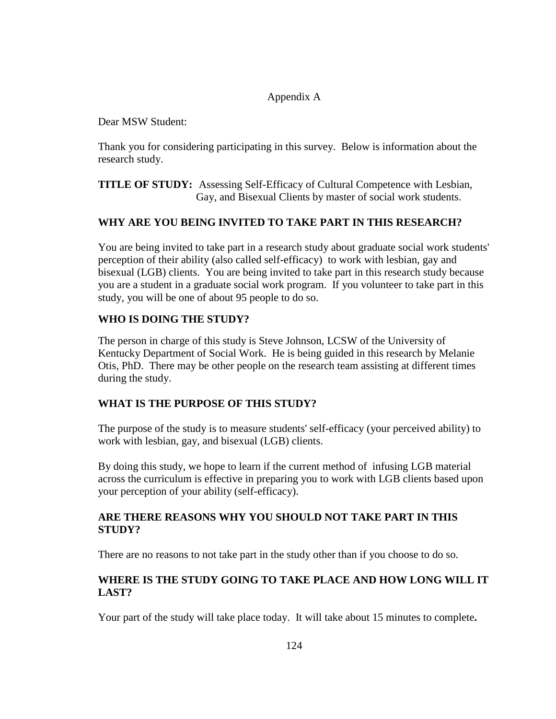# Appendix A

Dear MSW Student:

Thank you for considering participating in this survey. Below is information about the research study.

**TITLE OF STUDY:** Assessing Self-Efficacy of Cultural Competence with Lesbian, Gay, and Bisexual Clients by master of social work students.

# **WHY ARE YOU BEING INVITED TO TAKE PART IN THIS RESEARCH?**

You are being invited to take part in a research study about graduate social work students' perception of their ability (also called self-efficacy) to work with lesbian, gay and bisexual (LGB) clients. You are being invited to take part in this research study because you are a student in a graduate social work program. If you volunteer to take part in this study, you will be one of about 95 people to do so.

# **WHO IS DOING THE STUDY?**

The person in charge of this study is Steve Johnson, LCSW of the University of Kentucky Department of Social Work. He is being guided in this research by Melanie Otis, PhD. There may be other people on the research team assisting at different times during the study.

# **WHAT IS THE PURPOSE OF THIS STUDY?**

The purpose of the study is to measure students' self-efficacy (your perceived ability) to work with lesbian, gay, and bisexual (LGB) clients.

By doing this study, we hope to learn if the current method of infusing LGB material across the curriculum is effective in preparing you to work with LGB clients based upon your perception of your ability (self-efficacy).

# **ARE THERE REASONS WHY YOU SHOULD NOT TAKE PART IN THIS STUDY?**

There are no reasons to not take part in the study other than if you choose to do so.

# **WHERE IS THE STUDY GOING TO TAKE PLACE AND HOW LONG WILL IT LAST?**

Your part of the study will take place today. It will take about 15 minutes to complete**.**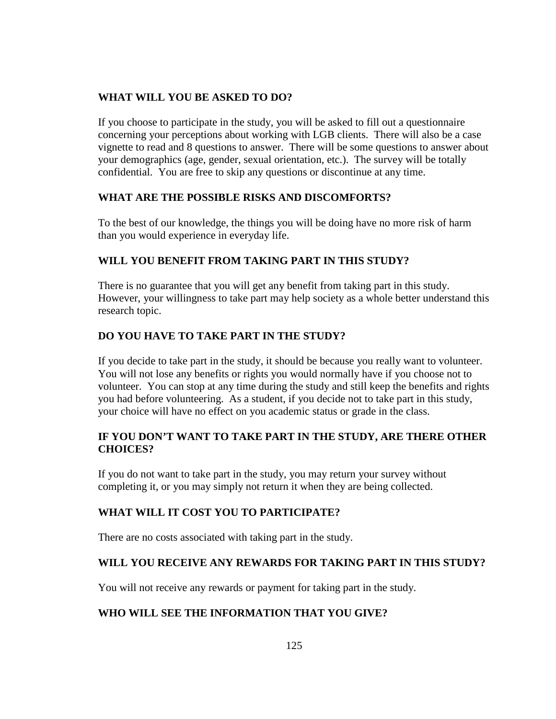# **WHAT WILL YOU BE ASKED TO DO?**

If you choose to participate in the study, you will be asked to fill out a questionnaire concerning your perceptions about working with LGB clients. There will also be a case vignette to read and 8 questions to answer. There will be some questions to answer about your demographics (age, gender, sexual orientation, etc.). The survey will be totally confidential. You are free to skip any questions or discontinue at any time.

# **WHAT ARE THE POSSIBLE RISKS AND DISCOMFORTS?**

To the best of our knowledge, the things you will be doing have no more risk of harm than you would experience in everyday life.

# **WILL YOU BENEFIT FROM TAKING PART IN THIS STUDY?**

There is no guarantee that you will get any benefit from taking part in this study. However, your willingness to take part may help society as a whole better understand this research topic.

# **DO YOU HAVE TO TAKE PART IN THE STUDY?**

If you decide to take part in the study, it should be because you really want to volunteer. You will not lose any benefits or rights you would normally have if you choose not to volunteer. You can stop at any time during the study and still keep the benefits and rights you had before volunteering. As a student, if you decide not to take part in this study, your choice will have no effect on you academic status or grade in the class.

# **IF YOU DON'T WANT TO TAKE PART IN THE STUDY, ARE THERE OTHER CHOICES?**

If you do not want to take part in the study, you may return your survey without completing it, or you may simply not return it when they are being collected.

# **WHAT WILL IT COST YOU TO PARTICIPATE?**

There are no costs associated with taking part in the study.

# **WILL YOU RECEIVE ANY REWARDS FOR TAKING PART IN THIS STUDY?**

You will not receive any rewards or payment for taking part in the study.

# **WHO WILL SEE THE INFORMATION THAT YOU GIVE?**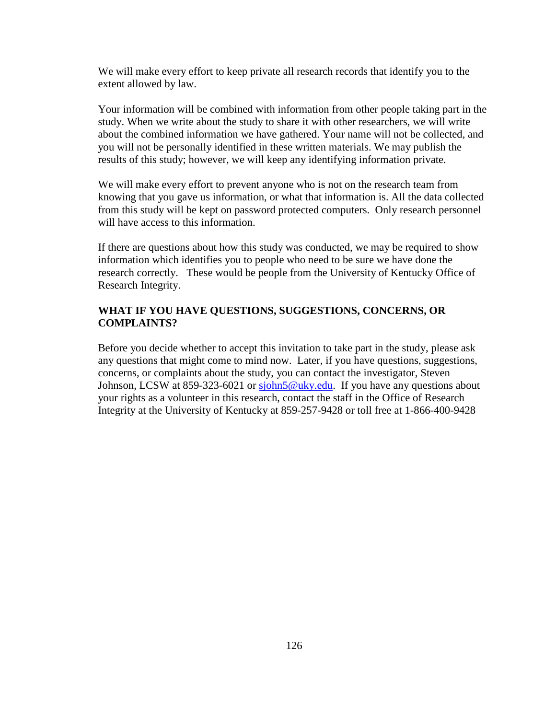We will make every effort to keep private all research records that identify you to the extent allowed by law.

Your information will be combined with information from other people taking part in the study. When we write about the study to share it with other researchers, we will write about the combined information we have gathered. Your name will not be collected, and you will not be personally identified in these written materials. We may publish the results of this study; however, we will keep any identifying information private.

We will make every effort to prevent anyone who is not on the research team from knowing that you gave us information, or what that information is. All the data collected from this study will be kept on password protected computers. Only research personnel will have access to this information.

If there are questions about how this study was conducted, we may be required to show information which identifies you to people who need to be sure we have done the research correctly. These would be people from the University of Kentucky Office of Research Integrity.

### **WHAT IF YOU HAVE QUESTIONS, SUGGESTIONS, CONCERNS, OR COMPLAINTS?**

Before you decide whether to accept this invitation to take part in the study, please ask any questions that might come to mind now. Later, if you have questions, suggestions, concerns, or complaints about the study, you can contact the investigator, Steven Johnson, LCSW at 859-323-6021 or [sjohn5@uky.edu.](mailto:sjohn5@uky.edu) If you have any questions about your rights as a volunteer in this research, contact the staff in the Office of Research Integrity at the University of Kentucky at 859-257-9428 or toll free at 1-866-400-9428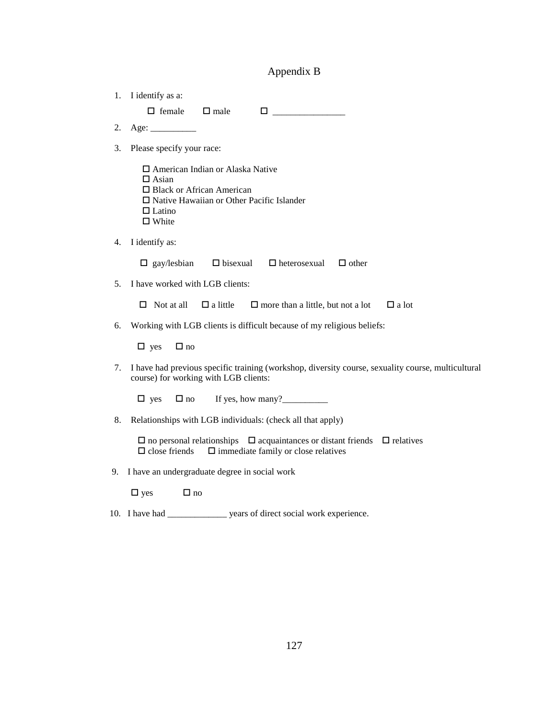# Appendix B

| 1. I identify as a:                                                                                                                                                                                                                                                                                        |  |
|------------------------------------------------------------------------------------------------------------------------------------------------------------------------------------------------------------------------------------------------------------------------------------------------------------|--|
| $\Box$ female<br>$\Box$ male<br>$\Box$ . The contract of $\Box$ and $\Box$ and $\Box$ and $\Box$ and $\Box$ and $\Box$ and $\Box$ and $\Box$ and $\Box$ and $\Box$ and $\Box$ and $\Box$ and $\Box$ and $\Box$ and $\Box$ and $\Box$ and $\Box$ and $\Box$ and $\Box$ and $\Box$ and $\Box$ and $\Box$ and |  |
| 2.                                                                                                                                                                                                                                                                                                         |  |
| Please specify your race:<br>3.                                                                                                                                                                                                                                                                            |  |
| $\Box$ American Indian or Alaska Native<br>$\Box$ Asian<br>$\Box$ Black or African American<br>$\Box$ Native Hawaiian or Other Pacific Islander<br>$\Box$ Latino<br>$\Box$ White                                                                                                                           |  |
| I identify as:<br>4.                                                                                                                                                                                                                                                                                       |  |
| $\Box$ gay/lesbian<br>$\Box$ bisexual $\Box$ heterosexual<br>$\Box$ other                                                                                                                                                                                                                                  |  |
| I have worked with LGB clients:<br>5.                                                                                                                                                                                                                                                                      |  |
| $\Box$ Not at all<br>$\Box$ a little<br>$\Box$ more than a little, but not a lot<br>$\Box$ a lot                                                                                                                                                                                                           |  |
| Working with LGB clients is difficult because of my religious beliefs:<br>6.                                                                                                                                                                                                                               |  |
| $\Box$ yes<br>$\Box$ no                                                                                                                                                                                                                                                                                    |  |
| I have had previous specific training (workshop, diversity course, sexuality course, multicultural<br>7.<br>course) for working with LGB clients:                                                                                                                                                          |  |
| If yes, how many? $\frac{1}{\sqrt{2}}$<br>$\Box$ yes<br>$\Box$ no                                                                                                                                                                                                                                          |  |
| Relationships with LGB individuals: (check all that apply)<br>8.                                                                                                                                                                                                                                           |  |
| $\Box$ no personal relationships $\Box$ acquaintances or distant friends<br>$\Box$ relatives<br>$\square$ immediate family or close relatives<br>$\Box$ close friends                                                                                                                                      |  |
| I have an undergraduate degree in social work<br>9.                                                                                                                                                                                                                                                        |  |
| $\Box$ yes<br>$\Box$ no                                                                                                                                                                                                                                                                                    |  |
| 10. I have had ________________ years of direct social work experience.                                                                                                                                                                                                                                    |  |
|                                                                                                                                                                                                                                                                                                            |  |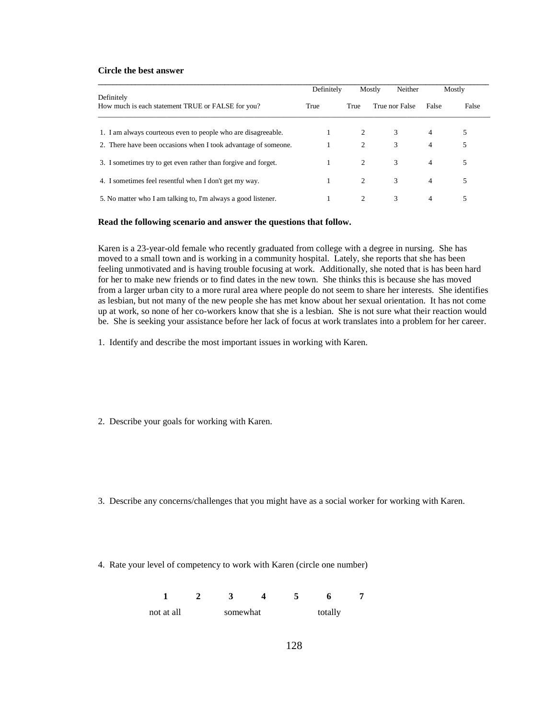#### **Circle the best answer**

|                                                                 | Definitely |      | Neither<br>Mostly | Mostly         |       |
|-----------------------------------------------------------------|------------|------|-------------------|----------------|-------|
| Definitely<br>How much is each statement TRUE or FALSE for you? | True       | True | True nor False    | False          | False |
| 1. I am always courteous even to people who are disagreeable.   |            | 2    | 3                 | $\overline{4}$ | 5     |
| 2. There have been occasions when I took advantage of someone.  |            | 2    | 3                 | $\overline{4}$ | 5     |
| 3. I sometimes try to get even rather than forgive and forget.  |            | 2    | 3                 | $\overline{4}$ | 5     |
| 4. I sometimes feel resent ful when I don't get my way.         |            | 2    | 3                 | $\overline{4}$ | 5     |
| 5. No matter who I am talking to, I'm always a good listener.   |            |      | 3                 | 4              | 5     |

#### **Read the following scenario and answer the questions that follow.**

Karen is a 23-year-old female who recently graduated from college with a degree in nursing. She has moved to a small town and is working in a community hospital. Lately, she reports that she has been feeling unmotivated and is having trouble focusing at work. Additionally, she noted that is has been hard for her to make new friends or to find dates in the new town. She thinks this is because she has moved from a larger urban city to a more rural area where people do not seem to share her interests. She identifies as lesbian, but not many of the new people she has met know about her sexual orientation. It has not come up at work, so none of her co-workers know that she is a lesbian. She is not sure what their reaction would be. She is seeking your assistance before her lack of focus at work translates into a problem for her career.

- 1. Identify and describe the most important issues in working with Karen.
- 2. Describe your goals for working with Karen.
- 3. Describe any concerns/challenges that you might have as a social worker for working with Karen.
- 4. Rate your level of competency to work with Karen (circle one number)

 **1 2 3 4 5 6 7**  not at all somewhat totally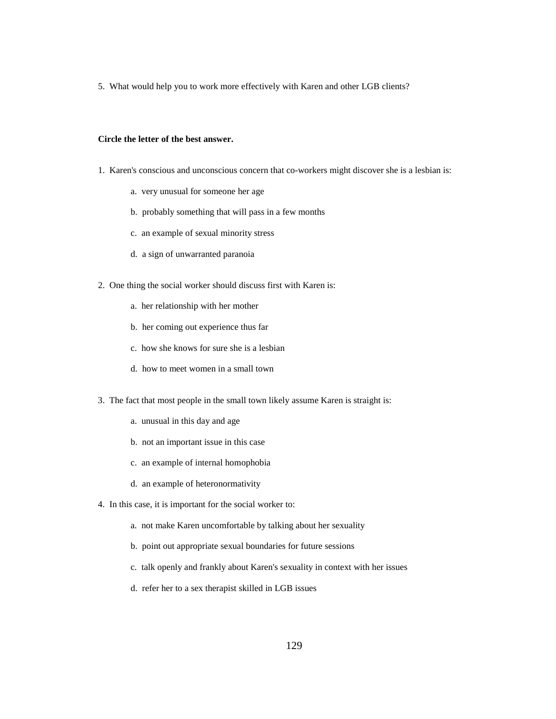5. What would help you to work more effectively with Karen and other LGB clients?

#### **Circle the letter of the best answer.**

- 1. Karen's conscious and unconscious concern that co-workers might discover she is a lesbian is:
	- a. very unusual for someone her age
	- b. probably something that will pass in a few months
	- c. an example of sexual minority stress
	- d. a sign of unwarranted paranoia
- 2. One thing the social worker should discuss first with Karen is:
	- a. her relationship with her mother
	- b. her coming out experience thus far
	- c. how she knows for sure she is a lesbian
	- d. how to meet women in a small town
- 3. The fact that most people in the small town likely assume Karen is straight is:
	- a. unusual in this day and age
	- b. not an important issue in this case
	- c. an example of internal homophobia
	- d. an example of heteronormativity
- 4. In this case, it is important for the social worker to:
	- a. not make Karen uncomfortable by talking about her sexuality
	- b. point out appropriate sexual boundaries for future sessions
	- c. talk openly and frankly about Karen's sexuality in context with her issues
	- d. refer her to a sex therapist skilled in LGB issues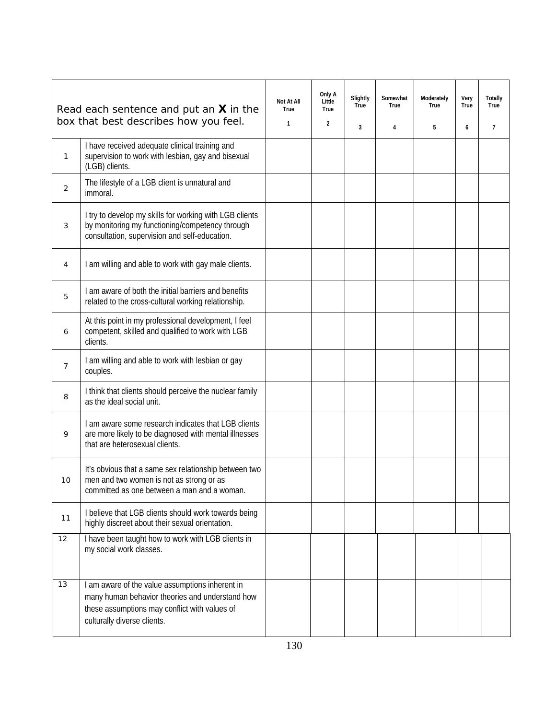|                | Read each sentence and put an $X$ in the<br>box that best describes how you feel.                                                                                                  | Not At All<br>True<br>1 | Only A<br>Little<br>True<br>$\overline{2}$ | Slightly<br>True<br>3 | Somewhat<br>True<br>4 | Moderately<br>True<br>5 | Very<br>True<br>6 | Totally<br>True<br>7 |
|----------------|------------------------------------------------------------------------------------------------------------------------------------------------------------------------------------|-------------------------|--------------------------------------------|-----------------------|-----------------------|-------------------------|-------------------|----------------------|
| 1              | I have received adequate clinical training and<br>supervision to work with lesbian, gay and bisexual<br>(LGB) clients.                                                             |                         |                                            |                       |                       |                         |                   |                      |
| 2              | The lifestyle of a LGB client is unnatural and<br>immoral.                                                                                                                         |                         |                                            |                       |                       |                         |                   |                      |
| 3              | I try to develop my skills for working with LGB clients<br>by monitoring my functioning/competency through<br>consultation, supervision and self-education.                        |                         |                                            |                       |                       |                         |                   |                      |
| 4              | I am willing and able to work with gay male clients.                                                                                                                               |                         |                                            |                       |                       |                         |                   |                      |
| 5              | I am aware of both the initial barriers and benefits<br>related to the cross-cultural working relationship.                                                                        |                         |                                            |                       |                       |                         |                   |                      |
| 6              | At this point in my professional development, I feel<br>competent, skilled and qualified to work with LGB<br>clients.                                                              |                         |                                            |                       |                       |                         |                   |                      |
| $\overline{7}$ | I am willing and able to work with lesbian or gay<br>couples.                                                                                                                      |                         |                                            |                       |                       |                         |                   |                      |
| 8              | I think that clients should perceive the nuclear family<br>as the ideal social unit.                                                                                               |                         |                                            |                       |                       |                         |                   |                      |
| 9              | I am aware some research indicates that LGB clients<br>are more likely to be diagnosed with mental illnesses<br>that are heterosexual clients.                                     |                         |                                            |                       |                       |                         |                   |                      |
| 10             | It's obvious that a same sex relationship between two<br>men and two women is not as strong or as<br>committed as one between a man and a woman.                                   |                         |                                            |                       |                       |                         |                   |                      |
| 11             | I believe that LGB clients should work towards being<br>highly discreet about their sexual orientation.                                                                            |                         |                                            |                       |                       |                         |                   |                      |
| 12             | I have been taught how to work with LGB clients in<br>my social work classes.                                                                                                      |                         |                                            |                       |                       |                         |                   |                      |
| 13             | I am aware of the value assumptions inherent in<br>many human behavior theories and understand how<br>these assumptions may conflict with values of<br>culturally diverse clients. |                         |                                            |                       |                       |                         |                   |                      |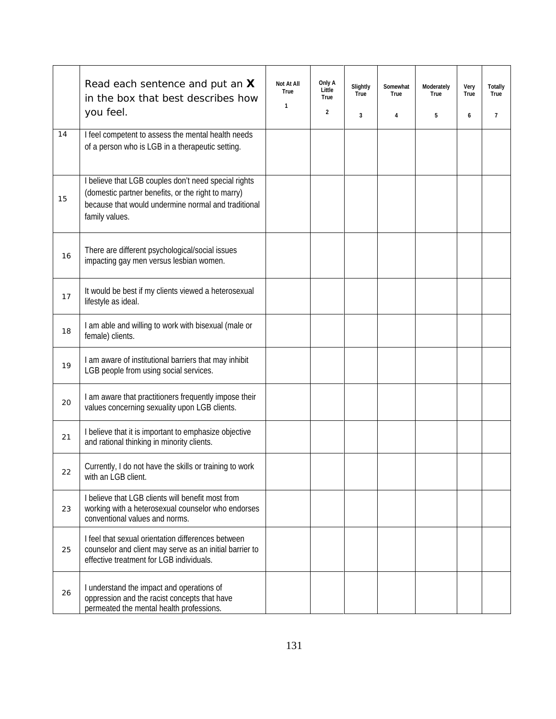|    | Read each sentence and put an X<br>in the box that best describes how<br>you feel.                                                                                                  | Not At All<br>True<br>$\mathbf{1}$ | Only A<br>Little<br>True<br>$\overline{2}$ | Slightly<br>True<br>3 | Somewhat<br>True<br>4 | Moderately<br>True<br>5 | Very<br>True<br>6 | <b>Totally</b><br>True<br>$\overline{7}$ |
|----|-------------------------------------------------------------------------------------------------------------------------------------------------------------------------------------|------------------------------------|--------------------------------------------|-----------------------|-----------------------|-------------------------|-------------------|------------------------------------------|
| 14 | I feel competent to assess the mental health needs<br>of a person who is LGB in a therapeutic setting.                                                                              |                                    |                                            |                       |                       |                         |                   |                                          |
| 15 | I believe that LGB couples don't need special rights<br>(domestic partner benefits, or the right to marry)<br>because that would undermine normal and traditional<br>family values. |                                    |                                            |                       |                       |                         |                   |                                          |
| 16 | There are different psychological/social issues<br>impacting gay men versus lesbian women.                                                                                          |                                    |                                            |                       |                       |                         |                   |                                          |
| 17 | It would be best if my clients viewed a heterosexual<br>lifestyle as ideal.                                                                                                         |                                    |                                            |                       |                       |                         |                   |                                          |
| 18 | I am able and willing to work with bisexual (male or<br>female) clients.                                                                                                            |                                    |                                            |                       |                       |                         |                   |                                          |
| 19 | I am aware of institutional barriers that may inhibit<br>LGB people from using social services.                                                                                     |                                    |                                            |                       |                       |                         |                   |                                          |
| 20 | I am aware that practitioners frequently impose their<br>values concerning sexuality upon LGB clients.                                                                              |                                    |                                            |                       |                       |                         |                   |                                          |
| 21 | I believe that it is important to emphasize objective<br>and rational thinking in minority clients.                                                                                 |                                    |                                            |                       |                       |                         |                   |                                          |
| 22 | Currently, I do not have the skills or training to work<br>with an LGB client.                                                                                                      |                                    |                                            |                       |                       |                         |                   |                                          |
| 23 | I believe that LGB clients will benefit most from<br>working with a heterosexual counselor who endorses<br>conventional values and norms.                                           |                                    |                                            |                       |                       |                         |                   |                                          |
| 25 | I feel that sexual orientation differences between<br>counselor and client may serve as an initial barrier to<br>effective treatment for LGB individuals.                           |                                    |                                            |                       |                       |                         |                   |                                          |
| 26 | I understand the impact and operations of<br>oppression and the racist concepts that have<br>permeated the mental health professions.                                               |                                    |                                            |                       |                       |                         |                   |                                          |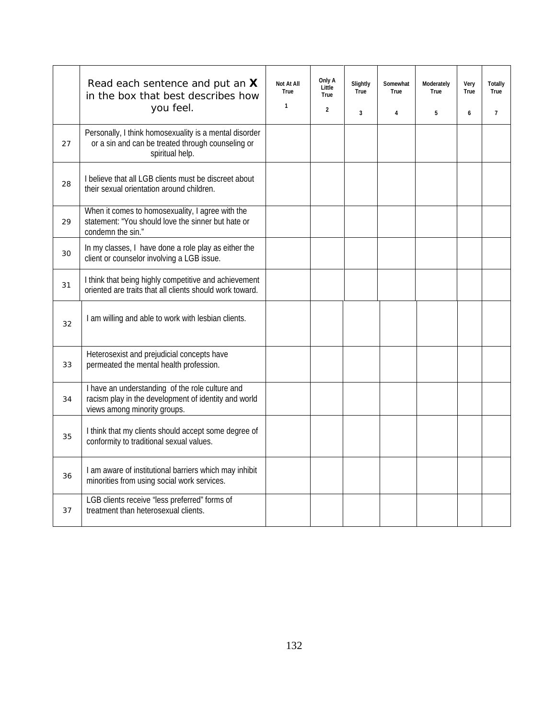|    | Read each sentence and put an X<br>in the box that best describes how<br>you feel.                                                      | Not At All<br>True<br>$\mathbf{1}$ | Only A<br>Little<br>True<br>$\overline{2}$ | Slightly<br>True<br>$\overline{3}$ | Somewhat<br>True<br>4 | Moderately<br>True<br>5 | Very<br>True<br>6 | Totally<br>True<br>$\overline{7}$ |
|----|-----------------------------------------------------------------------------------------------------------------------------------------|------------------------------------|--------------------------------------------|------------------------------------|-----------------------|-------------------------|-------------------|-----------------------------------|
| 27 | Personally, I think homosexuality is a mental disorder<br>or a sin and can be treated through counseling or<br>spiritual help.          |                                    |                                            |                                    |                       |                         |                   |                                   |
| 28 | I believe that all LGB clients must be discreet about<br>their sexual orientation around children.                                      |                                    |                                            |                                    |                       |                         |                   |                                   |
| 29 | When it comes to homosexuality, I agree with the<br>statement: "You should love the sinner but hate or<br>condemn the sin."             |                                    |                                            |                                    |                       |                         |                   |                                   |
| 30 | In my classes, I have done a role play as either the<br>client or counselor involving a LGB issue.                                      |                                    |                                            |                                    |                       |                         |                   |                                   |
| 31 | I think that being highly competitive and achievement<br>oriented are traits that all clients should work toward.                       |                                    |                                            |                                    |                       |                         |                   |                                   |
| 32 | I am willing and able to work with lesbian clients.                                                                                     |                                    |                                            |                                    |                       |                         |                   |                                   |
| 33 | Heterosexist and prejudicial concepts have<br>permeated the mental health profession.                                                   |                                    |                                            |                                    |                       |                         |                   |                                   |
| 34 | I have an understanding of the role culture and<br>racism play in the development of identity and world<br>views among minority groups. |                                    |                                            |                                    |                       |                         |                   |                                   |
| 35 | I think that my clients should accept some degree of<br>conformity to traditional sexual values.                                        |                                    |                                            |                                    |                       |                         |                   |                                   |
| 36 | I am aware of institutional barriers which may inhibit<br>minorities from using social work services.                                   |                                    |                                            |                                    |                       |                         |                   |                                   |
| 37 | LGB clients receive "less preferred" forms of<br>treatment than heterosexual clients.                                                   |                                    |                                            |                                    |                       |                         |                   |                                   |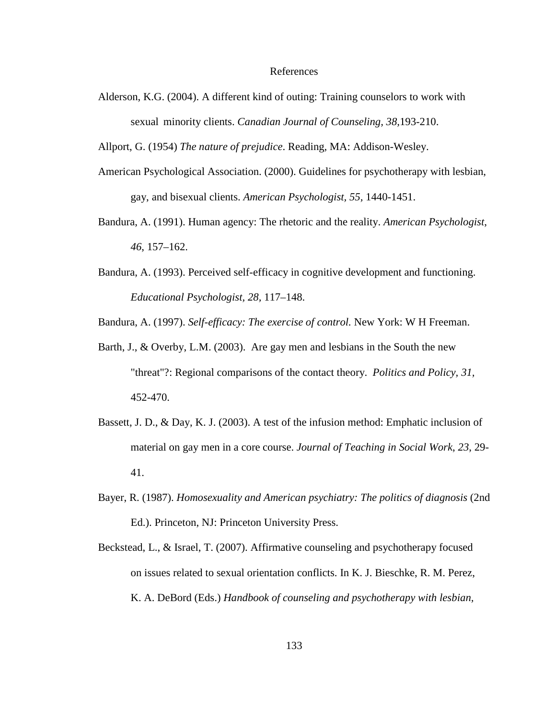Alderson, K.G. (2004). A different kind of outing: Training counselors to work with sexual minority clients. *Canadian Journal of Counseling, 38,*193-210.

Allport, G. (1954) *The nature of prejudice*. Reading, MA: Addison-Wesley.

- American Psychological Association. (2000). Guidelines for psychotherapy with lesbian, gay, and bisexual clients. *American Psychologist, 55,* 1440-1451.
- Bandura, A. (1991). Human agency: The rhetoric and the reality. *American Psychologist*, *46*, 157–162.
- Bandura, A. (1993). Perceived self-efficacy in cognitive development and functioning. *Educational Psychologist, 28,* 117–148.

Bandura, A. (1997). *Self-efficacy: The exercise of control.* New York: W H Freeman.

- Barth, J., & Overby, L.M. (2003). Are gay men and lesbians in the South the new "threat"?: Regional comparisons of the contact theory. *Politics and Policy, 31,*  452-470.
- Bassett, J. D., & Day, K. J. (2003). A test of the infusion method: Emphatic inclusion of material on gay men in a core course. *Journal of Teaching in Social Work*, *23*, 29- 41.
- Bayer, R. (1987). *Homosexuality and American psychiatry: The politics of diagnosis* (2nd Ed.). Princeton, NJ: Princeton University Press.
- Beckstead, L., & Israel, T. (2007). Affirmative counseling and psychotherapy focused on issues related to sexual orientation conflicts. In K. J. Bieschke, R. M. Perez, K. A. DeBord (Eds.) *Handbook of counseling and psychotherapy with lesbian,*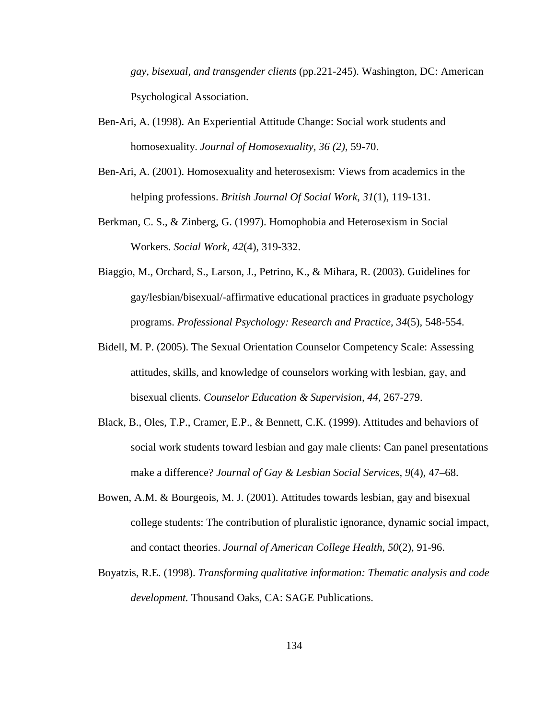*gay, bisexual, and transgender clients* (pp.221-245). Washington, DC: American Psychological Association.

- Ben-Ari, A. (1998). An Experiential Attitude Change: Social work students and homosexuality. *Journal of Homosexuality, 36 (2)*, 59-70.
- Ben-Ari, A. (2001). Homosexuality and heterosexism: Views from academics in the helping professions. *British Journal Of Social Work*, *31*(1), 119-131.
- Berkman, C. S., & Zinberg, G. (1997). Homophobia and Heterosexism in Social Workers. *Social Work*, *42*(4), 319-332.
- Biaggio, M., Orchard, S., Larson, J., Petrino, K., & Mihara, R. (2003). Guidelines for gay/lesbian/bisexual/-affirmative educational practices in graduate psychology programs. *Professional Psychology: Research and Practice, 34*(5)*,* 548-554.
- Bidell, M. P. (2005). The Sexual Orientation Counselor Competency Scale: Assessing attitudes, skills, and knowledge of counselors working with lesbian, gay, and bisexual clients. *Counselor Education & Supervision, 44,* 267-279.
- Black, B., Oles, T.P., Cramer, E.P., & Bennett, C.K. (1999). Attitudes and behaviors of social work students toward lesbian and gay male clients: Can panel presentations make a difference? *Journal of Gay & Lesbian Social Services, 9*(4), 47–68.
- Bowen, A.M. & Bourgeois, M. J. (2001). Attitudes towards lesbian, gay and bisexual college students: The contribution of pluralistic ignorance, dynamic social impact, and contact theories. *Journal of American College Health*, *50*(2), 91-96.
- Boyatzis, R.E. (1998). *Transforming qualitative information: Thematic analysis and code development.* Thousand Oaks, CA: SAGE Publications.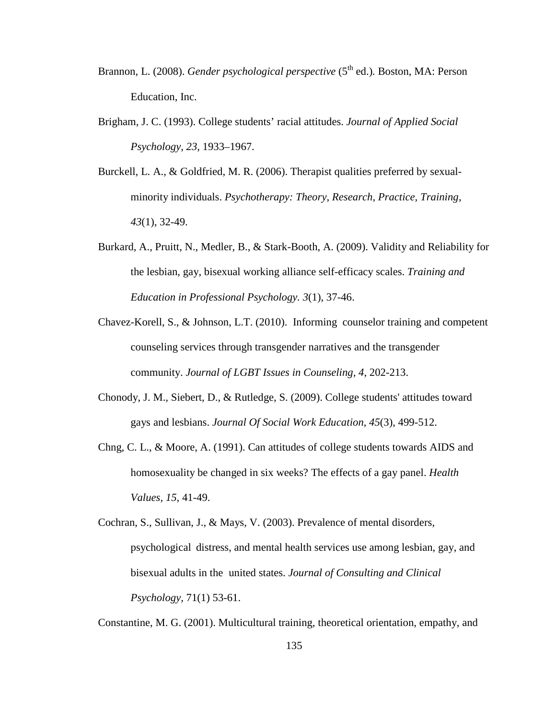- Brannon, L. (2008). *Gender psychological perspective* (5<sup>th</sup> ed.). Boston, MA: Person Education, Inc.
- Brigham, J. C. (1993). College students' racial attitudes. *Journal of Applied Social Psychology, 23,* 1933–1967.
- Burckell, L. A., & Goldfried, M. R. (2006). Therapist qualities preferred by sexualminority individuals. *Psychotherapy: Theory, Research, Practice, Training*, *43*(1), 32-49.
- Burkard, A., Pruitt, N., Medler, B., & Stark-Booth, A. (2009). Validity and Reliability for the lesbian, gay, bisexual working alliance self-efficacy scales. *Training and Education in Professional Psychology. 3*(1), 37-46.
- Chavez-Korell, S., & Johnson, L.T. (2010). Informing counselor training and competent counseling services through transgender narratives and the transgender community. *Journal of LGBT Issues in Counseling, 4*, 202-213.
- Chonody, J. M., Siebert, D., & Rutledge, S. (2009). College students' attitudes toward gays and lesbians. *Journal Of Social Work Education*, *45*(3), 499-512.
- Chng, C. L., & Moore, A. (1991). Can attitudes of college students towards AIDS and homosexuality be changed in six weeks? The effects of a gay panel. *Health Values, 15,* 41-49.
- Cochran, S., Sullivan, J., & Mays, V. (2003). Prevalence of mental disorders, psychological distress, and mental health services use among lesbian, gay, and bisexual adults in the united states. *Journal of Consulting and Clinical Psychology,* 71(1) 53-61.

Constantine, M. G. (2001). Multicultural training, theoretical orientation, empathy, and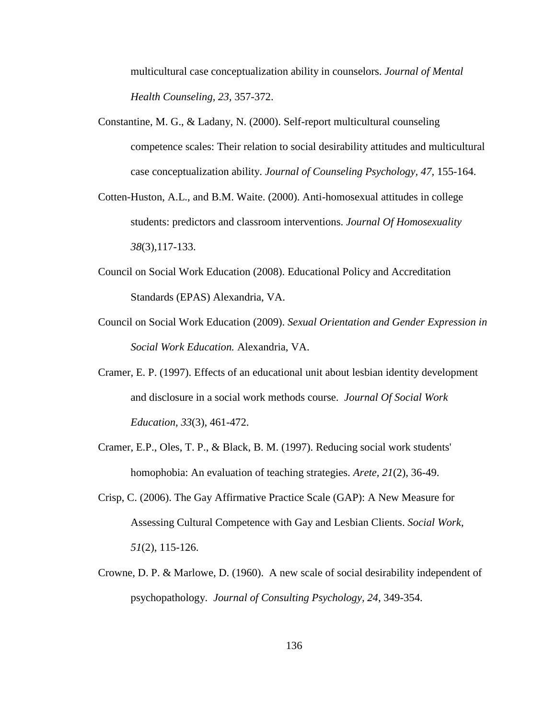multicultural case conceptualization ability in counselors. *Journal of Mental Health Counseling, 23,* 357-372.

- Constantine, M. G., & Ladany, N. (2000). Self-report multicultural counseling competence scales: Their relation to social desirability attitudes and multicultural case conceptualization ability. *Journal of Counseling Psychology, 47,* 155-164.
- Cotten-Huston, A.L., and B.M. Waite. (2000). Anti-homosexual attitudes in college students: predictors and classroom interventions. *Journal Of Homosexuality 38*(3)*,*117-133.
- Council on Social Work Education (2008). Educational Policy and Accreditation Standards (EPAS) Alexandria, VA.
- Council on Social Work Education (2009). *Sexual Orientation and Gender Expression in Social Work Education.* Alexandria, VA.
- Cramer, E. P. (1997). Effects of an educational unit about lesbian identity development and disclosure in a social work methods course. *Journal Of Social Work Education*, *33*(3), 461-472.
- Cramer, E.P., Oles, T. P., & Black, B. M. (1997). Reducing social work students' homophobia: An evaluation of teaching strategies. *Arete, 21*(2), 36-49.
- Crisp, C. (2006). The Gay Affirmative Practice Scale (GAP): A New Measure for Assessing Cultural Competence with Gay and Lesbian Clients. *Social Work*, *51*(2), 115-126.
- Crowne, D. P. & Marlowe, D. (1960). A new scale of social desirability independent of psychopathology. *Journal of Consulting Psychology, 24*, 349-354.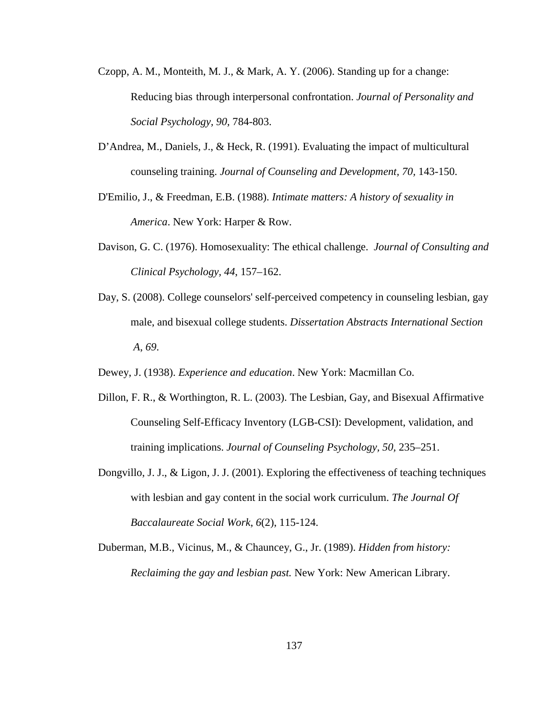- Czopp, A. M., Monteith, M. J., & Mark, A. Y. (2006). Standing up for a change: Reducing bias through interpersonal confrontation. *Journal of Personality and Social Psychology, 90,* 784-803.
- D'Andrea, M., Daniels, J., & Heck, R. (1991). Evaluating the impact of multicultural counseling training. *Journal of Counseling and Development, 70,* 143-150.
- D'Emilio, J., & Freedman, E.B. (1988). *Intimate matters: A history of sexuality in America*. New York: Harper & Row.
- Davison, G. C. (1976). Homosexuality: The ethical challenge. *Journal of Consulting and Clinical Psychology, 44*, 157–162.
- Day, S. (2008). College counselors' self-perceived competency in counseling lesbian, gay male, and bisexual college students. *Dissertation Abstracts International Section A*, *69*.
- Dewey, J. (1938). *Experience and education*. New York: Macmillan Co.
- Dillon, F. R., & Worthington, R. L. (2003). The Lesbian, Gay, and Bisexual Affirmative Counseling Self-Efficacy Inventory (LGB-CSI): Development, validation, and training implications. *Journal of Counseling Psychology, 50,* 235–251.
- Dongvillo, J. J., & Ligon, J. J. (2001). Exploring the effectiveness of teaching techniques with lesbian and gay content in the social work curriculum. *The Journal Of Baccalaureate Social Work*, *6*(2), 115-124.
- Duberman, M.B., Vicinus, M., & Chauncey, G., Jr. (1989). *Hidden from history: Reclaiming the gay and lesbian past.* New York: New American Library.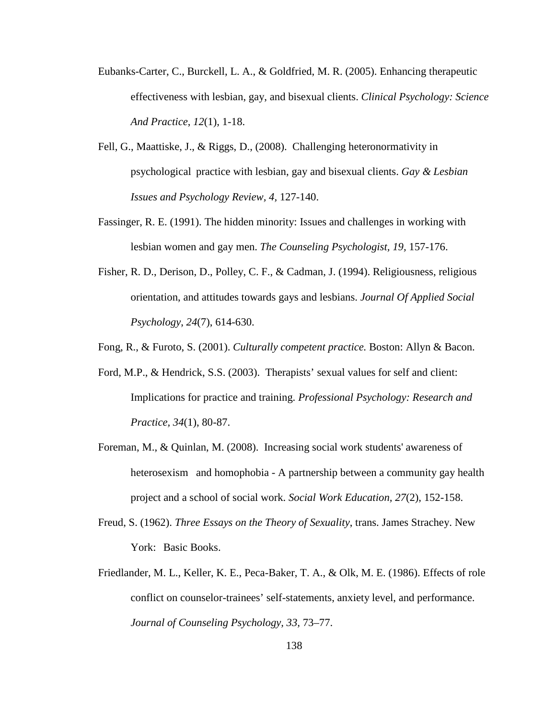- Eubanks-Carter, C., Burckell, L. A., & Goldfried, M. R. (2005). Enhancing therapeutic effectiveness with lesbian, gay, and bisexual clients. *Clinical Psychology: Science And Practice*, *12*(1), 1-18.
- Fell, G., Maattiske, J., & Riggs, D., (2008). Challenging heteronormativity in psychological practice with lesbian, gay and bisexual clients. *Gay & Lesbian Issues and Psychology Review, 4,* 127-140.
- Fassinger, R. E. (1991). The hidden minority: Issues and challenges in working with lesbian women and gay men. *The Counseling Psychologist, 19,* 157-176.
- Fisher, R. D., Derison, D., Polley, C. F., & Cadman, J. (1994). Religiousness, religious orientation, and attitudes towards gays and lesbians. *Journal Of Applied Social Psychology*, *24*(7), 614-630.
- Fong, R., & Furoto, S. (2001). *Culturally competent practice.* Boston: Allyn & Bacon.
- Ford, M.P., & Hendrick, S.S. (2003). Therapists' sexual values for self and client: Implications for practice and training. *Professional Psychology: Research and Practice, 34*(1), 80-87.
- Foreman, M., & Quinlan, M. (2008). Increasing social work students' awareness of heterosexism and homophobia - A partnership between a community gay health project and a school of social work. *Social Work Education, 27*(2), 152-158.
- Freud, S. (1962). *Three Essays on the Theory of Sexuality*, trans. James Strachey. New York: Basic Books.
- Friedlander, M. L., Keller, K. E., Peca-Baker, T. A., & Olk, M. E. (1986). Effects of role conflict on counselor-trainees' self-statements, anxiety level, and performance. *Journal of Counseling Psychology, 33,* 73–77.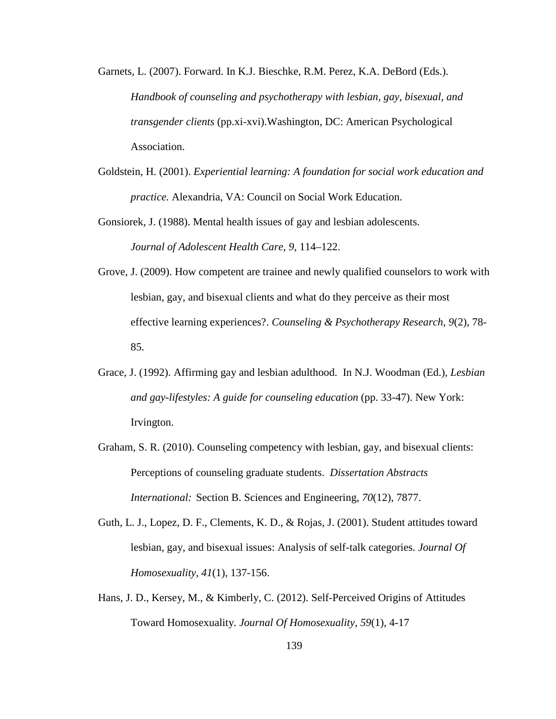Garnets, L. (2007). Forward. In K.J. Bieschke, R.M. Perez, K.A. DeBord (Eds.). *Handbook of counseling and psychotherapy with lesbian, gay, bisexual, and transgender clients* (pp.xi-xvi).Washington, DC: American Psychological Association.

Goldstein, H. (2001). *Experiential learning: A foundation for social work education and practice.* Alexandria, VA: Council on Social Work Education.

Gonsiorek, J. (1988). Mental health issues of gay and lesbian adolescents. *Journal of Adolescent Health Care*, *9*, 114–122.

- Grove, J. (2009). How competent are trainee and newly qualified counselors to work with lesbian, gay, and bisexual clients and what do they perceive as their most effective learning experiences?. *Counseling & Psychotherapy Research*, *9*(2), 78- 85.
- Grace, J. (1992). Affirming gay and lesbian adulthood. In N.J. Woodman (Ed.), *Lesbian and gay-lifestyles: A guide for counseling education* (pp. 33-47). New York: Irvington.
- Graham, S. R. (2010). Counseling competency with lesbian, gay, and bisexual clients: Perceptions of counseling graduate students. *Dissertation Abstracts International:* Section B. Sciences and Engineering, *70*(12), 7877.
- Guth, L. J., Lopez, D. F., Clements, K. D., & Rojas, J. (2001). Student attitudes toward lesbian, gay, and bisexual issues: Analysis of self-talk categories. *Journal Of Homosexuality*, *41*(1), 137-156.
- Hans, J. D., Kersey, M., & Kimberly, C. (2012). Self-Perceived Origins of Attitudes Toward Homosexuality. *Journal Of Homosexuality*, *59*(1), 4-17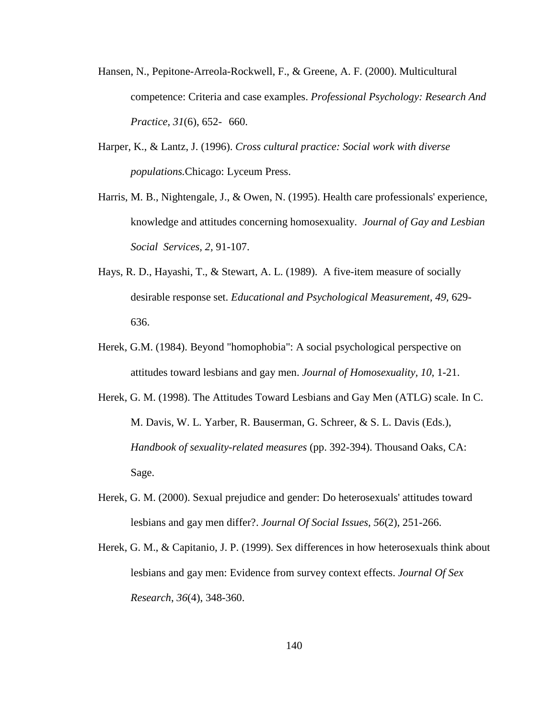- Hansen, N., Pepitone-Arreola-Rockwell, F., & Greene, A. F. (2000). Multicultural competence: Criteria and case examples. *Professional Psychology: Research And Practice*, *31*(6), 652- 660.
- Harper, K., & Lantz, J. (1996). *Cross cultural practice: Social work with diverse populations.*Chicago: Lyceum Press.
- Harris, M. B., Nightengale, J., & Owen, N. (1995). Health care professionals' experience, knowledge and attitudes concerning homosexuality. *Journal of Gay and Lesbian Social Services, 2,* 91-107.
- Hays, R. D., Hayashi, T., & Stewart, A. L. (1989). A five-item measure of socially desirable response set. *Educational and Psychological Measurement, 49,* 629- 636.
- Herek, G.M. (1984). Beyond "homophobia": A social psychological perspective on attitudes toward lesbians and gay men. *Journal of Homosexuality, 10*, 1-21.
- Herek, G. M. (1998). The Attitudes Toward Lesbians and Gay Men (ATLG) scale. In C. M. Davis, W. L. Yarber, R. Bauserman, G. Schreer, & S. L. Davis (Eds.), *Handbook of sexuality-related measures* (pp. 392-394). Thousand Oaks, CA: Sage.
- Herek, G. M. (2000). Sexual prejudice and gender: Do heterosexuals' attitudes toward lesbians and gay men differ?. *Journal Of Social Issues*, *56*(2), 251-266.
- Herek, G. M., & Capitanio, J. P. (1999). Sex differences in how heterosexuals think about lesbians and gay men: Evidence from survey context effects. *Journal Of Sex Research*, *36*(4), 348-360.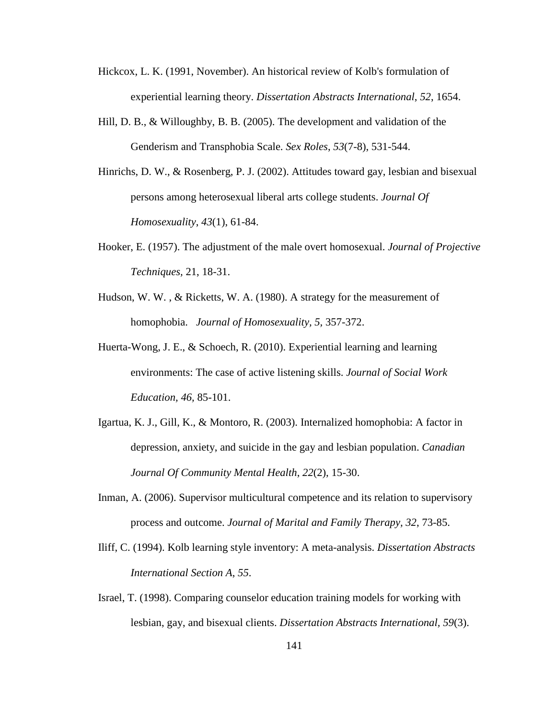- Hickcox, L. K. (1991, November). An historical review of Kolb's formulation of experiential learning theory. *Dissertation Abstracts International*, *52*, 1654.
- Hill, D. B., & Willoughby, B. B. (2005). The development and validation of the Genderism and Transphobia Scale. *Sex Roles*, *53*(7-8), 531-544.
- Hinrichs, D. W., & Rosenberg, P. J. (2002). Attitudes toward gay, lesbian and bisexual persons among heterosexual liberal arts college students. *Journal Of Homosexuality*, *43*(1), 61-84.
- Hooker, E. (1957). The adjustment of the male overt homosexual. *Journal of Projective Techniques,* 21, 18-31.
- Hudson, W. W. , & Ricketts, W. A. (1980). A strategy for the measurement of homophobia. *Journal of Homosexuality, 5,* 357-372.
- Huerta-Wong, J. E., & Schoech, R. (2010). Experiential learning and learning environments: The case of active listening skills. *Journal of Social Work Education, 46,* 85-101.
- Igartua, K. J., Gill, K., & Montoro, R. (2003). Internalized homophobia: A factor in depression, anxiety, and suicide in the gay and lesbian population. *Canadian Journal Of Community Mental Health*, *22*(2), 15-30.
- Inman, A. (2006). Supervisor multicultural competence and its relation to supervisory process and outcome. *Journal of Marital and Family Therapy, 32*, 73-85.
- Iliff, C. (1994). Kolb learning style inventory: A meta-analysis. *Dissertation Abstracts International Section A*, *55*.
- Israel, T. (1998). Comparing counselor education training models for working with lesbian, gay, and bisexual clients. *Dissertation Abstracts International, 59*(3).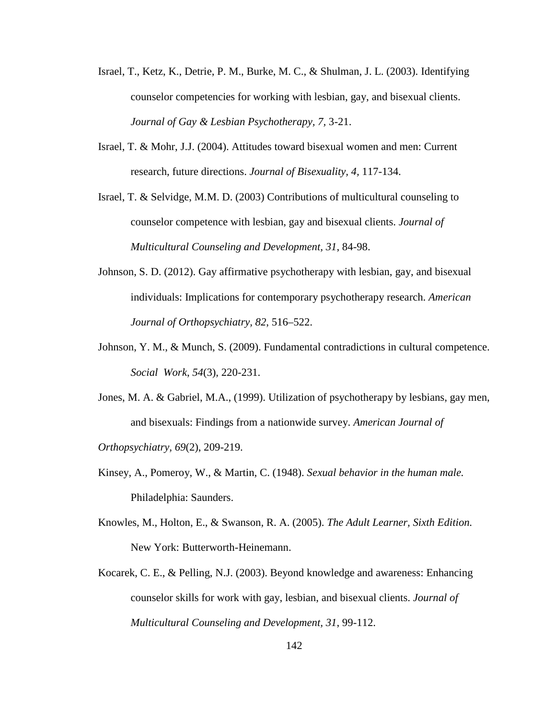- Israel, T., Ketz, K., Detrie, P. M., Burke, M. C., & Shulman, J. L. (2003). Identifying counselor competencies for working with lesbian, gay, and bisexual clients. *Journal of Gay & Lesbian Psychotherapy, 7,* 3-21.
- Israel, T. & Mohr, J.J. (2004). Attitudes toward bisexual women and men: Current research, future directions. *Journal of Bisexuality, 4,* 117-134.

Israel, T. & Selvidge, M.M. D. (2003) Contributions of multicultural counseling to counselor competence with lesbian, gay and bisexual clients. *Journal of Multicultural Counseling and Development, 31*, 84-98.

- Johnson, S. D. (2012). Gay affirmative psychotherapy with lesbian, gay, and bisexual individuals: Implications for contemporary psychotherapy research. *American Journal of Orthopsychiatry, 82*, 516–522.
- Johnson, Y. M., & Munch, S. (2009). Fundamental contradictions in cultural competence. *Social Work*, *54*(3), 220-231.
- Jones, M. A. & Gabriel, M.A., (1999). Utilization of psychotherapy by lesbians, gay men, and bisexuals: Findings from a nationwide survey. *American Journal of*

*Orthopsychiatry, 69*(2), 209-219.

- Kinsey, A., Pomeroy, W., & Martin, C. (1948). *Sexual behavior in the human male.*  Philadelphia: Saunders.
- Knowles, M., Holton, E., & Swanson, R. A. (2005). *The Adult Learner, Sixth Edition.* New York: Butterworth-Heinemann.
- Kocarek, C. E., & Pelling, N.J. (2003). Beyond knowledge and awareness: Enhancing counselor skills for work with gay, lesbian, and bisexual clients. *Journal of Multicultural Counseling and Development, 31*, 99-112.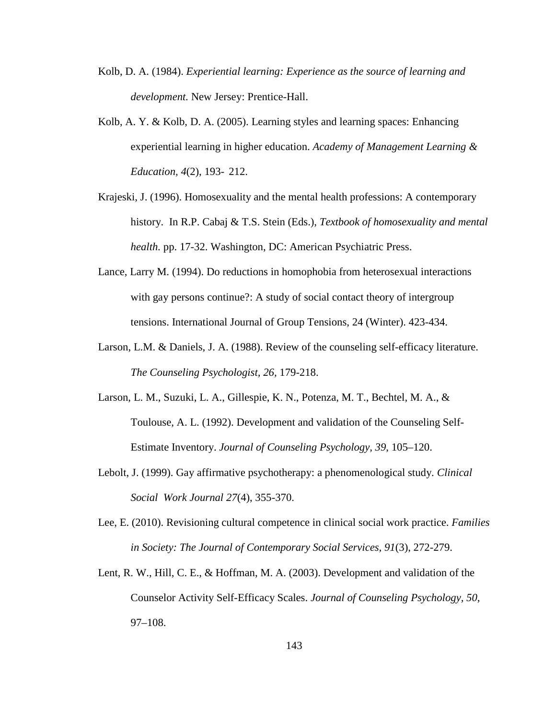- Kolb, D. A. (1984). *Experiential learning: Experience as the source of learning and development.* New Jersey: Prentice-Hall.
- Kolb, A. Y. & Kolb, D. A. (2005). Learning styles and learning spaces: Enhancing experiential learning in higher education. *Academy of Management Learning & Education, 4*(2), 193- 212.
- Krajeski, J. (1996). Homosexuality and the mental health professions: A contemporary history. In R.P. Cabaj & T.S. Stein (Eds.), *Textbook of homosexuality and mental health.* pp. 17-32. Washington, DC: American Psychiatric Press.
- Lance, Larry M. (1994). Do reductions in homophobia from heterosexual interactions with gay persons continue?: A study of social contact theory of intergroup tensions. International Journal of Group Tensions, 24 (Winter). 423-434.
- Larson, L.M. & Daniels, J. A. (1988). Review of the counseling self-efficacy literature. *The Counseling Psychologist, 26,* 179-218.
- Larson, L. M., Suzuki, L. A., Gillespie, K. N., Potenza, M. T., Bechtel, M. A., & Toulouse, A. L. (1992). Development and validation of the Counseling Self-Estimate Inventory. *Journal of Counseling Psychology, 39*, 105–120.
- Lebolt, J. (1999). Gay affirmative psychotherapy: a phenomenological study. *Clinical Social Work Journal 27*(4), 355-370.
- Lee, E. (2010). Revisioning cultural competence in clinical social work practice. *Families in Society: The Journal of Contemporary Social Services, 91*(3), 272-279.
- Lent, R. W., Hill, C. E., & Hoffman, M. A. (2003). Development and validation of the Counselor Activity Self-Efficacy Scales. *Journal of Counseling Psychology, 50,*  97–108.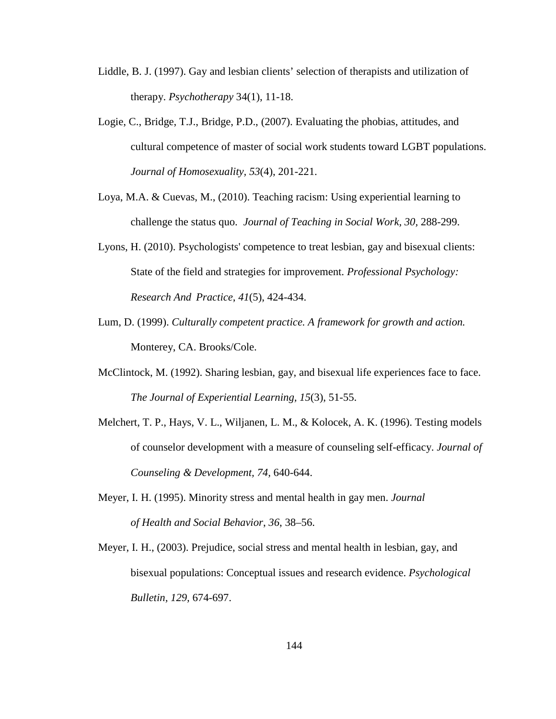- Liddle, B. J. (1997). Gay and lesbian clients' selection of therapists and utilization of therapy. *Psychotherapy* 34(1), 11-18.
- Logie, C., Bridge, T.J., Bridge, P.D., (2007). Evaluating the phobias, attitudes, and cultural competence of master of social work students toward LGBT populations. *Journal of Homosexuality, 53*(4), 201-221.
- Loya, M.A. & Cuevas, M., (2010). Teaching racism: Using experiential learning to challenge the status quo. *Journal of Teaching in Social Work, 30,* 288-299.
- Lyons, H. (2010). Psychologists' competence to treat lesbian, gay and bisexual clients: State of the field and strategies for improvement. *Professional Psychology: Research And Practice*, *41*(5), 424-434.
- Lum, D. (1999). *Culturally competent practice. A framework for growth and action.* Monterey, CA. Brooks/Cole.
- McClintock, M. (1992). Sharing lesbian, gay, and bisexual life experiences face to face. *The Journal of Experiential Learning, 15*(3), 51-55.
- Melchert, T. P., Hays, V. L., Wiljanen, L. M., & Kolocek, A. K. (1996). Testing models of counselor development with a measure of counseling self-efficacy. *Journal of Counseling & Development, 74,* 640-644.
- Meyer, I. H. (1995). Minority stress and mental health in gay men. *Journal of Health and Social Behavior*, *36*, 38–56.
- Meyer, I. H., (2003). Prejudice, social stress and mental health in lesbian, gay, and bisexual populations: Conceptual issues and research evidence. *Psychological Bulletin, 129,* 674-697.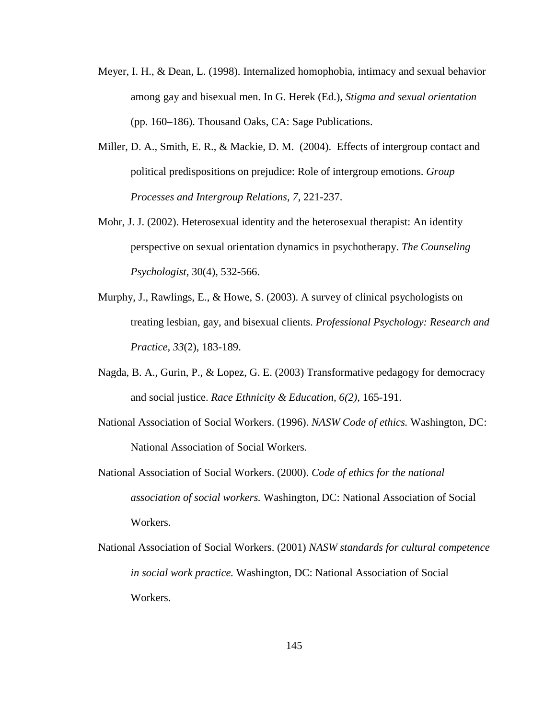- Meyer, I. H., & Dean, L. (1998). Internalized homophobia, intimacy and sexual behavior among gay and bisexual men. In G. Herek (Ed.), *Stigma and sexual orientation* (pp. 160–186). Thousand Oaks, CA: Sage Publications.
- Miller, D. A., Smith, E. R., & Mackie, D. M. (2004). Effects of intergroup contact and political predispositions on prejudice: Role of intergroup emotions. *Group Processes and Intergroup Relations, 7*, 221-237.
- Mohr, J. J. (2002). Heterosexual identity and the heterosexual therapist: An identity perspective on sexual orientation dynamics in psychotherapy. *The Counseling Psychologist*, 30(4), 532-566.
- Murphy, J., Rawlings, E., & Howe, S. (2003). A survey of clinical psychologists on treating lesbian, gay, and bisexual clients. *Professional Psychology: Research and Practice, 33*(2), 183-189.
- Nagda, B. A., Gurin, P., & Lopez, G. E. (2003) Transformative pedagogy for democracy and social justice. *Race Ethnicity & Education, 6(2),* 165-191.
- National Association of Social Workers. (1996). *NASW Code of ethics.* Washington, DC: National Association of Social Workers.
- National Association of Social Workers. (2000). *Code of ethics for the national association of social workers.* Washington, DC: National Association of Social Workers.
- National Association of Social Workers. (2001) *NASW standards for cultural competence in social work practice.* Washington, DC: National Association of Social Workers.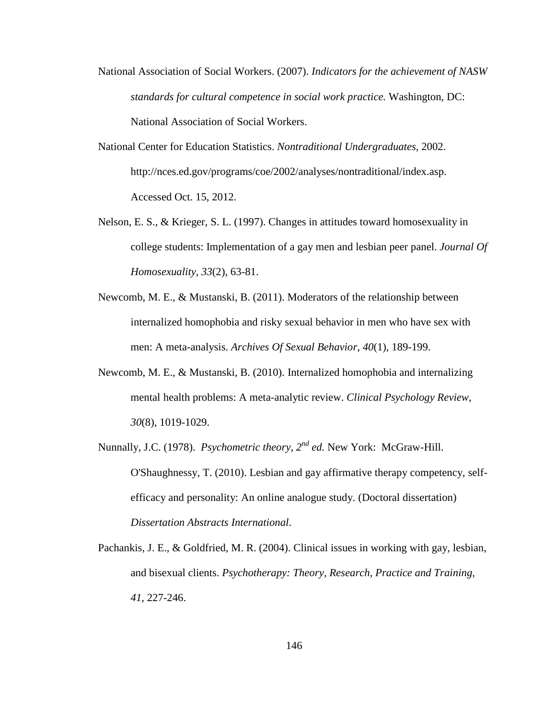- National Association of Social Workers. (2007). *Indicators for the achievement of NASW standards for cultural competence in social work practice.* Washington, DC: National Association of Social Workers.
- National Center for Education Statistics. *Nontraditional Undergraduates,* 2002. http://nces.ed.gov/programs/coe/2002/analyses/nontraditional/index.asp. Accessed Oct. 15, 2012.
- Nelson, E. S., & Krieger, S. L. (1997). Changes in attitudes toward homosexuality in college students: Implementation of a gay men and lesbian peer panel. *Journal Of Homosexuality*, *33*(2), 63-81.
- Newcomb, M. E., & Mustanski, B. (2011). Moderators of the relationship between internalized homophobia and risky sexual behavior in men who have sex with men: A meta-analysis. *Archives Of Sexual Behavior*, *40*(1), 189-199.
- Newcomb, M. E., & Mustanski, B. (2010). Internalized homophobia and internalizing mental health problems: A meta-analytic review. *Clinical Psychology Review*, *30*(8), 1019-1029.
- Nunnally, J.C. (1978). *Psychometric theory, 2nd ed.* New York: McGraw-Hill. O'Shaughnessy, T. (2010). Lesbian and gay affirmative therapy competency, selfefficacy and personality: An online analogue study. (Doctoral dissertation) *Dissertation Abstracts International*.
- Pachankis, J. E., & Goldfried, M. R. (2004). Clinical issues in working with gay, lesbian, and bisexual clients. *Psychotherapy: Theory, Research, Practice and Training, 41,* 227-246.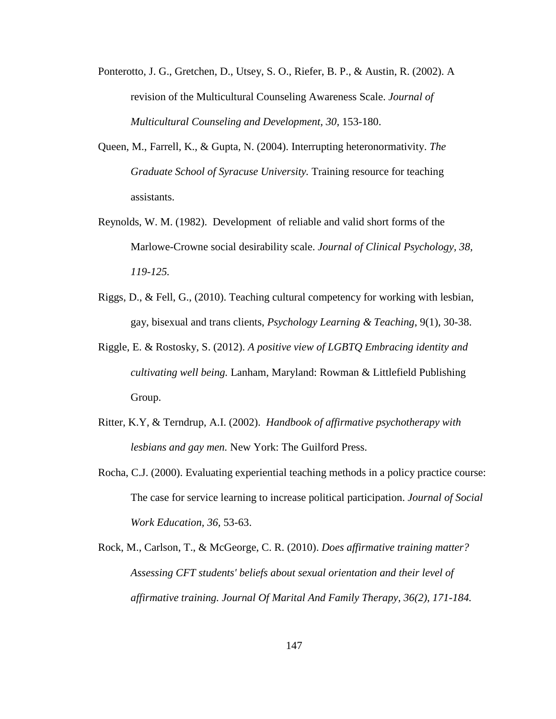- Ponterotto, J. G., Gretchen, D., Utsey, S. O., Riefer, B. P., & Austin, R. (2002). A revision of the Multicultural Counseling Awareness Scale. *Journal of Multicultural Counseling and Development, 30,* 153-180.
- Queen, M., Farrell, K., & Gupta, N. (2004). Interrupting heteronormativity. *The Graduate School of Syracuse University.* Training resource for teaching assistants.
- Reynolds, W. M. (1982). Development of reliable and valid short forms of the Marlowe-Crowne social desirability scale. *Journal of Clinical Psychology, 38, 119-125.*
- Riggs, D., & Fell, G., (2010). Teaching cultural competency for working with lesbian, gay, bisexual and trans clients, *Psychology Learning & Teaching*, 9(1), 30-38.
- Riggle, E. & Rostosky, S. (2012). *A positive view of LGBTQ Embracing identity and cultivating well being.* Lanham, Maryland: Rowman & Littlefield Publishing Group.
- Ritter, K.Y, & Terndrup, A.I. (2002). *Handbook of affirmative psychotherapy with lesbians and gay men.* New York: The Guilford Press.
- Rocha, C.J. (2000). Evaluating experiential teaching methods in a policy practice course: The case for service learning to increase political participation. *Journal of Social Work Education, 36,* 53-63.
- Rock, M., Carlson, T., & McGeorge, C. R. (2010). *Does affirmative training matter? Assessing CFT students' beliefs about sexual orientation and their level of affirmative training. Journal Of Marital And Family Therapy, 36(2), 171-184.*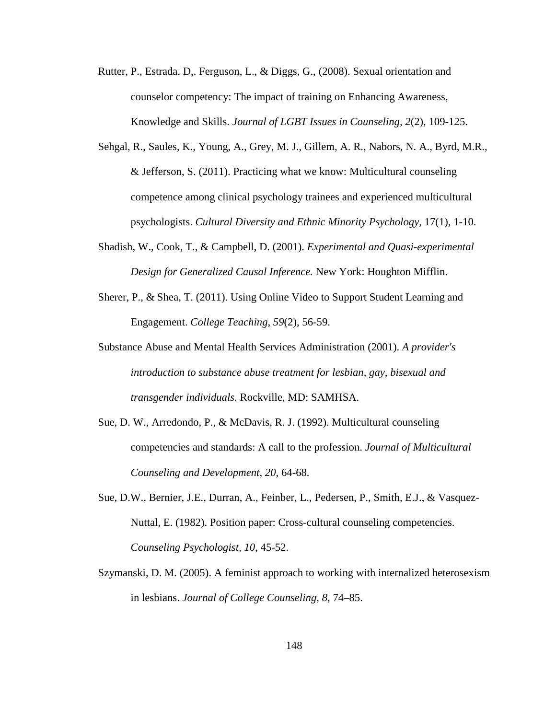- Rutter, P., Estrada, D,. Ferguson, L., & Diggs, G., (2008). Sexual orientation and counselor competency: The impact of training on Enhancing Awareness, Knowledge and Skills. *Journal of LGBT Issues in Counseling, 2*(2), 109-125.
- Sehgal, R., Saules, K., Young, A., Grey, M. J., Gillem, A. R., Nabors, N. A., Byrd, M.R., & Jefferson, S. (2011). Practicing what we know: Multicultural counseling competence among clinical psychology trainees and experienced multicultural psychologists. *Cultural Diversity and Ethnic Minority Psychology*, 17(1), 1-10.
- Shadish, W., Cook, T., & Campbell, D. (2001). *Experimental and Quasi-experimental Design for Generalized Causal Inference.* New York: Houghton Mifflin.
- Sherer, P., & Shea, T. (2011). Using Online Video to Support Student Learning and Engagement. *College Teaching*, *59*(2), 56-59.
- Substance Abuse and Mental Health Services Administration (2001). *A provider's introduction to substance abuse treatment for lesbian, gay, bisexual and transgender individuals.* Rockville, MD: SAMHSA.
- Sue, D. W., Arredondo, P., & McDavis, R. J. (1992). Multicultural counseling competencies and standards: A call to the profession. *Journal of Multicultural Counseling and Development, 20,* 64-68.
- Sue, D.W., Bernier, J.E., Durran, A., Feinber, L., Pedersen, P., Smith, E.J., & Vasquez-Nuttal, E. (1982). Position paper: Cross-cultural counseling competencies. *Counseling Psychologist, 10,* 45-52.
- Szymanski, D. M. (2005). A feminist approach to working with internalized heterosexism in lesbians. *Journal of College Counseling, 8,* 74–85.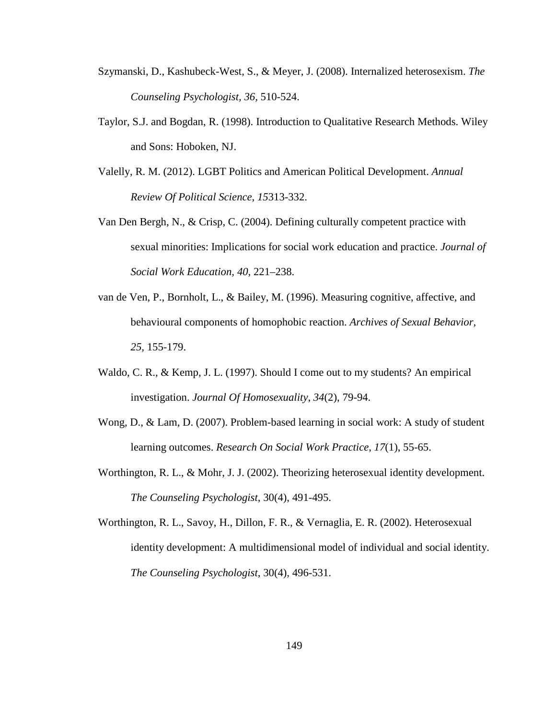- Szymanski, D., Kashubeck-West, S., & Meyer, J. (2008). Internalized heterosexism. *The Counseling Psychologist, 36,* 510-524.
- Taylor, S.J. and Bogdan, R. (1998). Introduction to Qualitative Research Methods. Wiley and Sons: Hoboken, NJ.
- Valelly, R. M. (2012). LGBT Politics and American Political Development. *Annual Review Of Political Science*, *15*313-332.
- Van Den Bergh, N., & Crisp, C. (2004). Defining culturally competent practice with sexual minorities: Implications for social work education and practice. *Journal of Social Work Education, 40*, 221–238.
- van de Ven, P., Bornholt, L., & Bailey, M. (1996). Measuring cognitive, affective, and behavioural components of homophobic reaction. *Archives of Sexual Behavior, 25,* 155-179.
- Waldo, C. R., & Kemp, J. L. (1997). Should I come out to my students? An empirical investigation. *Journal Of Homosexuality*, *34*(2), 79-94.
- Wong, D., & Lam, D. (2007). Problem-based learning in social work: A study of student learning outcomes. *Research On Social Work Practice*, *17*(1), 55-65.
- Worthington, R. L., & Mohr, J. J. (2002). Theorizing heterosexual identity development. *The Counseling Psychologist*, 30(4), 491-495.
- Worthington, R. L., Savoy, H., Dillon, F. R., & Vernaglia, E. R. (2002). Heterosexual identity development: A multidimensional model of individual and social identity. *The Counseling Psychologist*, 30(4), 496-531.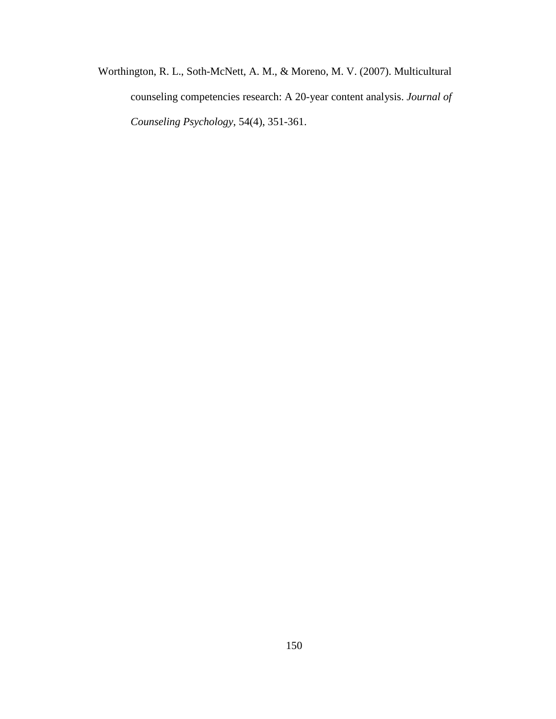Worthington, R. L., Soth-McNett, A. M., & Moreno, M. V. (2007). Multicultural counseling competencies research: A 20-year content analysis. *Journal of Counseling Psychology*, 54(4), 351-361.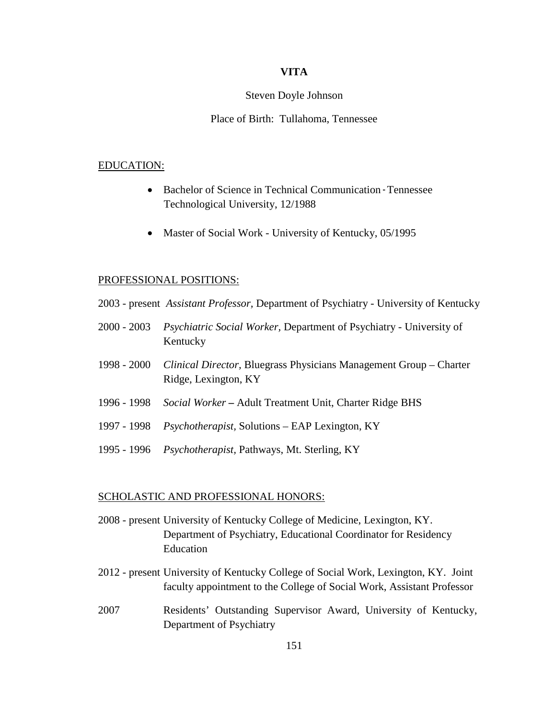# **VITA**

## Steven Doyle Johnson

# Place of Birth: Tullahoma, Tennessee

#### EDUCATION:

- Bachelor of Science in Technical Communication Tennessee Technological University, 12/1988
- Master of Social Work University of Kentucky, 05/1995

## PROFESSIONAL POSITIONS:

- 2003 present *Assistant Professor,* Department of Psychiatry University of Kentucky
- 2000 2003 *Psychiatric Social Worker,* Department of Psychiatry University of Kentucky
- 1998 2000 *Clinical Director,* Bluegrass Physicians Management Group Charter Ridge, Lexington, KY
- 1996 1998 *Social Worker –* Adult Treatment Unit, Charter Ridge BHS
- 1997 1998 *Psychotherapist,* Solutions EAP Lexington, KY
- 1995 1996 *Psychotherapist,* Pathways, Mt. Sterling, KY

## SCHOLASTIC AND PROFESSIONAL HONORS:

- 2008 present University of Kentucky College of Medicine, Lexington, KY. Department of Psychiatry, Educational Coordinator for Residency Education
- 2012 present University of Kentucky College of Social Work, Lexington, KY. Joint faculty appointment to the College of Social Work, Assistant Professor
- 2007 Residents' Outstanding Supervisor Award, University of Kentucky, Department of Psychiatry